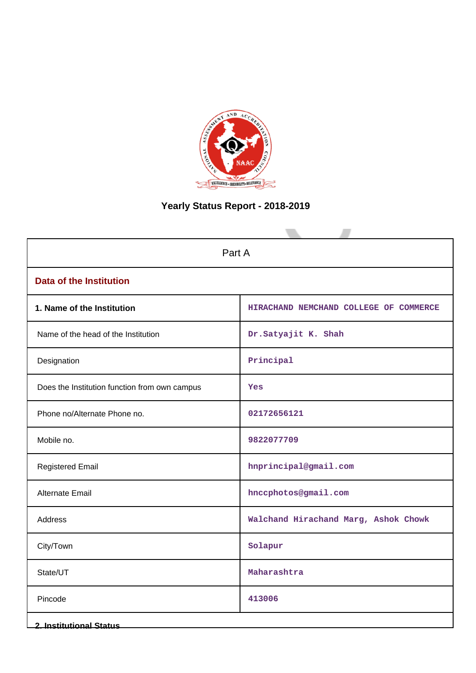

# **Yearly Status Report - 2018-2019**

| Part A                                        |                                        |  |  |  |
|-----------------------------------------------|----------------------------------------|--|--|--|
| <b>Data of the Institution</b>                |                                        |  |  |  |
| 1. Name of the Institution                    | HIRACHAND NEMCHAND COLLEGE OF COMMERCE |  |  |  |
| Name of the head of the Institution           | Dr.Satyajit K. Shah                    |  |  |  |
| Designation                                   | Principal                              |  |  |  |
| Does the Institution function from own campus | Yes                                    |  |  |  |
| Phone no/Alternate Phone no.                  | 02172656121                            |  |  |  |
| Mobile no.                                    | 9822077709                             |  |  |  |
| <b>Registered Email</b>                       | hnprincipal@gmail.com                  |  |  |  |
| Alternate Email                               | hnccphotos@gmail.com                   |  |  |  |
| Address                                       | Walchand Hirachand Marg, Ashok Chowk   |  |  |  |
| City/Town                                     | Solapur                                |  |  |  |
| State/UT                                      | Maharashtra                            |  |  |  |
| Pincode                                       | 413006                                 |  |  |  |
| <b>2. Institutional Status</b>                |                                        |  |  |  |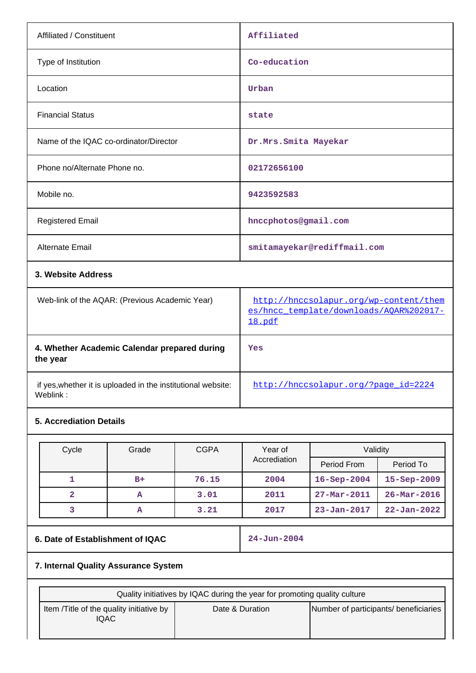| Affiliated                  |
|-----------------------------|
| Co-education                |
| Urban                       |
| state                       |
| Dr.Mrs.Smita Mayekar        |
| 02172656100                 |
| 9423592583                  |
| hnccphotos@gmail.com        |
| smitamayekar@rediffmail.com |
|                             |
|                             |

| Web-link of the AQAR: (Previous Academic Year)                           | http://hnccsolapur.org/wp-content/them<br>es/hncc template/downloads/AOAR%202017-<br>18.pdf |
|--------------------------------------------------------------------------|---------------------------------------------------------------------------------------------|
| 4. Whether Academic Calendar prepared during<br>the year                 | Yes                                                                                         |
| if yes, whether it is uploaded in the institutional website:<br>Weblink: | http://hnccsolapur.org/?page_id=2224                                                        |

### **5. Accrediation Details**

| Cycle | Grade | <b>CGPA</b> | Year of      | Validity           |                   |
|-------|-------|-------------|--------------|--------------------|-------------------|
|       |       |             | Accrediation | Period From        | Period To         |
|       | $B+$  | 76.15       | 2004         | $16 -$ Sep $-2004$ | 15-Sep-2009       |
|       | A     | 3.01        | 2011         | $27 - Mar - 2011$  | $26 - Mar - 2016$ |
|       | А     | 3.21        | 2017         | $23 - Jan - 2017$  | $22 - Jan - 2022$ |

## **6. Date of Establishment of IQAC 24-Jun-2004**

## **7. Internal Quality Assurance System**

| Quality initiatives by IQAC during the year for promoting quality culture |                 |                                       |  |  |  |
|---------------------------------------------------------------------------|-----------------|---------------------------------------|--|--|--|
| Item / Title of the quality initiative by<br>IQAC                         | Date & Duration | Number of participants/ beneficiaries |  |  |  |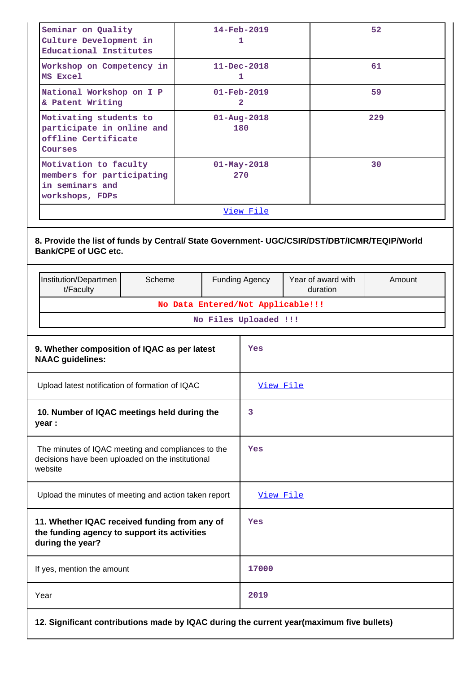| Seminar on Quality<br>Culture Development in<br>Educational Institutes                                                      |                                                                                                        |  |  | 14-Feb-2019<br>1                           |                                | 52     |
|-----------------------------------------------------------------------------------------------------------------------------|--------------------------------------------------------------------------------------------------------|--|--|--------------------------------------------|--------------------------------|--------|
| MS Excel                                                                                                                    | $11 - Dec - 2018$<br>Workshop on Competency in<br>1                                                    |  |  |                                            |                                | 61     |
| National Workshop on I P<br>& Patent Writing                                                                                |                                                                                                        |  |  | $01 - \text{Feb} - 2019$<br>$\overline{2}$ |                                | 59     |
| Courses                                                                                                                     | Motivating students to<br>$01 - Aug - 2018$<br>participate in online and<br>180<br>offline Certificate |  |  |                                            |                                | 229    |
| Motivation to faculty<br>members for participating<br>in seminars and<br>workshops, FDPs                                    |                                                                                                        |  |  | $01 - May - 2018$<br>270                   |                                | 30     |
|                                                                                                                             |                                                                                                        |  |  | View File                                  |                                |        |
| 8. Provide the list of funds by Central/ State Government- UGC/CSIR/DST/DBT/ICMR/TEQIP/World<br><b>Bank/CPE of UGC etc.</b> |                                                                                                        |  |  |                                            |                                |        |
| Institution/Departmen<br>t/Faculty                                                                                          | Scheme                                                                                                 |  |  | Funding Agency                             | Year of award with<br>duration | Amount |
|                                                                                                                             |                                                                                                        |  |  | No Data Entered/Not Applicable!!!          |                                |        |
|                                                                                                                             |                                                                                                        |  |  | No Files Uploaded !!!                      |                                |        |
| 9. Whether composition of IQAC as per latest<br><b>NAAC</b> guidelines:                                                     |                                                                                                        |  |  | Yes                                        |                                |        |
| Upload latest notification of formation of IQAC                                                                             |                                                                                                        |  |  | View File                                  |                                |        |
| 10. Number of IQAC meetings held during the<br>year :                                                                       |                                                                                                        |  |  | 3                                          |                                |        |
| The minutes of IQAC meeting and compliances to the<br>decisions have been uploaded on the institutional<br>website          |                                                                                                        |  |  | Yes                                        |                                |        |
| Upload the minutes of meeting and action taken report                                                                       |                                                                                                        |  |  | View File                                  |                                |        |
| 11. Whether IQAC received funding from any of<br>the funding agency to support its activities<br>during the year?           |                                                                                                        |  |  | Yes                                        |                                |        |
| If yes, mention the amount                                                                                                  |                                                                                                        |  |  | 17000                                      |                                |        |
| Year                                                                                                                        |                                                                                                        |  |  | 2019                                       |                                |        |
| 12. Significant contributions made by IQAC during the current year(maximum five bullets)                                    |                                                                                                        |  |  |                                            |                                |        |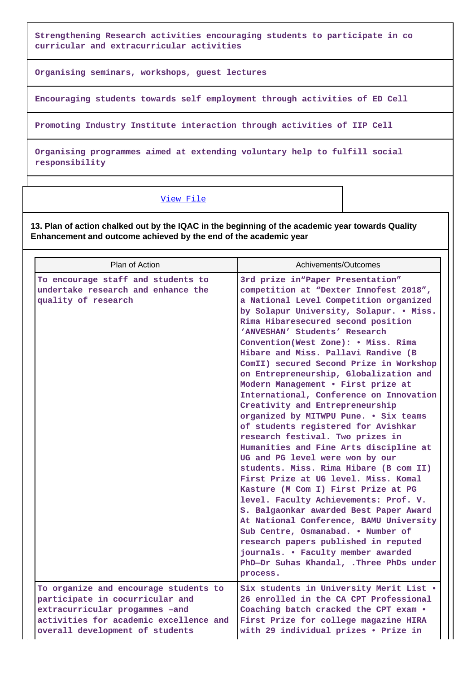**Strengthening Research activities encouraging students to participate in co curricular and extracurricular activities**

**Organising seminars, workshops, guest lectures**

**Encouraging students towards self employment through activities of ED Cell**

**Promoting Industry Institute interaction through activities of IIP Cell**

**Organising programmes aimed at extending voluntary help to fulfill social responsibility**

### [View File](https://assessmentonline.naac.gov.in/public/Postacc/Contribution/3478_Contribution.xlsx)

**13. Plan of action chalked out by the IQAC in the beginning of the academic year towards Quality Enhancement and outcome achieved by the end of the academic year**

| Plan of Action                                                                                                                                                                          | Achivements/Outcomes                                                                                                                                                                                                                                                                                                                                                                                                                                                                                                                                                                                                                                                                                                                                                                                                                                                                                                                                                                                                                                                                                                                                              |
|-----------------------------------------------------------------------------------------------------------------------------------------------------------------------------------------|-------------------------------------------------------------------------------------------------------------------------------------------------------------------------------------------------------------------------------------------------------------------------------------------------------------------------------------------------------------------------------------------------------------------------------------------------------------------------------------------------------------------------------------------------------------------------------------------------------------------------------------------------------------------------------------------------------------------------------------------------------------------------------------------------------------------------------------------------------------------------------------------------------------------------------------------------------------------------------------------------------------------------------------------------------------------------------------------------------------------------------------------------------------------|
| To encourage staff and students to<br>undertake research and enhance the<br>quality of research                                                                                         | 3rd prize in "Paper Presentation"<br>competition at "Dexter Innofest 2018",<br>a National Level Competition organized<br>by Solapur University, Solapur. . Miss.<br>Rima Hibaresecured second position<br>'ANVESHAN' Students' Research<br>Convention(West Zone): . Miss. Rima<br>Hibare and Miss. Pallavi Randive (B<br>ComII) secured Second Prize in Workshop<br>on Entrepreneurship, Globalization and<br>Modern Management . First prize at<br>International, Conference on Innovation<br>Creativity and Entrepreneurship<br>organized by MITWPU Pune. . Six teams<br>of students registered for Avishkar<br>research festival. Two prizes in<br>Humanities and Fine Arts discipline at<br>UG and PG level were won by our<br>students. Miss. Rima Hibare (B com II)<br>First Prize at UG level. Miss. Komal<br>Kasture (M Com I) First Prize at PG<br>level. Faculty Achievements: Prof. V.<br>S. Balgaonkar awarded Best Paper Award<br>At National Conference, BAMU University<br>Sub Centre, Osmanabad. . Number of<br>research papers published in reputed<br>journals. • Faculty member awarded<br>PhD-Dr Suhas Khandal, .Three PhDs under<br>process. |
| To organize and encourage students to<br>participate in cocurricular and<br>extracurricular progammes -and<br>activities for academic excellence and<br>overall development of students | Six students in University Merit List .<br>26 enrolled in the CA CPT Professional<br>Coaching batch cracked the CPT exam .<br>First Prize for college magazine HIRA<br>with 29 individual prizes . Prize in                                                                                                                                                                                                                                                                                                                                                                                                                                                                                                                                                                                                                                                                                                                                                                                                                                                                                                                                                       |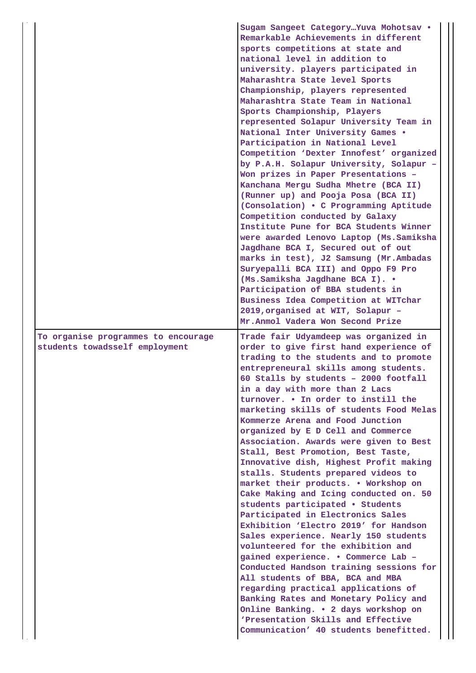|                                                                       | Sugam Sangeet Category Yuva Mohotsav .<br>Remarkable Achievements in different<br>sports competitions at state and<br>national level in addition to<br>university. players participated in<br>Maharashtra State level Sports<br>Championship, players represented<br>Maharashtra State Team in National<br>Sports Championship, Players<br>represented Solapur University Team in<br>National Inter University Games .<br>Participation in National Level<br>Competition 'Dexter Innofest' organized<br>by P.A.H. Solapur University, Solapur -<br>Won prizes in Paper Presentations -<br>Kanchana Mergu Sudha Mhetre (BCA II)<br>(Runner up) and Pooja Posa (BCA II)<br>(Consolation) . C Programming Aptitude<br>Competition conducted by Galaxy<br>Institute Pune for BCA Students Winner<br>were awarded Lenovo Laptop (Ms. Samiksha<br>Jagdhane BCA I, Secured out of out<br>marks in test), J2 Samsung (Mr.Ambadas<br>Suryepalli BCA III) and Oppo F9 Pro<br>(Ms.Samiksha Jagdhane BCA I). .<br>Participation of BBA students in<br>Business Idea Competition at WITchar<br>2019, organised at WIT, Solapur -<br>Mr.Anmol Vadera Won Second Prize                                     |
|-----------------------------------------------------------------------|---------------------------------------------------------------------------------------------------------------------------------------------------------------------------------------------------------------------------------------------------------------------------------------------------------------------------------------------------------------------------------------------------------------------------------------------------------------------------------------------------------------------------------------------------------------------------------------------------------------------------------------------------------------------------------------------------------------------------------------------------------------------------------------------------------------------------------------------------------------------------------------------------------------------------------------------------------------------------------------------------------------------------------------------------------------------------------------------------------------------------------------------------------------------------------------------|
| To organise programmes to encourage<br>students towadsself employment | Trade fair Udyamdeep was organized in<br>order to give first hand experience of<br>trading to the students and to promote<br>entrepreneural skills among students.<br>60 Stalls by students - 2000 footfall<br>in a day with more than 2 Lacs<br>turnover. . In order to instill the<br>marketing skills of students Food Melas<br>Kommerze Arena and Food Junction<br>organized by E D Cell and Commerce<br>Association. Awards were given to Best<br>Stall, Best Promotion, Best Taste,<br>Innovative dish, Highest Profit making<br>stalls. Students prepared videos to<br>market their products. . Workshop on<br>Cake Making and Icing conducted on. 50<br>students participated • Students<br>Participated in Electronics Sales<br>Exhibition 'Electro 2019' for Handson<br>Sales experience. Nearly 150 students<br>volunteered for the exhibition and<br>gained experience. . Commerce Lab -<br>Conducted Handson training sessions for<br>All students of BBA, BCA and MBA<br>regarding practical applications of<br>Banking Rates and Monetary Policy and<br>Online Banking. . 2 days workshop on<br>'Presentation Skills and Effective<br>Communication' 40 students benefitted. |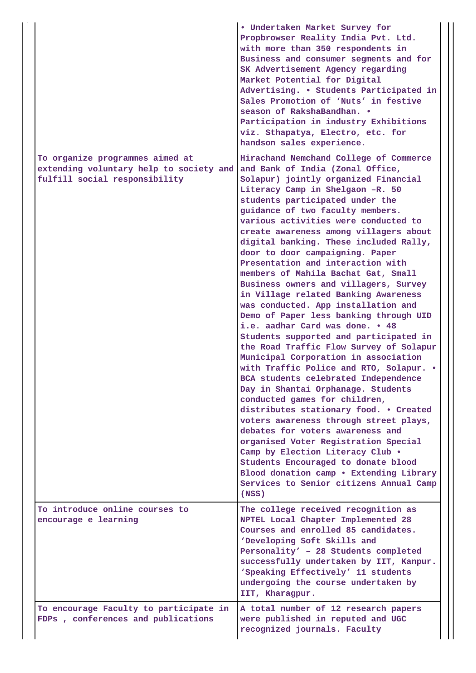|                                                                                                             | • Undertaken Market Survey for<br>Propbrowser Reality India Pvt. Ltd.<br>with more than 350 respondents in<br>Business and consumer segments and for<br>SK Advertisement Agency regarding<br>Market Potential for Digital<br>Advertising. . Students Participated in<br>Sales Promotion of 'Nuts' in festive<br>season of RakshaBandhan. .<br>Participation in industry Exhibitions<br>viz. Sthapatya, Electro, etc. for<br>handson sales experience.                                                                                                                                                                                                                                                                                                                                                                                                                                                                                                                                                                                                                                                                                                                                                                                                                                                          |
|-------------------------------------------------------------------------------------------------------------|----------------------------------------------------------------------------------------------------------------------------------------------------------------------------------------------------------------------------------------------------------------------------------------------------------------------------------------------------------------------------------------------------------------------------------------------------------------------------------------------------------------------------------------------------------------------------------------------------------------------------------------------------------------------------------------------------------------------------------------------------------------------------------------------------------------------------------------------------------------------------------------------------------------------------------------------------------------------------------------------------------------------------------------------------------------------------------------------------------------------------------------------------------------------------------------------------------------------------------------------------------------------------------------------------------------|
| To organize programmes aimed at<br>extending voluntary help to society and<br>fulfill social responsibility | Hirachand Nemchand College of Commerce<br>and Bank of India (Zonal Office,<br>Solapur) jointly organized Financial<br>Literacy Camp in Shelgaon -R. 50<br>students participated under the<br>guidance of two faculty members.<br>various activities were conducted to<br>create awareness among villagers about<br>digital banking. These included Rally,<br>door to door campaigning. Paper<br>Presentation and interaction with<br>members of Mahila Bachat Gat, Small<br>Business owners and villagers, Survey<br>in Village related Banking Awareness<br>was conducted. App installation and<br>Demo of Paper less banking through UID<br>i.e. aadhar Card was done. . 48<br>Students supported and participated in<br>the Road Traffic Flow Survey of Solapur<br>Municipal Corporation in association<br>with Traffic Police and RTO, Solapur. .<br>BCA students celebrated Independence<br>Day in Shantai Orphanage. Students<br>conducted games for children,<br>distributes stationary food. . Created<br>voters awareness through street plays,<br>debates for voters awareness and<br>organised Voter Registration Special<br>Camp by Election Literacy Club .<br>Students Encouraged to donate blood<br>Blood donation camp . Extending Library<br>Services to Senior citizens Annual Camp<br>(NSS) |
| To introduce online courses to<br>encourage e learning                                                      | The college received recognition as<br>NPTEL Local Chapter Implemented 28<br>Courses and enrolled 85 candidates.<br>'Developing Soft Skills and<br>Personality' - 28 Students completed<br>successfully undertaken by IIT, Kanpur.<br>'Speaking Effectively' 11 students<br>undergoing the course undertaken by<br>IIT, Kharagpur.                                                                                                                                                                                                                                                                                                                                                                                                                                                                                                                                                                                                                                                                                                                                                                                                                                                                                                                                                                             |
| To encourage Faculty to participate in<br>FDPs, conferences and publications                                | A total number of 12 research papers<br>were published in reputed and UGC<br>recognized journals. Faculty                                                                                                                                                                                                                                                                                                                                                                                                                                                                                                                                                                                                                                                                                                                                                                                                                                                                                                                                                                                                                                                                                                                                                                                                      |

 $\mathbf{I}$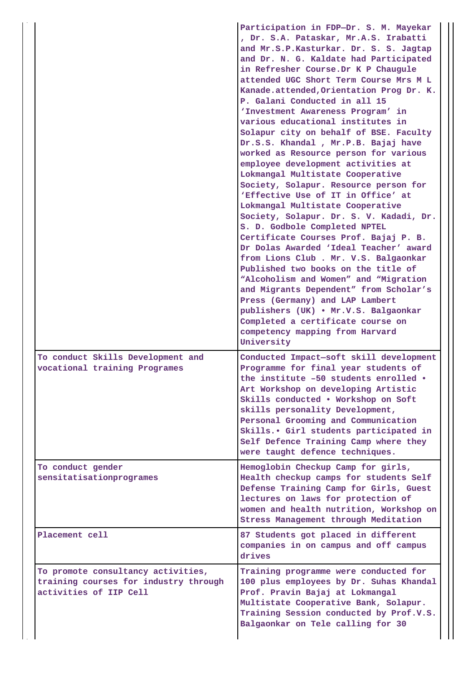|                                                                                                       | Participation in FDP-Dr. S. M. Mayekar<br>, Dr. S.A. Pataskar, Mr.A.S. Irabatti<br>and Mr.S.P.Kasturkar. Dr. S. S. Jagtap<br>and Dr. N. G. Kaldate had Participated<br>in Refresher Course. Dr K P Chaugule<br>attended UGC Short Term Course Mrs M L<br>Kanade.attended, Orientation Prog Dr. K.<br>P. Galani Conducted in all 15<br>'Investment Awareness Program' in<br>various educational institutes in<br>Solapur city on behalf of BSE. Faculty<br>Dr.S.S. Khandal, Mr.P.B. Bajaj have<br>worked as Resource person for various<br>employee development activities at<br>Lokmangal Multistate Cooperative<br>Society, Solapur. Resource person for<br>'Effective Use of IT in Office' at<br>Lokmangal Multistate Cooperative<br>Society, Solapur. Dr. S. V. Kadadi, Dr.<br>S. D. Godbole Completed NPTEL<br>Certificate Courses Prof. Bajaj P. B.<br>Dr Dolas Awarded 'Ideal Teacher' award<br>from Lions Club . Mr. V.S. Balgaonkar<br>Published two books on the title of<br>"Alcoholism and Women" and "Migration<br>and Migrants Dependent" from Scholar's<br>Press (Germany) and LAP Lambert<br>publishers (UK) . Mr.V.S. Balgaonkar<br>Completed a certificate course on<br>competency mapping from Harvard<br>University |  |
|-------------------------------------------------------------------------------------------------------|----------------------------------------------------------------------------------------------------------------------------------------------------------------------------------------------------------------------------------------------------------------------------------------------------------------------------------------------------------------------------------------------------------------------------------------------------------------------------------------------------------------------------------------------------------------------------------------------------------------------------------------------------------------------------------------------------------------------------------------------------------------------------------------------------------------------------------------------------------------------------------------------------------------------------------------------------------------------------------------------------------------------------------------------------------------------------------------------------------------------------------------------------------------------------------------------------------------------------------------|--|
| To conduct Skills Development and<br>vocational training Programes                                    | Conducted Impact-soft skill development<br>Programme for final year students of<br>the institute -50 students enrolled .<br>Art Workshop on developing Artistic<br>Skills conducted . Workshop on Soft<br>skills personality Development,<br>Personal Grooming and Communication<br>Skills. • Girl students participated in<br>Self Defence Training Camp where they<br>were taught defence techniques.                                                                                                                                                                                                                                                                                                                                                                                                                                                                                                                                                                                                                                                                                                                                                                                                                                |  |
| To conduct gender<br>sensitatisationprogrames                                                         | Hemoglobin Checkup Camp for girls,<br>Health checkup camps for students Self<br>Defense Training Camp for Girls, Guest<br>lectures on laws for protection of<br>women and health nutrition, Workshop on<br>Stress Management through Meditation                                                                                                                                                                                                                                                                                                                                                                                                                                                                                                                                                                                                                                                                                                                                                                                                                                                                                                                                                                                        |  |
| Placement cell                                                                                        | 87 Students got placed in different<br>companies in on campus and off campus<br>drives                                                                                                                                                                                                                                                                                                                                                                                                                                                                                                                                                                                                                                                                                                                                                                                                                                                                                                                                                                                                                                                                                                                                                 |  |
| To promote consultancy activities,<br>training courses for industry through<br>activities of IIP Cell | Training programme were conducted for<br>100 plus employees by Dr. Suhas Khandal<br>Prof. Pravin Bajaj at Lokmangal<br>Multistate Cooperative Bank, Solapur.<br>Training Session conducted by Prof.V.S.<br>Balgaonkar on Tele calling for 30                                                                                                                                                                                                                                                                                                                                                                                                                                                                                                                                                                                                                                                                                                                                                                                                                                                                                                                                                                                           |  |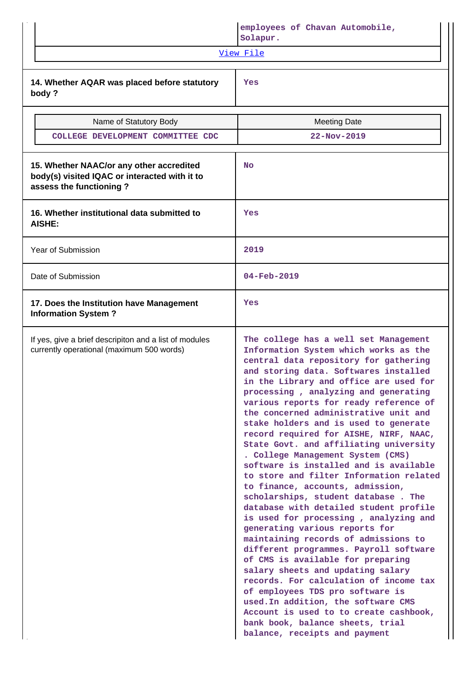|                                                                                                                      | employees of Chavan Automobile,<br>Solapur.                                                                                                                                                                                                                                                                                                                                                                                                                                                                                                                                                                                                                                                                                                                                                                                                                                                                                                                                                                                                                                                                                                                                                  |
|----------------------------------------------------------------------------------------------------------------------|----------------------------------------------------------------------------------------------------------------------------------------------------------------------------------------------------------------------------------------------------------------------------------------------------------------------------------------------------------------------------------------------------------------------------------------------------------------------------------------------------------------------------------------------------------------------------------------------------------------------------------------------------------------------------------------------------------------------------------------------------------------------------------------------------------------------------------------------------------------------------------------------------------------------------------------------------------------------------------------------------------------------------------------------------------------------------------------------------------------------------------------------------------------------------------------------|
|                                                                                                                      | View File                                                                                                                                                                                                                                                                                                                                                                                                                                                                                                                                                                                                                                                                                                                                                                                                                                                                                                                                                                                                                                                                                                                                                                                    |
| 14. Whether AQAR was placed before statutory<br>body?                                                                | Yes                                                                                                                                                                                                                                                                                                                                                                                                                                                                                                                                                                                                                                                                                                                                                                                                                                                                                                                                                                                                                                                                                                                                                                                          |
| Name of Statutory Body                                                                                               | <b>Meeting Date</b>                                                                                                                                                                                                                                                                                                                                                                                                                                                                                                                                                                                                                                                                                                                                                                                                                                                                                                                                                                                                                                                                                                                                                                          |
| COLLEGE DEVELOPMENT COMMITTEE CDC                                                                                    | $22 - Nov - 2019$                                                                                                                                                                                                                                                                                                                                                                                                                                                                                                                                                                                                                                                                                                                                                                                                                                                                                                                                                                                                                                                                                                                                                                            |
| 15. Whether NAAC/or any other accredited<br>body(s) visited IQAC or interacted with it to<br>assess the functioning? | <b>No</b>                                                                                                                                                                                                                                                                                                                                                                                                                                                                                                                                                                                                                                                                                                                                                                                                                                                                                                                                                                                                                                                                                                                                                                                    |
| 16. Whether institutional data submitted to<br>AISHE:                                                                | Yes                                                                                                                                                                                                                                                                                                                                                                                                                                                                                                                                                                                                                                                                                                                                                                                                                                                                                                                                                                                                                                                                                                                                                                                          |
| Year of Submission                                                                                                   | 2019                                                                                                                                                                                                                                                                                                                                                                                                                                                                                                                                                                                                                                                                                                                                                                                                                                                                                                                                                                                                                                                                                                                                                                                         |
| Date of Submission                                                                                                   | $04 - Feb - 2019$                                                                                                                                                                                                                                                                                                                                                                                                                                                                                                                                                                                                                                                                                                                                                                                                                                                                                                                                                                                                                                                                                                                                                                            |
| 17. Does the Institution have Management<br><b>Information System?</b>                                               | Yes                                                                                                                                                                                                                                                                                                                                                                                                                                                                                                                                                                                                                                                                                                                                                                                                                                                                                                                                                                                                                                                                                                                                                                                          |
| If yes, give a brief descripiton and a list of modules<br>currently operational (maximum 500 words)                  | The college has a well set Management<br>Information System which works as the<br>central data repository for gathering<br>and storing data. Softwares installed<br>in the Library and office are used for<br>processing, analyzing and generating<br>various reports for ready reference of<br>the concerned administrative unit and<br>stake holders and is used to generate<br>record required for AISHE, NIRF, NAAC,<br>State Govt. and affiliating university<br>. College Management System (CMS)<br>software is installed and is available<br>to store and filter Information related<br>to finance, accounts, admission,<br>scholarships, student database. The<br>database with detailed student profile<br>is used for processing, analyzing and<br>generating various reports for<br>maintaining records of admissions to<br>different programmes. Payroll software<br>of CMS is available for preparing<br>salary sheets and updating salary<br>records. For calculation of income tax<br>of employees TDS pro software is<br>used. In addition, the software CMS<br>Account is used to to create cashbook,<br>bank book, balance sheets, trial<br>balance, receipts and payment |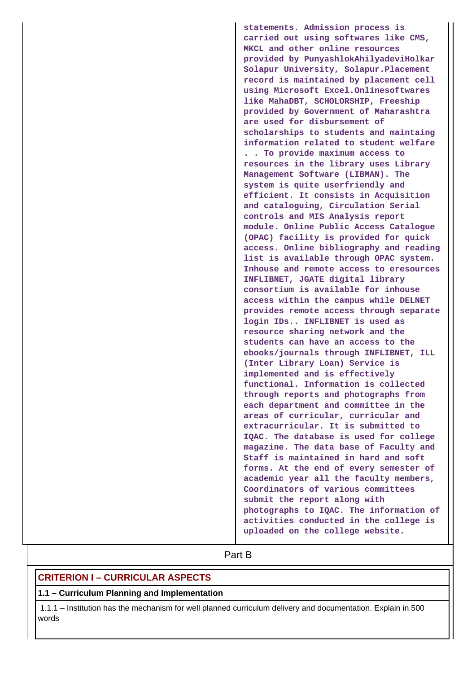**statements. Admission process is carried out using softwares like CMS, MKCL and other online resources provided by PunyashlokAhilyadeviHolkar Solapur University, Solapur.Placement record is maintained by placement cell using Microsoft Excel.Onlinesoftwares like MahaDBT, SCHOLORSHIP, Freeship provided by Government of Maharashtra are used for disbursement of scholarships to students and maintaing information related to student welfare . . To provide maximum access to resources in the library uses Library Management Software (LIBMAN). The system is quite userfriendly and efficient. It consists in Acquisition and cataloguing, Circulation Serial controls and MIS Analysis report module. Online Public Access Catalogue (OPAC) facility is provided for quick access. Online bibliography and reading list is available through OPAC system. Inhouse and remote access to eresources INFLIBNET, JGATE digital library consortium is available for inhouse access within the campus while DELNET provides remote access through separate login IDs.. INFLIBNET is used as resource sharing network and the students can have an access to the ebooks/journals through INFLIBNET, ILL (Inter Library Loan) Service is implemented and is effectively functional. Information is collected through reports and photographs from each department and committee in the areas of curricular, curricular and extracurricular. It is submitted to IQAC. The database is used for college magazine. The data base of Faculty and Staff is maintained in hard and soft forms. At the end of every semester of academic year all the faculty members, Coordinators of various committees submit the report along with photographs to IQAC. The information of activities conducted in the college is uploaded on the college website.**

# **Part B**

### **CRITERION I – CURRICULAR ASPECTS**

#### **1.1 – Curriculum Planning and Implementation**

 1.1.1 – Institution has the mechanism for well planned curriculum delivery and documentation. Explain in 500 words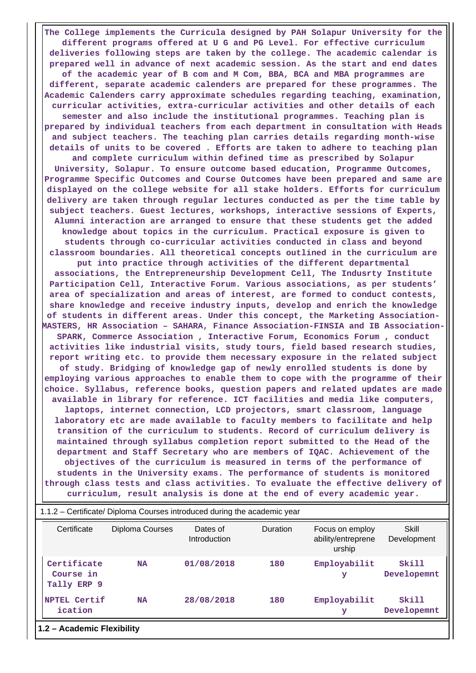**The College implements the Curricula designed by PAH Solapur University for the different programs offered at U G and PG Level. For effective curriculum deliveries following steps are taken by the college. The academic calendar is prepared well in advance of next academic session. As the start and end dates of the academic year of B com and M Com, BBA, BCA and MBA programmes are different, separate academic calenders are prepared for these programmes. The Academic Calenders carry approximate schedules regarding teaching, examination, curricular activities, extra-curricular activities and other details of each semester and also include the institutional programmes. Teaching plan is prepared by individual teachers from each department in consultation with Heads and subject teachers. The teaching plan carries details regarding month-wise details of units to be covered . Efforts are taken to adhere to teaching plan and complete curriculum within defined time as prescribed by Solapur University, Solapur. To ensure outcome based education, Programme Outcomes, Programme Specific Outcomes and Course Outcomes have been prepared and same are displayed on the college website for all stake holders. Efforts for curriculum delivery are taken through regular lectures conducted as per the time table by subject teachers. Guest lectures, workshops, interactive sessions of Experts, Alumni interaction are arranged to ensure that these students get the added knowledge about topics in the curriculum. Practical exposure is given to students through co-curricular activities conducted in class and beyond classroom boundaries. All theoretical concepts outlined in the curriculum are put into practice through activities of the different departmental associations, the Entrepreneurship Development Cell, The Indusrty Institute Participation Cell, Interactive Forum. Various associations, as per students' area of specialization and areas of interest, are formed to conduct contests, share knowledge and receive industry inputs, develop and enrich the knowledge of students in different areas. Under this concept, the Marketing Association-MASTERS, HR Association – SAHARA, Finance Association-FINSIA and IB Association-SPARK, Commerce Association , Interactive Forum, Economics Forum , conduct activities like industrial visits, study tours, field based research studies, report writing etc. to provide them necessary exposure in the related subject of study. Bridging of knowledge gap of newly enrolled students is done by employing various approaches to enable them to cope with the programme of their choice. Syllabus, reference books, question papers and related updates are made available in library for reference. ICT facilities and media like computers, laptops, internet connection, LCD projectors, smart classroom, language laboratory etc are made available to faculty members to facilitate and help transition of the curriculum to students. Record of curriculum delivery is maintained through syllabus completion report submitted to the Head of the department and Staff Secretary who are members of IQAC. Achievement of the objectives of the curriculum is measured in terms of the performance of students in the University exams. The performance of students is monitored through class tests and class activities. To evaluate the effective delivery of curriculum, result analysis is done at the end of every academic year.**

| Certificate                             | Diploma Courses | Dates of<br>Introduction | <b>Duration</b> | Focus on employ<br>ability/entreprene<br>urship | Skill<br>Development |
|-----------------------------------------|-----------------|--------------------------|-----------------|-------------------------------------------------|----------------------|
| Certificate<br>Course in<br>Tally ERP 9 | <b>NA</b>       | 01/08/2018               | 180             | Employabilit<br>У                               | Skill<br>Developemnt |
| NPTEL Certif<br>ication                 | <b>NA</b>       | 28/08/2018               | 180             | Employabilit<br>У                               | Skill<br>Developemnt |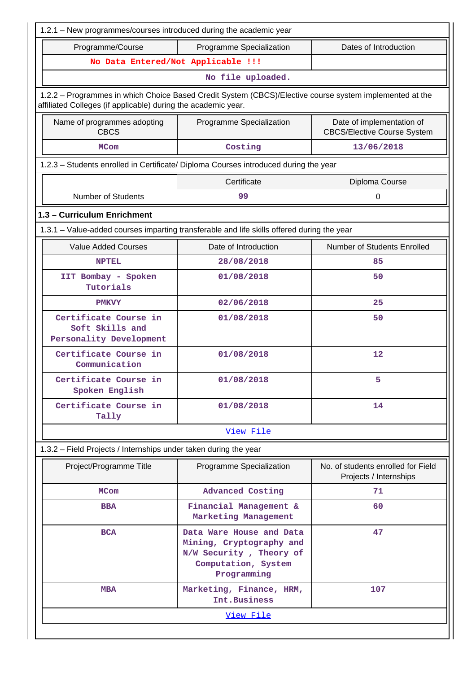| 1.2.1 - New programmes/courses introduced during the academic year                                                                                                       |                                                                                                                             |                                                              |  |  |  |  |  |  |  |  |
|--------------------------------------------------------------------------------------------------------------------------------------------------------------------------|-----------------------------------------------------------------------------------------------------------------------------|--------------------------------------------------------------|--|--|--|--|--|--|--|--|
| Dates of Introduction<br>Programme/Course<br>Programme Specialization                                                                                                    |                                                                                                                             |                                                              |  |  |  |  |  |  |  |  |
|                                                                                                                                                                          | No Data Entered/Not Applicable !!!                                                                                          |                                                              |  |  |  |  |  |  |  |  |
| No file uploaded.                                                                                                                                                        |                                                                                                                             |                                                              |  |  |  |  |  |  |  |  |
| 1.2.2 - Programmes in which Choice Based Credit System (CBCS)/Elective course system implemented at the<br>affiliated Colleges (if applicable) during the academic year. |                                                                                                                             |                                                              |  |  |  |  |  |  |  |  |
| Name of programmes adopting<br>Date of implementation of<br>Programme Specialization<br><b>CBCS</b><br><b>CBCS/Elective Course System</b>                                |                                                                                                                             |                                                              |  |  |  |  |  |  |  |  |
| <b>MCom</b>                                                                                                                                                              | Costing                                                                                                                     | 13/06/2018                                                   |  |  |  |  |  |  |  |  |
| 1.2.3 - Students enrolled in Certificate/ Diploma Courses introduced during the year                                                                                     |                                                                                                                             |                                                              |  |  |  |  |  |  |  |  |
|                                                                                                                                                                          | Certificate<br>Diploma Course                                                                                               |                                                              |  |  |  |  |  |  |  |  |
| <b>Number of Students</b>                                                                                                                                                | 99                                                                                                                          | $\mathbf 0$                                                  |  |  |  |  |  |  |  |  |
| 1.3 - Curriculum Enrichment                                                                                                                                              |                                                                                                                             |                                                              |  |  |  |  |  |  |  |  |
| 1.3.1 – Value-added courses imparting transferable and life skills offered during the year                                                                               |                                                                                                                             |                                                              |  |  |  |  |  |  |  |  |
| <b>Value Added Courses</b>                                                                                                                                               | Date of Introduction                                                                                                        | Number of Students Enrolled                                  |  |  |  |  |  |  |  |  |
| <b>NPTEL</b>                                                                                                                                                             | 28/08/2018                                                                                                                  | 85                                                           |  |  |  |  |  |  |  |  |
| IIT Bombay - Spoken<br>Tutorials                                                                                                                                         | 01/08/2018<br>50                                                                                                            |                                                              |  |  |  |  |  |  |  |  |
| <b>PMKVY</b>                                                                                                                                                             | 25                                                                                                                          |                                                              |  |  |  |  |  |  |  |  |
| Certificate Course in<br>Soft Skills and<br>Personality Development                                                                                                      | 01/08/2018                                                                                                                  | 50                                                           |  |  |  |  |  |  |  |  |
| Certificate Course in<br>Communication                                                                                                                                   | 01/08/2018                                                                                                                  | 12                                                           |  |  |  |  |  |  |  |  |
| Certificate Course in<br>Spoken English                                                                                                                                  | 01/08/2018                                                                                                                  | 5.                                                           |  |  |  |  |  |  |  |  |
| Certificate Course in<br>Tally                                                                                                                                           | 01/08/2018                                                                                                                  | 14                                                           |  |  |  |  |  |  |  |  |
|                                                                                                                                                                          | View File                                                                                                                   |                                                              |  |  |  |  |  |  |  |  |
| 1.3.2 - Field Projects / Internships under taken during the year                                                                                                         |                                                                                                                             |                                                              |  |  |  |  |  |  |  |  |
| Project/Programme Title                                                                                                                                                  | Programme Specialization                                                                                                    | No. of students enrolled for Field<br>Projects / Internships |  |  |  |  |  |  |  |  |
| <b>MCom</b>                                                                                                                                                              | <b>Advanced Costing</b>                                                                                                     | 71                                                           |  |  |  |  |  |  |  |  |
| <b>BBA</b>                                                                                                                                                               | Financial Management &<br>Marketing Management                                                                              | 60                                                           |  |  |  |  |  |  |  |  |
| <b>BCA</b>                                                                                                                                                               | 47<br>Data Ware House and Data<br>Mining, Cryptography and<br>N/W Security, Theory of<br>Computation, System<br>Programming |                                                              |  |  |  |  |  |  |  |  |
| <b>MBA</b>                                                                                                                                                               | Marketing, Finance, HRM,<br>Int.Business                                                                                    | 107                                                          |  |  |  |  |  |  |  |  |
|                                                                                                                                                                          | View File                                                                                                                   |                                                              |  |  |  |  |  |  |  |  |
|                                                                                                                                                                          |                                                                                                                             |                                                              |  |  |  |  |  |  |  |  |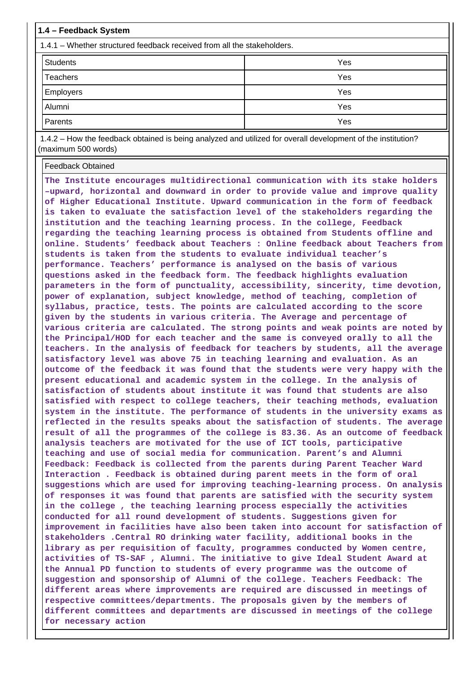| 1.4 – Feedback System                                                   |     |  |  |  |  |  |
|-------------------------------------------------------------------------|-----|--|--|--|--|--|
| 1.4.1 – Whether structured feedback received from all the stakeholders. |     |  |  |  |  |  |
| <b>Students</b>                                                         | Yes |  |  |  |  |  |
| Teachers                                                                | Yes |  |  |  |  |  |
| Employers                                                               | Yes |  |  |  |  |  |
| Alumni                                                                  | Yes |  |  |  |  |  |
| Parents                                                                 | Yes |  |  |  |  |  |

 1.4.2 – How the feedback obtained is being analyzed and utilized for overall development of the institution? (maximum 500 words)

Feedback Obtained

**The Institute encourages multidirectional communication with its stake holders –upward, horizontal and downward in order to provide value and improve quality of Higher Educational Institute. Upward communication in the form of feedback is taken to evaluate the satisfaction level of the stakeholders regarding the institution and the teaching learning process. In the college, Feedback regarding the teaching learning process is obtained from Students offline and online. Students' feedback about Teachers : Online feedback about Teachers from students is taken from the students to evaluate individual teacher's performance. Teachers' performance is analysed on the basis of various questions asked in the feedback form. The feedback highlights evaluation parameters in the form of punctuality, accessibility, sincerity, time devotion, power of explanation, subject knowledge, method of teaching, completion of syllabus, practice, tests. The points are calculated according to the score given by the students in various criteria. The Average and percentage of various criteria are calculated. The strong points and weak points are noted by the Principal/HOD for each teacher and the same is conveyed orally to all the teachers. In the analysis of feedback for teachers by students, all the average satisfactory level was above 75 in teaching learning and evaluation. As an outcome of the feedback it was found that the students were very happy with the present educational and academic system in the college. In the analysis of satisfaction of students about institute it was found that students are also satisfied with respect to college teachers, their teaching methods, evaluation system in the institute. The performance of students in the university exams as reflected in the results speaks about the satisfaction of students. The average result of all the programmes of the college is 83.36. As an outcome of feedback analysis teachers are motivated for the use of ICT tools, participative teaching and use of social media for communication. Parent's and Alumni Feedback: Feedback is collected from the parents during Parent Teacher Ward Interaction . Feedback is obtained during parent meets in the form of oral suggestions which are used for improving teaching-learning process. On analysis of responses it was found that parents are satisfied with the security system in the college , the teaching learning process especially the activities conducted for all round development of students. Suggestions given for improvement in facilities have also been taken into account for satisfaction of stakeholders .Central RO drinking water facility, additional books in the library as per requisition of faculty, programmes conducted by Women centre, activities of TS-SAF , Alumni. The initiative to give Ideal Student Award at the Annual PD function to students of every programme was the outcome of suggestion and sponsorship of Alumni of the college. Teachers Feedback: The different areas where improvements are required are discussed in meetings of respective committees/departments. The proposals given by the members of different committees and departments are discussed in meetings of the college for necessary action**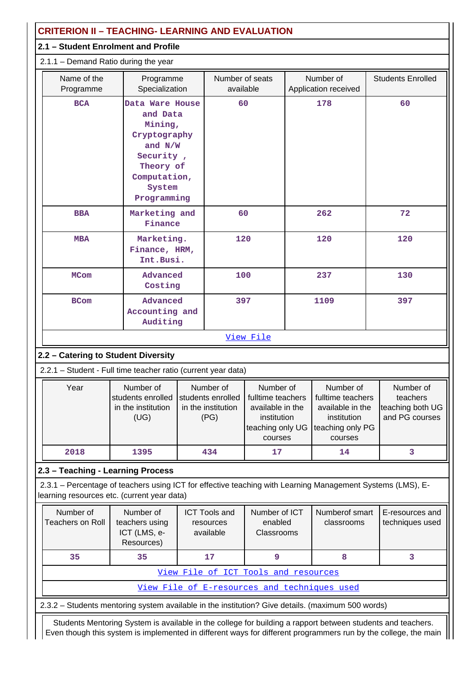| <b>CRITERION II - TEACHING- LEARNING AND EVALUATION</b>                                                                                                   |                                                              |                                                                                                                                        |                                                              |                                                                                                  |      |                                                                                                  |                                                             |  |
|-----------------------------------------------------------------------------------------------------------------------------------------------------------|--------------------------------------------------------------|----------------------------------------------------------------------------------------------------------------------------------------|--------------------------------------------------------------|--------------------------------------------------------------------------------------------------|------|--------------------------------------------------------------------------------------------------|-------------------------------------------------------------|--|
| 2.1 - Student Enrolment and Profile                                                                                                                       |                                                              |                                                                                                                                        |                                                              |                                                                                                  |      |                                                                                                  |                                                             |  |
| 2.1.1 - Demand Ratio during the year                                                                                                                      |                                                              |                                                                                                                                        |                                                              |                                                                                                  |      |                                                                                                  |                                                             |  |
| Name of the<br>Programme                                                                                                                                  | Programme<br>Specialization                                  |                                                                                                                                        | Number of seats<br>available                                 |                                                                                                  |      | Number of<br>Application received                                                                | <b>Students Enrolled</b>                                    |  |
| <b>BCA</b>                                                                                                                                                |                                                              | Data Ware House<br>and Data<br>Mining,<br>Cryptography<br>and $N/W$<br>Security,<br>Theory of<br>Computation,<br>System<br>Programming |                                                              | 60                                                                                               |      | 178                                                                                              | 60                                                          |  |
| <b>BBA</b>                                                                                                                                                | Marketing and<br>Finance                                     |                                                                                                                                        | 60                                                           |                                                                                                  |      | 262                                                                                              | 72                                                          |  |
| <b>MBA</b>                                                                                                                                                | Marketing.<br>Finance, HRM,<br>Int.Busi.                     |                                                                                                                                        | 120                                                          |                                                                                                  |      | 120                                                                                              | 120                                                         |  |
| <b>MCom</b>                                                                                                                                               | Advanced<br>Costing                                          |                                                                                                                                        | 100                                                          |                                                                                                  |      | 237                                                                                              | 130                                                         |  |
| <b>BCom</b>                                                                                                                                               | Advanced<br>Accounting and<br>Auditing                       |                                                                                                                                        | 397                                                          |                                                                                                  | 1109 |                                                                                                  | 397                                                         |  |
|                                                                                                                                                           |                                                              |                                                                                                                                        |                                                              | View File                                                                                        |      |                                                                                                  |                                                             |  |
| 2.2 - Catering to Student Diversity                                                                                                                       |                                                              |                                                                                                                                        |                                                              |                                                                                                  |      |                                                                                                  |                                                             |  |
| 2.2.1 - Student - Full time teacher ratio (current year data)                                                                                             |                                                              |                                                                                                                                        |                                                              |                                                                                                  |      |                                                                                                  |                                                             |  |
| Year                                                                                                                                                      | Number of<br>students enrolled<br>in the institution<br>(UG) |                                                                                                                                        | Number of<br>students enrolled<br>in the institution<br>(PG) | Number of<br>fulltime teachers<br>available in the<br>institution<br>teaching only UG<br>courses |      | Number of<br>fulltime teachers<br>available in the<br>institution<br>teaching only PG<br>courses | Number of<br>teachers<br>teaching both UG<br>and PG courses |  |
| 2018                                                                                                                                                      | 1395                                                         |                                                                                                                                        | 434                                                          | 17                                                                                               |      | 14                                                                                               | 3                                                           |  |
| 2.3 - Teaching - Learning Process                                                                                                                         |                                                              |                                                                                                                                        |                                                              |                                                                                                  |      |                                                                                                  |                                                             |  |
| 2.3.1 - Percentage of teachers using ICT for effective teaching with Learning Management Systems (LMS), E-<br>learning resources etc. (current year data) |                                                              |                                                                                                                                        |                                                              |                                                                                                  |      |                                                                                                  |                                                             |  |
| Number of<br><b>Teachers on Roll</b>                                                                                                                      | Number of<br>teachers using<br>ICT (LMS, e-<br>Resources)    |                                                                                                                                        | <b>ICT Tools and</b><br>resources<br>available               | Number of ICT<br>enabled<br>Classrooms                                                           |      | Numberof smart<br>classrooms                                                                     | E-resources and<br>techniques used                          |  |
| 35                                                                                                                                                        | 35                                                           |                                                                                                                                        | 17                                                           | 9                                                                                                |      | 8                                                                                                | 3                                                           |  |
|                                                                                                                                                           |                                                              |                                                                                                                                        | View File of ICT Tools and resources                         |                                                                                                  |      |                                                                                                  |                                                             |  |
|                                                                                                                                                           |                                                              |                                                                                                                                        |                                                              |                                                                                                  |      | View File of E-resources and techniques used                                                     |                                                             |  |
| 2.3.2 - Students mentoring system available in the institution? Give details. (maximum 500 words)                                                         |                                                              |                                                                                                                                        |                                                              |                                                                                                  |      |                                                                                                  |                                                             |  |

 Students Mentoring System is available in the college for building a rapport between students and teachers. Even though this system is implemented in different ways for different programmers run by the college, the main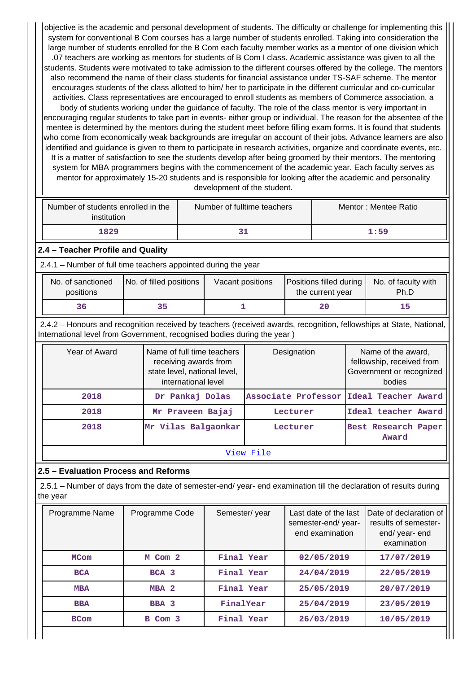objective is the academic and personal development of students. The difficulty or challenge for implementing this system for conventional B Com courses has a large number of students enrolled. Taking into consideration the large number of students enrolled for the B Com each faculty member works as a mentor of one division which .07 teachers are working as mentors for students of B Com I class. Academic assistance was given to all the students. Students were motivated to take admission to the different courses offered by the college. The mentors also recommend the name of their class students for financial assistance under TS-SAF scheme. The mentor encourages students of the class allotted to him/ her to participate in the different curricular and co-curricular activities. Class representatives are encouraged to enroll students as members of Commerce association, a body of students working under the guidance of faculty. The role of the class mentor is very important in encouraging regular students to take part in events- either group or individual. The reason for the absentee of the mentee is determined by the mentors during the student meet before filling exam forms. It is found that students who come from economically weak backgrounds are irregular on account of their jobs. Advance learners are also identified and guidance is given to them to participate in research activities, organize and coordinate events, etc. It is a matter of satisfaction to see the students develop after being groomed by their mentors. The mentoring system for MBA programmers begins with the commencement of the academic year. Each faculty serves as mentor for approximately 15-20 students and is responsible for looking after the academic and personality development of the student.

| Number of students enrolled in the<br>institution | Number of fulltime teachers | Mentor : Mentee Ratio |  |  |
|---------------------------------------------------|-----------------------------|-----------------------|--|--|
| 1829                                              |                             | 1:59                  |  |  |

### **2.4 – Teacher Profile and Quality**

2.4.1 – Number of full time teachers appointed during the year

| No. of sanctioned<br>positions | No. of filled positions | Vacant positions | <b>Positions filled during</b><br>the current year | No. of faculty with<br>Ph.D |
|--------------------------------|-------------------------|------------------|----------------------------------------------------|-----------------------------|
|                                |                         |                  | 20                                                 |                             |

 2.4.2 – Honours and recognition received by teachers (received awards, recognition, fellowships at State, National, International level from Government, recognised bodies during the year )

| Year of Award | Name of full time teachers<br>receiving awards from<br>state level, national level,<br>international level | Designation                             | Name of the award,<br>fellowship, received from<br>Government or recognized<br>bodies |  |  |  |  |  |
|---------------|------------------------------------------------------------------------------------------------------------|-----------------------------------------|---------------------------------------------------------------------------------------|--|--|--|--|--|
| 2018          | Dr Pankaj Dolas                                                                                            | Associate Professor Ideal Teacher Award |                                                                                       |  |  |  |  |  |
| 2018          | Mr Praveen Bajaj                                                                                           | Lecturer                                | Ideal teacher Award                                                                   |  |  |  |  |  |
| 2018          | Mr Vilas Balgaonkar                                                                                        | Lecturer                                | Best Research Paper<br>Award                                                          |  |  |  |  |  |
| View File     |                                                                                                            |                                         |                                                                                       |  |  |  |  |  |

### **2.5 – Evaluation Process and Reforms**

 2.5.1 – Number of days from the date of semester-end/ year- end examination till the declaration of results during the year

| Programme Name | Programme Code   | Semester/year | Last date of the last<br>semester-end/year-<br>end examination | Date of declaration of<br>results of semester-<br>end/year-end<br>examination |
|----------------|------------------|---------------|----------------------------------------------------------------|-------------------------------------------------------------------------------|
| <b>MCom</b>    | M Com 2          | Final Year    | 02/05/2019                                                     | 17/07/2019                                                                    |
| <b>BCA</b>     | BCA <sub>3</sub> | Final Year    | 24/04/2019                                                     | 22/05/2019                                                                    |
| <b>MBA</b>     | MBA <sub>2</sub> | Final Year    | 25/05/2019                                                     | 20/07/2019                                                                    |
| <b>BBA</b>     | BBA <sub>3</sub> | FinalYear     | 25/04/2019                                                     | 23/05/2019                                                                    |
| <b>BCom</b>    | B Com 3          | Final Year    | 26/03/2019                                                     | 10/05/2019                                                                    |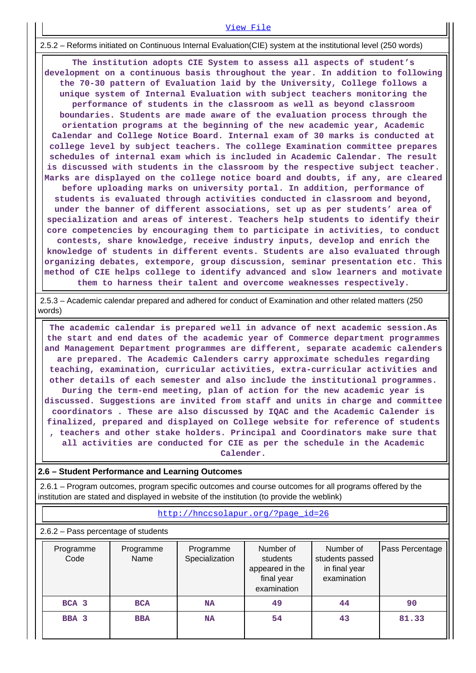#### [View File](https://assessmentonline.naac.gov.in/public/Postacc/Evaluation/3478_Evaluation_1580959670.xlsx)

2.5.2 – Reforms initiated on Continuous Internal Evaluation(CIE) system at the institutional level (250 words)

 **The institution adopts CIE System to assess all aspects of student's development on a continuous basis throughout the year. In addition to following the 70-30 pattern of Evaluation laid by the University, College follows a unique system of Internal Evaluation with subject teachers monitoring the performance of students in the classroom as well as beyond classroom boundaries. Students are made aware of the evaluation process through the orientation programs at the beginning of the new academic year, Academic Calendar and College Notice Board. Internal exam of 30 marks is conducted at college level by subject teachers. The college Examination committee prepares schedules of internal exam which is included in Academic Calendar. The result is discussed with students in the classroom by the respective subject teacher. Marks are displayed on the college notice board and doubts, if any, are cleared before uploading marks on university portal. In addition, performance of students is evaluated through activities conducted in classroom and beyond, under the banner of different associations, set up as per students' area of specialization and areas of interest. Teachers help students to identify their core competencies by encouraging them to participate in activities, to conduct contests, share knowledge, receive industry inputs, develop and enrich the knowledge of students in different events. Students are also evaluated through organizing debates, extempore, group discussion, seminar presentation etc. This method of CIE helps college to identify advanced and slow learners and motivate them to harness their talent and overcome weaknesses respectively.**

 2.5.3 – Academic calendar prepared and adhered for conduct of Examination and other related matters (250 words)

 **The academic calendar is prepared well in advance of next academic session.As the start and end dates of the academic year of Commerce department programmes and Management Department programmes are different, separate academic calenders are prepared. The Academic Calenders carry approximate schedules regarding teaching, examination, curricular activities, extra-curricular activities and other details of each semester and also include the institutional programmes. During the term-end meeting, plan of action for the new academic year is discussed. Suggestions are invited from staff and units in charge and committee coordinators . These are also discussed by IQAC and the Academic Calender is finalized, prepared and displayed on College website for reference of students , teachers and other stake holders. Principal and Coordinators make sure that all activities are conducted for CIE as per the schedule in the Academic Calender.**

#### **2.6 – Student Performance and Learning Outcomes**

 2.6.1 – Program outcomes, program specific outcomes and course outcomes for all programs offered by the institution are stated and displayed in website of the institution (to provide the weblink)

#### [http://hnccsolapur.org/?page\\_id=26](http://hnccsolapur.org/?page_id=26)

2.6.2 – Pass percentage of students

| Programme<br>Code | Programme<br>Name | Programme<br>Specialization | Number of<br>students<br>appeared in the<br>final year<br>examination | Number of<br>students passed<br>in final year<br>examination | Pass Percentage |
|-------------------|-------------------|-----------------------------|-----------------------------------------------------------------------|--------------------------------------------------------------|-----------------|
| BCA 3             | <b>BCA</b>        | <b>NA</b>                   | 49                                                                    | 44                                                           | 90              |
| BBA 3             | <b>BBA</b>        | <b>NA</b>                   | 54                                                                    | 43                                                           | 81.33           |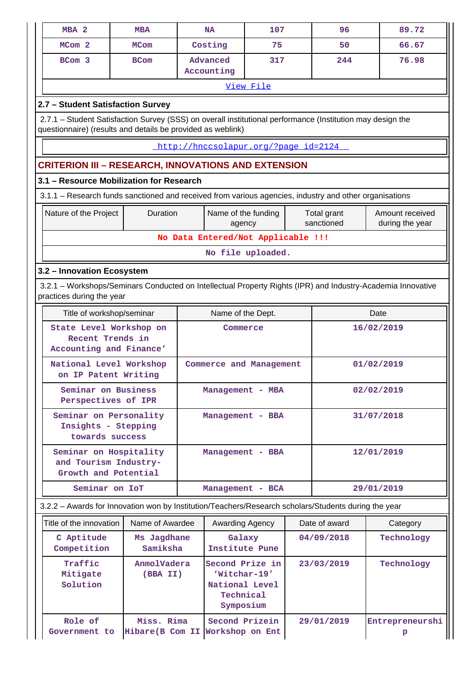| MBA <sub>2</sub>                                                        | <b>MBA</b>                                                                                                                                                                |  | <b>NA</b>                                                                   | 107                                  |            | 96                        | 89.72                                                                                                       |  |  |
|-------------------------------------------------------------------------|---------------------------------------------------------------------------------------------------------------------------------------------------------------------------|--|-----------------------------------------------------------------------------|--------------------------------------|------------|---------------------------|-------------------------------------------------------------------------------------------------------------|--|--|
| MCom <sub>2</sub>                                                       | <b>MCom</b>                                                                                                                                                               |  | Costing                                                                     | 75                                   |            | 50                        | 66.67                                                                                                       |  |  |
| BCom 3                                                                  | <b>BCom</b>                                                                                                                                                               |  | Advanced<br>Accounting                                                      | 317                                  |            | 244                       | 76.98                                                                                                       |  |  |
|                                                                         |                                                                                                                                                                           |  |                                                                             | View File                            |            |                           |                                                                                                             |  |  |
| 2.7 - Student Satisfaction Survey                                       |                                                                                                                                                                           |  |                                                                             |                                      |            |                           |                                                                                                             |  |  |
|                                                                         | 2.7.1 – Student Satisfaction Survey (SSS) on overall institutional performance (Institution may design the<br>questionnaire) (results and details be provided as weblink) |  |                                                                             |                                      |            |                           |                                                                                                             |  |  |
|                                                                         |                                                                                                                                                                           |  |                                                                             | http://hnccsolapur.org/?page_id=2124 |            |                           |                                                                                                             |  |  |
|                                                                         | <b>CRITERION III - RESEARCH, INNOVATIONS AND EXTENSION</b>                                                                                                                |  |                                                                             |                                      |            |                           |                                                                                                             |  |  |
|                                                                         | 3.1 - Resource Mobilization for Research                                                                                                                                  |  |                                                                             |                                      |            |                           |                                                                                                             |  |  |
|                                                                         | 3.1.1 - Research funds sanctioned and received from various agencies, industry and other organisations                                                                    |  |                                                                             |                                      |            |                           |                                                                                                             |  |  |
| Nature of the Project                                                   | Duration                                                                                                                                                                  |  | Name of the funding<br>agency                                               |                                      |            | Total grant<br>sanctioned | Amount received<br>during the year                                                                          |  |  |
|                                                                         |                                                                                                                                                                           |  |                                                                             | No Data Entered/Not Applicable !!!   |            |                           |                                                                                                             |  |  |
|                                                                         |                                                                                                                                                                           |  |                                                                             | No file uploaded.                    |            |                           |                                                                                                             |  |  |
| 3.2 - Innovation Ecosystem                                              |                                                                                                                                                                           |  |                                                                             |                                      |            |                           |                                                                                                             |  |  |
| practices during the year                                               |                                                                                                                                                                           |  |                                                                             |                                      |            |                           | 3.2.1 - Workshops/Seminars Conducted on Intellectual Property Rights (IPR) and Industry-Academia Innovative |  |  |
| Title of workshop/seminar                                               |                                                                                                                                                                           |  | Name of the Dept.                                                           |                                      |            |                           | Date                                                                                                        |  |  |
| State Level Workshop on<br>Recent Trends in<br>Accounting and Finance'  |                                                                                                                                                                           |  | Commerce                                                                    |                                      |            |                           | 16/02/2019                                                                                                  |  |  |
| National Level Workshop<br>on IP Patent Writing                         |                                                                                                                                                                           |  |                                                                             | Commerce and Management              |            |                           | 01/02/2019                                                                                                  |  |  |
| Seminar on Business<br>Perspectives of IPR                              |                                                                                                                                                                           |  | Management - MBA                                                            |                                      |            |                           | 02/02/2019                                                                                                  |  |  |
| Seminar on Personality<br>Insights - Stepping<br>towards success        |                                                                                                                                                                           |  | Management - BBA                                                            |                                      |            |                           | 31/07/2018                                                                                                  |  |  |
| Seminar on Hospitality<br>and Tourism Industry-<br>Growth and Potential |                                                                                                                                                                           |  | Management - BBA                                                            |                                      |            |                           | 12/01/2019                                                                                                  |  |  |
| Seminar on IoT                                                          |                                                                                                                                                                           |  |                                                                             | Management - BCA                     |            |                           | 29/01/2019                                                                                                  |  |  |
|                                                                         | 3.2.2 - Awards for Innovation won by Institution/Teachers/Research scholars/Students during the year                                                                      |  |                                                                             |                                      |            |                           |                                                                                                             |  |  |
| Title of the innovation                                                 | Name of Awardee                                                                                                                                                           |  | Awarding Agency                                                             |                                      |            | Date of award             | Category                                                                                                    |  |  |
| C Aptitude<br>Competition                                               | Ms Jagdhane<br>Samiksha                                                                                                                                                   |  | Galaxy<br>Institute Pune                                                    |                                      |            | 04/09/2018                | Technology                                                                                                  |  |  |
| Traffic<br>Mitigate<br>Solution                                         | AnmolVadera<br>(BBA II)                                                                                                                                                   |  | Second Prize in<br>'Witchar-19'<br>National Level<br>Technical<br>Symposium |                                      | 23/03/2019 |                           | Technology                                                                                                  |  |  |
| Role of<br>Government to                                                | Miss. Rima<br>Hibare (B Com II                                                                                                                                            |  | Second Prizein<br>Workshop on Ent                                           |                                      |            | 29/01/2019                | Entrepreneurshi<br>р                                                                                        |  |  |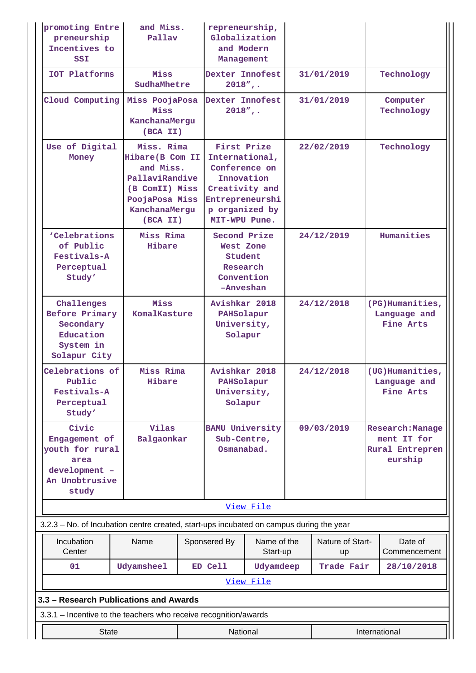| promoting Entre<br>preneurship<br>Incentives to<br>SSI                                        | and Miss.<br>Pallay                                                                                                            |  | repreneurship,<br>Globalization<br>and Modern<br>Management                                                                          |                               |            |                        |            |                                                                             |  |  |  |                        |
|-----------------------------------------------------------------------------------------------|--------------------------------------------------------------------------------------------------------------------------------|--|--------------------------------------------------------------------------------------------------------------------------------------|-------------------------------|------------|------------------------|------------|-----------------------------------------------------------------------------|--|--|--|------------------------|
| IOT Platforms                                                                                 | Miss<br>SudhaMhetre                                                                                                            |  | Dexter Innofest<br>$2018"$ ,.                                                                                                        |                               |            | 31/01/2019             |            | Technology                                                                  |  |  |  |                        |
| Cloud Computing                                                                               | Miss PoojaPosa<br>Miss<br>KanchanaMergu<br>(BCA II)                                                                            |  |                                                                                                                                      | Dexter Innofest<br>$2018"$ ,. |            | 31/01/2019             |            |                                                                             |  |  |  | Computer<br>Technology |
| Use of Digital<br>Money                                                                       | Miss. Rima<br>Hibare (B Com II<br>and Miss.<br>PallaviRandive<br>(B ComII) Miss<br>PoojaPosa Miss<br>KanchanaMergu<br>(BCA II) |  | First Prize<br>International,<br>Conference on<br>Innovation<br>Creativity and<br>Entrepreneurshi<br>p organized by<br>MIT-WPU Pune. |                               | 22/02/2019 |                        | Technology |                                                                             |  |  |  |                        |
| 'Celebrations<br>of Public<br>Festivals-A<br>Perceptual<br>Study'                             | Miss Rima<br>Hibare                                                                                                            |  | Second Prize<br>24/12/2019<br>West Zone<br>Student<br>Research<br>Convention<br>-Anveshan                                            |                               |            |                        | Humanities |                                                                             |  |  |  |                        |
| Challenges<br><b>Before Primary</b><br>Secondary<br>Education<br>System in<br>Solapur City    | Miss<br>KomalKasture                                                                                                           |  | Avishkar 2018<br>PAHSolapur<br>University,<br>Solapur                                                                                |                               | 24/12/2018 |                        |            | (PG)Humanities,<br>Language and<br>Fine Arts                                |  |  |  |                        |
| Celebrations of<br>Public<br>Festivals-A<br>Perceptual<br>Study'                              | Miss Rima<br>Hibare                                                                                                            |  | Avishkar 2018<br>PAHSolapur<br>University,<br>Solapur                                                                                |                               |            | 24/12/2018             |            | (UG) Humanities,<br>Language and<br>Fine Arts                               |  |  |  |                        |
| Civic<br>Engagement of<br>youth for rural<br>area<br>development -<br>An Unobtrusive<br>study | Vilas<br>Balgaonkar                                                                                                            |  | <b>BAMU University</b><br>Sub-Centre,<br>Osmanabad.                                                                                  |                               | 09/03/2019 |                        |            | <b>Research: Manage</b><br>ment IT for<br><b>Rural Entrepren</b><br>eurship |  |  |  |                        |
|                                                                                               |                                                                                                                                |  |                                                                                                                                      | View File                     |            |                        |            |                                                                             |  |  |  |                        |
| 3.2.3 – No. of Incubation centre created, start-ups incubated on campus during the year       |                                                                                                                                |  |                                                                                                                                      |                               |            |                        |            |                                                                             |  |  |  |                        |
| Incubation<br>Center                                                                          | Name                                                                                                                           |  | Sponsered By<br>Name of the<br>Start-up                                                                                              |                               |            | Nature of Start-<br>up |            | Date of<br>Commencement                                                     |  |  |  |                        |
| 01                                                                                            | Udyamsheel                                                                                                                     |  | ED Cell                                                                                                                              | Udyamdeep<br>View File        |            | Trade Fair             |            | 28/10/2018                                                                  |  |  |  |                        |
| 3.3 - Research Publications and Awards                                                        |                                                                                                                                |  |                                                                                                                                      |                               |            |                        |            |                                                                             |  |  |  |                        |
| 3.3.1 - Incentive to the teachers who receive recognition/awards                              |                                                                                                                                |  |                                                                                                                                      |                               |            |                        |            |                                                                             |  |  |  |                        |
| <b>State</b><br>International<br>National                                                     |                                                                                                                                |  |                                                                                                                                      |                               |            |                        |            |                                                                             |  |  |  |                        |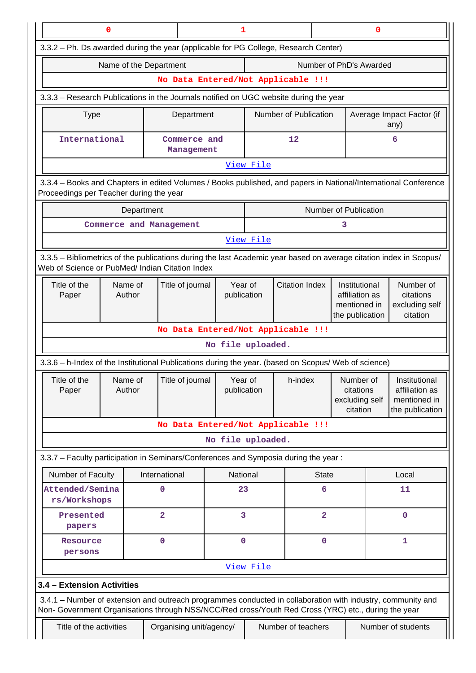| 0                                                                                                                                                                                                                  | 0<br>1         |                                            |                        |           |                       |                                                                                             |                                                      |                                                      |                                                                    |
|--------------------------------------------------------------------------------------------------------------------------------------------------------------------------------------------------------------------|----------------|--------------------------------------------|------------------------|-----------|-----------------------|---------------------------------------------------------------------------------------------|------------------------------------------------------|------------------------------------------------------|--------------------------------------------------------------------|
| 3.3.2 - Ph. Ds awarded during the year (applicable for PG College, Research Center)                                                                                                                                |                |                                            |                        |           |                       |                                                                                             |                                                      |                                                      |                                                                    |
| Name of the Department<br>Number of PhD's Awarded                                                                                                                                                                  |                |                                            |                        |           |                       |                                                                                             |                                                      |                                                      |                                                                    |
| No Data Entered/Not Applicable !!!                                                                                                                                                                                 |                |                                            |                        |           |                       |                                                                                             |                                                      |                                                      |                                                                    |
| 3.3.3 - Research Publications in the Journals notified on UGC website during the year                                                                                                                              |                |                                            |                        |           |                       |                                                                                             |                                                      |                                                      |                                                                    |
| <b>Type</b>                                                                                                                                                                                                        |                | Department                                 |                        |           | Number of Publication |                                                                                             |                                                      |                                                      | Average Impact Factor (if<br>any)                                  |
| International                                                                                                                                                                                                      |                | Commerce and<br>Management                 |                        |           | 12                    |                                                                                             |                                                      |                                                      | 6                                                                  |
|                                                                                                                                                                                                                    |                |                                            |                        | View File |                       |                                                                                             |                                                      |                                                      |                                                                    |
| 3.3.4 - Books and Chapters in edited Volumes / Books published, and papers in National/International Conference<br>Proceedings per Teacher during the year                                                         |                |                                            |                        |           |                       |                                                                                             |                                                      |                                                      |                                                                    |
|                                                                                                                                                                                                                    | Department     |                                            |                        |           |                       | Number of Publication                                                                       |                                                      |                                                      |                                                                    |
| Commerce and Management                                                                                                                                                                                            |                |                                            |                        |           |                       |                                                                                             | 3                                                    |                                                      |                                                                    |
|                                                                                                                                                                                                                    |                |                                            |                        | View File |                       |                                                                                             |                                                      |                                                      |                                                                    |
| 3.3.5 - Bibliometrics of the publications during the last Academic year based on average citation index in Scopus/<br>Web of Science or PubMed/ Indian Citation Index                                              |                |                                            |                        |           |                       |                                                                                             |                                                      |                                                      |                                                                    |
| Title of the<br>Name of<br>Author<br>Paper                                                                                                                                                                         |                | Title of journal<br>Year of<br>publication |                        |           |                       | <b>Citation Index</b><br>Institutional<br>affiliation as<br>mentioned in<br>the publication |                                                      | Number of<br>citations<br>excluding self<br>citation |                                                                    |
|                                                                                                                                                                                                                    |                | No Data Entered/Not Applicable !!!         |                        |           |                       |                                                                                             |                                                      |                                                      |                                                                    |
|                                                                                                                                                                                                                    |                |                                            | No file uploaded.      |           |                       |                                                                                             |                                                      |                                                      |                                                                    |
| 3.3.6 - h-Index of the Institutional Publications during the year. (based on Scopus/ Web of science)                                                                                                               |                |                                            |                        |           |                       |                                                                                             |                                                      |                                                      |                                                                    |
| Title of the<br>Name of<br>Paper<br>Author                                                                                                                                                                         |                | Title of journal                           | Year of<br>publication |           | h-index               |                                                                                             | Number of<br>citations<br>excluding self<br>citation |                                                      | Institutional<br>affiliation as<br>mentioned in<br>the publication |
|                                                                                                                                                                                                                    |                | No Data Entered/Not Applicable !!!         |                        |           |                       |                                                                                             |                                                      |                                                      |                                                                    |
|                                                                                                                                                                                                                    |                |                                            | No file uploaded.      |           |                       |                                                                                             |                                                      |                                                      |                                                                    |
| 3.3.7 - Faculty participation in Seminars/Conferences and Symposia during the year:                                                                                                                                |                |                                            |                        |           |                       |                                                                                             |                                                      |                                                      |                                                                    |
| Number of Faculty                                                                                                                                                                                                  | International  |                                            | National               |           |                       | <b>State</b>                                                                                |                                                      |                                                      | Local                                                              |
| Attended/Semina<br>rs/Workshops                                                                                                                                                                                    | 0              |                                            | 23                     |           |                       | 6                                                                                           |                                                      |                                                      | 11                                                                 |
| Presented<br>papers                                                                                                                                                                                                | $\overline{a}$ |                                            | 3                      |           |                       | $\overline{\mathbf{2}}$                                                                     |                                                      |                                                      | $\mathbf 0$                                                        |
| Resource<br>persons                                                                                                                                                                                                | $\mathbf 0$    |                                            | $\mathbf 0$            |           |                       | $\mathbf 0$                                                                                 |                                                      |                                                      | 1                                                                  |
|                                                                                                                                                                                                                    |                |                                            |                        | View File |                       |                                                                                             |                                                      |                                                      |                                                                    |
| 3.4 - Extension Activities                                                                                                                                                                                         |                |                                            |                        |           |                       |                                                                                             |                                                      |                                                      |                                                                    |
| 3.4.1 – Number of extension and outreach programmes conducted in collaboration with industry, community and<br>Non- Government Organisations through NSS/NCC/Red cross/Youth Red Cross (YRC) etc., during the year |                |                                            |                        |           |                       |                                                                                             |                                                      |                                                      |                                                                    |
| Title of the activities                                                                                                                                                                                            |                | Organising unit/agency/                    |                        |           | Number of teachers    |                                                                                             |                                                      |                                                      | Number of students                                                 |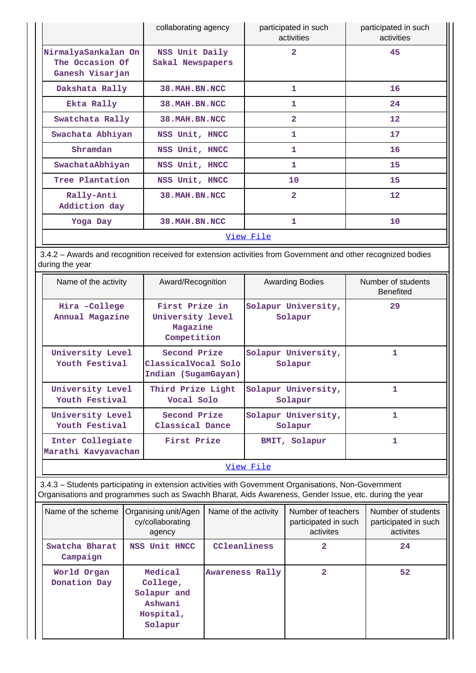|                                                           | collaborating agency               | participated in such<br>activities | participated in such<br>activities |
|-----------------------------------------------------------|------------------------------------|------------------------------------|------------------------------------|
| NirmalyaSankalan On<br>The Occasion Of<br>Ganesh Visarjan | NSS Unit Daily<br>Sakal Newspapers | $\overline{2}$                     | 45                                 |
| Dakshata Rally                                            | 38. MAH. BN. NCC                   | 1                                  | 16                                 |
| Ekta Rally                                                | 38. MAH. BN. NCC                   | 1                                  | 24                                 |
| Swatchata Rally                                           | 38. MAH. BN. NCC                   | $\overline{2}$                     | 12                                 |
| Swachata Abhiyan                                          | NSS Unit, HNCC                     | 1                                  | 17                                 |
| Shramdan                                                  | NSS Unit, HNCC                     | 1                                  | 16                                 |
| SwachataAbhiyan                                           | NSS Unit, HNCC                     | 1                                  | 15                                 |
| Tree Plantation                                           | NSS Unit, HNCC                     | 10                                 | 15                                 |
| Rally-Anti<br>Addiction day                               | 38. MAH. BN. NCC                   | $\overline{2}$                     | 12                                 |
| Yoga Day                                                  | 38. MAH. BN. NCC                   | 1                                  | 10                                 |
|                                                           |                                    | View File                          |                                    |

 3.4.2 – Awards and recognition received for extension activities from Government and other recognized bodies during the year

| Name of the activity                    | Award/Recognition                                             | <b>Awarding Bodies</b>         | Number of students<br><b>Benefited</b> |  |
|-----------------------------------------|---------------------------------------------------------------|--------------------------------|----------------------------------------|--|
| Hira -College<br>Annual Magazine        | First Prize in<br>University level<br>Magazine<br>Competition | Solapur University,<br>Solapur | 29                                     |  |
| University Level<br>Youth Festival      | Second Prize<br>ClassicalVocal Solo<br>Indian (SugamGayan)    | Solapur University,<br>Solapur | 1                                      |  |
| University Level<br>Youth Festival      | Third Prize Light<br>Vocal Solo                               | Solapur University,<br>Solapur | 1                                      |  |
| University Level<br>Youth Festival      | Second Prize<br>Classical Dance                               | Solapur University,<br>Solapur | 1                                      |  |
| Inter Collegiate<br>Marathi Kavyavachan | First Prize                                                   | BMIT, Solapur                  | 1                                      |  |
| View File                               |                                                               |                                |                                        |  |

 3.4.3 – Students participating in extension activities with Government Organisations, Non-Government Organisations and programmes such as Swachh Bharat, Aids Awareness, Gender Issue, etc. during the year

| Name of the scheme          | Organising unit/Agen<br>cy/collaborating<br>agency                    | Name of the activity | Number of teachers<br>participated in such<br>activites | Number of students<br>participated in such<br>activites |
|-----------------------------|-----------------------------------------------------------------------|----------------------|---------------------------------------------------------|---------------------------------------------------------|
| Swatcha Bharat<br>Campaign  | NSS Unit HNCC                                                         | CCleanliness         | 2                                                       | 24                                                      |
| World Organ<br>Donation Day | Medical<br>College,<br>Solapur and<br>Ashwani<br>Hospital,<br>Solapur | Awareness Rally      | 2                                                       | 52                                                      |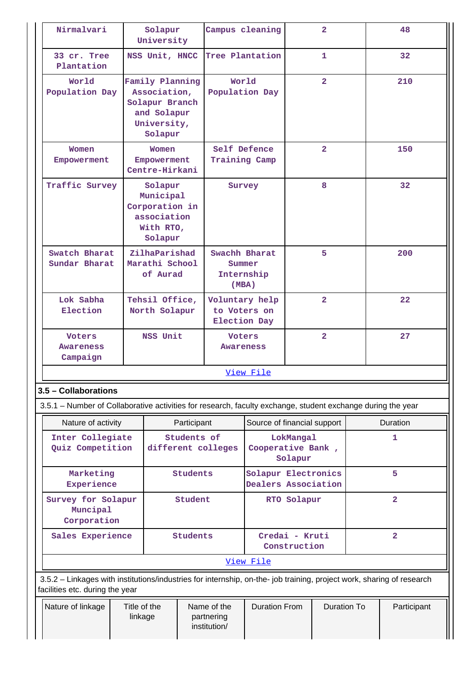| Nirmalvari                                                                                                                          | Solapur<br>University                                                                                   |                                                                               |                            | Campus cleaning                                       |                                                | $\overline{2}$          |                | 48             |    |
|-------------------------------------------------------------------------------------------------------------------------------------|---------------------------------------------------------------------------------------------------------|-------------------------------------------------------------------------------|----------------------------|-------------------------------------------------------|------------------------------------------------|-------------------------|----------------|----------------|----|
| 33 cr. Tree<br>Plantation                                                                                                           | NSS Unit, HNCC                                                                                          |                                                                               | Tree Plantation            |                                                       |                                                | 1                       |                | 32             |    |
| World<br>Population Day                                                                                                             | Family Planning<br>Association,<br>Solapur Branch<br>and Solapur<br>University,<br>Solapur              |                                                                               | World                      | Population Day                                        |                                                | $\overline{2}$          |                | 210            |    |
| Women<br>Empowerment                                                                                                                | Women<br>Empowerment<br>Centre-Hirkani                                                                  |                                                                               | Training Camp              | Self Defence                                          |                                                | $\overline{2}$          |                | 150            |    |
| Traffic Survey                                                                                                                      |                                                                                                         | Solapur<br>Municipal<br>Corporation in<br>association<br>With RTO,<br>Solapur |                            | Survey                                                |                                                | 8                       |                |                | 32 |
| Swatch Bharat<br>Sundar Bharat                                                                                                      |                                                                                                         | ZilhaParishad<br>Marathi School<br>of Aurad                                   |                            | Swachh Bharat<br>Summer<br>Internship<br>(MBA)        | 5                                              |                         |                | 200            |    |
| Lok Sabha<br>Election                                                                                                               |                                                                                                         | Tehsil Office,<br>North Solapur                                               |                            | Voluntary help<br>to Voters on<br><b>Election Day</b> |                                                | $\overline{2}$          |                | 22             |    |
| <b>Voters</b><br>Awareness<br>Campaign                                                                                              | NSS Unit                                                                                                |                                                                               | <b>Voters</b><br>Awareness |                                                       |                                                | $\overline{\mathbf{2}}$ |                | 27             |    |
|                                                                                                                                     |                                                                                                         |                                                                               |                            | View File                                             |                                                |                         |                |                |    |
| 3.5 - Collaborations<br>3.5.1 – Number of Collaborative activities for research, faculty exchange, student exchange during the year |                                                                                                         |                                                                               |                            |                                                       |                                                |                         |                |                |    |
| Nature of activity                                                                                                                  |                                                                                                         | Participant                                                                   |                            |                                                       | Source of financial support<br><b>Duration</b> |                         |                |                |    |
|                                                                                                                                     | Students of<br>Inter Collegiate<br>Quiz Competition<br>different colleges                               |                                                                               |                            | LokMangal<br>Cooperative Bank,<br>Solapur             |                                                |                         |                | 1              |    |
| Marketing<br>Experience                                                                                                             |                                                                                                         | <b>Students</b>                                                               |                            | Solapur Electronics<br>Dealers Association            |                                                |                         | 5              |                |    |
| Survey for Solapur<br>Muncipal<br>Corporation                                                                                       | Student                                                                                                 |                                                                               |                            |                                                       | RTO Solapur                                    |                         | $\overline{a}$ |                |    |
| Sales Experience                                                                                                                    |                                                                                                         | <b>Students</b>                                                               |                            |                                                       | Credai - Kruti<br>Construction                 |                         |                | $\overline{a}$ |    |
|                                                                                                                                     |                                                                                                         |                                                                               |                            | View File                                             |                                                |                         |                |                |    |
| 3.5.2 - Linkages with institutions/industries for internship, on-the- job training, project work, sharing of research               |                                                                                                         |                                                                               |                            |                                                       |                                                |                         |                |                |    |
| Nature of linkage                                                                                                                   | facilities etc. during the year<br>Title of the<br>Name of the<br>linkage<br>partnering<br>institution/ |                                                                               |                            | <b>Duration From</b>                                  |                                                | <b>Duration To</b>      |                | Participant    |    |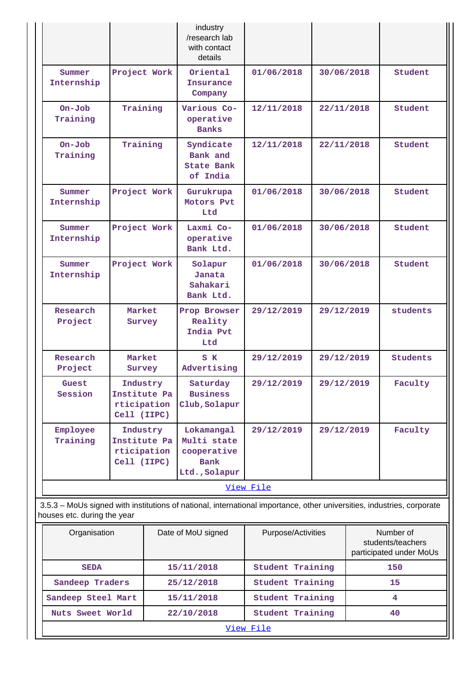|                                                                                                                                                       |                                                        | industry<br>/research lab<br>with contact<br>details                     |            |            |                 |  |  |
|-------------------------------------------------------------------------------------------------------------------------------------------------------|--------------------------------------------------------|--------------------------------------------------------------------------|------------|------------|-----------------|--|--|
| Summer<br>Internship                                                                                                                                  | Project Work                                           | Oriental<br>Insurance<br>Company                                         | 01/06/2018 | 30/06/2018 | Student         |  |  |
| $On-Job$<br>Training                                                                                                                                  | Training                                               | Various Co-<br>operative<br><b>Banks</b>                                 | 12/11/2018 | 22/11/2018 | Student         |  |  |
| $On-Job$<br>Training                                                                                                                                  | Training                                               | Syndicate<br>Bank and<br><b>State Bank</b><br>of India                   | 12/11/2018 | 22/11/2018 | Student         |  |  |
| Summer<br>Internship                                                                                                                                  | Project Work                                           | Gurukrupa<br>Motors Pvt<br>Ltd                                           | 01/06/2018 | 30/06/2018 | Student         |  |  |
| Summer<br>Internship                                                                                                                                  | Project Work                                           | Laxmi Co-<br>operative<br>Bank Ltd.                                      | 01/06/2018 | 30/06/2018 | Student         |  |  |
| Summer<br>Internship                                                                                                                                  | Project Work                                           | Solapur<br>Janata<br>Sahakari<br>Bank Ltd.                               | 01/06/2018 | 30/06/2018 | Student         |  |  |
| Research<br>Project                                                                                                                                   | Market<br>Survey                                       | Prop Browser<br>Reality<br>India Pvt<br>Ltd                              | 29/12/2019 | 29/12/2019 | students        |  |  |
| Research<br>Project                                                                                                                                   | Market<br>Survey                                       | S K<br>Advertising                                                       | 29/12/2019 | 29/12/2019 | <b>Students</b> |  |  |
| Guest<br>Session                                                                                                                                      | Industry<br>Institute Pa<br>rticipation<br>Cell (IIPC) | Saturday<br><b>Business</b><br>Club, Solapur                             | 29/12/2019 | 29/12/2019 | Faculty         |  |  |
| Employee<br>Training                                                                                                                                  | Industry<br>Institute Pa<br>rticipation<br>Cell (IIPC) | Lokamangal<br>Multi state<br>cooperative<br><b>Bank</b><br>Ltd., Solapur | 29/12/2019 | 29/12/2019 | Faculty         |  |  |
|                                                                                                                                                       | View File                                              |                                                                          |            |            |                 |  |  |
| 3.5.3 - MoUs signed with institutions of national, international importance, other universities, industries, corporate<br>houses etc. during the year |                                                        |                                                                          |            |            |                 |  |  |

| Organisation       | Date of MoU signed | Purpose/Activities | Number of<br>students/teachers<br>participated under MoUs |  |  |
|--------------------|--------------------|--------------------|-----------------------------------------------------------|--|--|
| <b>SEDA</b>        | 15/11/2018         | Student Training   | 150                                                       |  |  |
| Sandeep Traders    | 25/12/2018         | Student Training   | 15                                                        |  |  |
| Sandeep Steel Mart | 15/11/2018         | Student Training   | 4                                                         |  |  |
| Nuts Sweet World   | 22/10/2018         | Student Training   | 40                                                        |  |  |
| View File          |                    |                    |                                                           |  |  |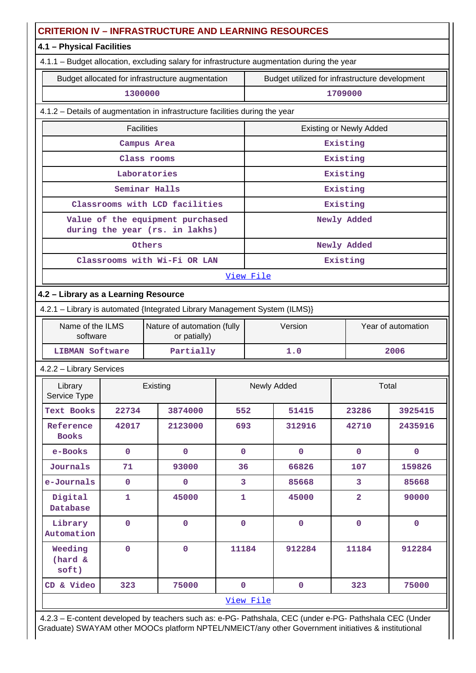|                                      |                   | <b>CRITERION IV - INFRASTRUCTURE AND LEARNING RESOURCES</b>                                 |                |                               |                                                |                                |              |  |
|--------------------------------------|-------------------|---------------------------------------------------------------------------------------------|----------------|-------------------------------|------------------------------------------------|--------------------------------|--------------|--|
| 4.1 - Physical Facilities            |                   |                                                                                             |                |                               |                                                |                                |              |  |
|                                      |                   | 4.1.1 - Budget allocation, excluding salary for infrastructure augmentation during the year |                |                               |                                                |                                |              |  |
|                                      |                   | Budget allocated for infrastructure augmentation                                            |                |                               | Budget utilized for infrastructure development |                                |              |  |
|                                      | 1300000           |                                                                                             |                |                               |                                                | 1709000                        |              |  |
|                                      |                   | 4.1.2 - Details of augmentation in infrastructure facilities during the year                |                |                               |                                                |                                |              |  |
|                                      | <b>Facilities</b> |                                                                                             |                |                               |                                                | <b>Existing or Newly Added</b> |              |  |
|                                      |                   | Campus Area                                                                                 |                |                               |                                                | Existing                       |              |  |
|                                      |                   | Class rooms                                                                                 |                |                               |                                                | Existing                       |              |  |
|                                      |                   | Laboratories                                                                                |                |                               |                                                | Existing                       |              |  |
|                                      |                   | Seminar Halls                                                                               |                |                               |                                                | Existing                       |              |  |
|                                      |                   | Classrooms with LCD facilities                                                              |                |                               |                                                | Existing                       |              |  |
|                                      |                   | Value of the equipment purchased<br>during the year (rs. in lakhs)                          |                |                               |                                                | Newly Added                    |              |  |
|                                      |                   | Others                                                                                      |                |                               |                                                | Newly Added                    |              |  |
|                                      |                   | Classrooms with Wi-Fi OR LAN                                                                |                |                               |                                                | Existing                       |              |  |
|                                      |                   |                                                                                             |                | View File                     |                                                |                                |              |  |
| 4.2 - Library as a Learning Resource |                   |                                                                                             |                |                               |                                                |                                |              |  |
|                                      |                   | 4.2.1 - Library is automated {Integrated Library Management System (ILMS)}                  |                |                               |                                                |                                |              |  |
| Name of the ILMS<br>software         |                   | Nature of automation (fully<br>or patially)                                                 |                | Year of automation<br>Version |                                                |                                |              |  |
| <b>LIBMAN Software</b>               |                   | Partially                                                                                   |                | 1.0                           |                                                |                                | 2006         |  |
| 4.2.2 - Library Services             |                   |                                                                                             |                |                               |                                                |                                |              |  |
| Library<br>Service Type              |                   | Existing                                                                                    |                | Newly Added<br>Total          |                                                |                                |              |  |
| <b>Text Books</b>                    | 22734             | 3874000                                                                                     | 552            |                               | 51415                                          | 23286                          | 3925415      |  |
| Reference<br><b>Books</b>            | 42017             | 2123000                                                                                     | 693            |                               | 312916                                         | 42710                          | 2435916      |  |
| e-Books                              | $\mathbf 0$       | $\mathbf 0$                                                                                 | $\mathbf{0}$   |                               | $\mathbf 0$                                    | $\mathbf 0$                    | $\mathbf 0$  |  |
| Journals                             | 71                | 93000                                                                                       | 36             |                               | 66826                                          | 107                            | 159826       |  |
| e-Journals                           | $\mathbf 0$       | $\pmb{0}$                                                                                   | $\overline{3}$ |                               | 85668                                          | 3                              | 85668        |  |
| Digital<br>Database                  | $\mathbf{1}$      | 45000                                                                                       | $\mathbf{1}$   |                               | 45000                                          | $\overline{a}$                 | 90000        |  |
| Library<br>Automation                | $\mathbf 0$       | $\mathbf 0$                                                                                 | $\overline{0}$ |                               | $\mathbf 0$                                    | $\mathbf{0}$                   | $\mathbf{0}$ |  |
| Weeding<br>(hard &<br>soft)          | $\overline{0}$    | $\mathbf 0$                                                                                 | 11184          |                               | 912284                                         | 11184                          | 912284       |  |
| CD & Video                           | 323               | 75000                                                                                       | $\mathbf{0}$   |                               | $\mathbf 0$                                    | 323                            | 75000        |  |
|                                      | View File         |                                                                                             |                |                               |                                                |                                |              |  |

 4.2.3 – E-content developed by teachers such as: e-PG- Pathshala, CEC (under e-PG- Pathshala CEC (Under Graduate) SWAYAM other MOOCs platform NPTEL/NMEICT/any other Government initiatives & institutional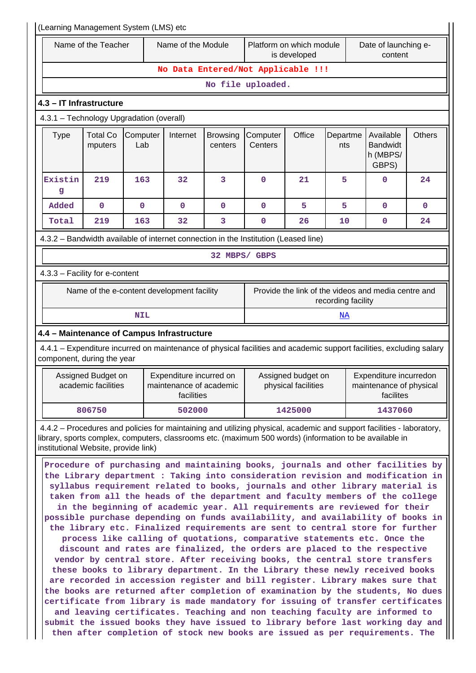| (Learning Management System (LMS) etc                                        |                                                                                                                                                                                                                                                                                                                                                                                                                                                                                                                                                                                                                                                                                                                                                                                                                                                                                                                                                                                                                                                                                                                                                                                                                                                                                                                                                                                                                                                                                                                                                                                                                     |                 |                                                                                                                      |                            |                     |                                           |                    |                                                                |               |
|------------------------------------------------------------------------------|---------------------------------------------------------------------------------------------------------------------------------------------------------------------------------------------------------------------------------------------------------------------------------------------------------------------------------------------------------------------------------------------------------------------------------------------------------------------------------------------------------------------------------------------------------------------------------------------------------------------------------------------------------------------------------------------------------------------------------------------------------------------------------------------------------------------------------------------------------------------------------------------------------------------------------------------------------------------------------------------------------------------------------------------------------------------------------------------------------------------------------------------------------------------------------------------------------------------------------------------------------------------------------------------------------------------------------------------------------------------------------------------------------------------------------------------------------------------------------------------------------------------------------------------------------------------------------------------------------------------|-----------------|----------------------------------------------------------------------------------------------------------------------|----------------------------|---------------------|-------------------------------------------|--------------------|----------------------------------------------------------------|---------------|
| Name of the Teacher                                                          |                                                                                                                                                                                                                                                                                                                                                                                                                                                                                                                                                                                                                                                                                                                                                                                                                                                                                                                                                                                                                                                                                                                                                                                                                                                                                                                                                                                                                                                                                                                                                                                                                     |                 | Name of the Module<br>Platform on which module<br>is developed                                                       |                            |                     | Date of launching e-<br>content           |                    |                                                                |               |
|                                                                              |                                                                                                                                                                                                                                                                                                                                                                                                                                                                                                                                                                                                                                                                                                                                                                                                                                                                                                                                                                                                                                                                                                                                                                                                                                                                                                                                                                                                                                                                                                                                                                                                                     |                 | No Data Entered/Not Applicable !!!                                                                                   |                            |                     |                                           |                    |                                                                |               |
|                                                                              |                                                                                                                                                                                                                                                                                                                                                                                                                                                                                                                                                                                                                                                                                                                                                                                                                                                                                                                                                                                                                                                                                                                                                                                                                                                                                                                                                                                                                                                                                                                                                                                                                     |                 |                                                                                                                      |                            | No file uploaded.   |                                           |                    |                                                                |               |
| 4.3 - IT Infrastructure                                                      |                                                                                                                                                                                                                                                                                                                                                                                                                                                                                                                                                                                                                                                                                                                                                                                                                                                                                                                                                                                                                                                                                                                                                                                                                                                                                                                                                                                                                                                                                                                                                                                                                     |                 |                                                                                                                      |                            |                     |                                           |                    |                                                                |               |
| 4.3.1 - Technology Upgradation (overall)                                     |                                                                                                                                                                                                                                                                                                                                                                                                                                                                                                                                                                                                                                                                                                                                                                                                                                                                                                                                                                                                                                                                                                                                                                                                                                                                                                                                                                                                                                                                                                                                                                                                                     |                 |                                                                                                                      |                            |                     |                                           |                    |                                                                |               |
| <b>Type</b>                                                                  | <b>Total Co</b><br>mputers                                                                                                                                                                                                                                                                                                                                                                                                                                                                                                                                                                                                                                                                                                                                                                                                                                                                                                                                                                                                                                                                                                                                                                                                                                                                                                                                                                                                                                                                                                                                                                                          | Computer<br>Lab | Internet                                                                                                             | <b>Browsing</b><br>centers | Computer<br>Centers | Office                                    | Departme<br>nts    | Available<br><b>Bandwidt</b><br>h (MBPS/<br>GBPS)              | <b>Others</b> |
| Existin<br>g                                                                 | 219                                                                                                                                                                                                                                                                                                                                                                                                                                                                                                                                                                                                                                                                                                                                                                                                                                                                                                                                                                                                                                                                                                                                                                                                                                                                                                                                                                                                                                                                                                                                                                                                                 | 163             | 32                                                                                                                   | 3                          | $\mathbf 0$         | 21                                        | 5                  | 0                                                              | 24            |
| Added                                                                        | $\mathbf 0$                                                                                                                                                                                                                                                                                                                                                                                                                                                                                                                                                                                                                                                                                                                                                                                                                                                                                                                                                                                                                                                                                                                                                                                                                                                                                                                                                                                                                                                                                                                                                                                                         | $\mathbf 0$     | $\mathbf 0$                                                                                                          | $\mathbf 0$                | $\mathbf 0$         | 5                                         | 5                  | 0                                                              | $\mathbf 0$   |
| Total                                                                        | 219                                                                                                                                                                                                                                                                                                                                                                                                                                                                                                                                                                                                                                                                                                                                                                                                                                                                                                                                                                                                                                                                                                                                                                                                                                                                                                                                                                                                                                                                                                                                                                                                                 | 163             | 32                                                                                                                   | 3                          | $\mathbf 0$         | 26                                        | 10                 | $\mathbf 0$                                                    | 24            |
|                                                                              |                                                                                                                                                                                                                                                                                                                                                                                                                                                                                                                                                                                                                                                                                                                                                                                                                                                                                                                                                                                                                                                                                                                                                                                                                                                                                                                                                                                                                                                                                                                                                                                                                     |                 | 4.3.2 – Bandwidth available of internet connection in the Institution (Leased line)                                  |                            |                     |                                           |                    |                                                                |               |
|                                                                              |                                                                                                                                                                                                                                                                                                                                                                                                                                                                                                                                                                                                                                                                                                                                                                                                                                                                                                                                                                                                                                                                                                                                                                                                                                                                                                                                                                                                                                                                                                                                                                                                                     |                 |                                                                                                                      |                            | 32 MBPS/ GBPS       |                                           |                    |                                                                |               |
| 4.3.3 - Facility for e-content                                               |                                                                                                                                                                                                                                                                                                                                                                                                                                                                                                                                                                                                                                                                                                                                                                                                                                                                                                                                                                                                                                                                                                                                                                                                                                                                                                                                                                                                                                                                                                                                                                                                                     |                 |                                                                                                                      |                            |                     |                                           |                    |                                                                |               |
|                                                                              |                                                                                                                                                                                                                                                                                                                                                                                                                                                                                                                                                                                                                                                                                                                                                                                                                                                                                                                                                                                                                                                                                                                                                                                                                                                                                                                                                                                                                                                                                                                                                                                                                     |                 | Name of the e-content development facility                                                                           |                            |                     |                                           | recording facility | Provide the link of the videos and media centre and            |               |
|                                                                              |                                                                                                                                                                                                                                                                                                                                                                                                                                                                                                                                                                                                                                                                                                                                                                                                                                                                                                                                                                                                                                                                                                                                                                                                                                                                                                                                                                                                                                                                                                                                                                                                                     | <b>NIL</b>      |                                                                                                                      |                            |                     |                                           | <u>NA</u>          |                                                                |               |
|                                                                              |                                                                                                                                                                                                                                                                                                                                                                                                                                                                                                                                                                                                                                                                                                                                                                                                                                                                                                                                                                                                                                                                                                                                                                                                                                                                                                                                                                                                                                                                                                                                                                                                                     |                 | 4.4 - Maintenance of Campus Infrastructure                                                                           |                            |                     |                                           |                    |                                                                |               |
| component, during the year                                                   |                                                                                                                                                                                                                                                                                                                                                                                                                                                                                                                                                                                                                                                                                                                                                                                                                                                                                                                                                                                                                                                                                                                                                                                                                                                                                                                                                                                                                                                                                                                                                                                                                     |                 | 4.4.1 – Expenditure incurred on maintenance of physical facilities and academic support facilities, excluding salary |                            |                     |                                           |                    |                                                                |               |
|                                                                              | Assigned Budget on<br>academic facilities                                                                                                                                                                                                                                                                                                                                                                                                                                                                                                                                                                                                                                                                                                                                                                                                                                                                                                                                                                                                                                                                                                                                                                                                                                                                                                                                                                                                                                                                                                                                                                           |                 | Expenditure incurred on<br>maintenance of academic<br>facilities                                                     |                            |                     | Assigned budget on<br>physical facilities |                    | Expenditure incurredon<br>maintenance of physical<br>facilites |               |
|                                                                              | 806750                                                                                                                                                                                                                                                                                                                                                                                                                                                                                                                                                                                                                                                                                                                                                                                                                                                                                                                                                                                                                                                                                                                                                                                                                                                                                                                                                                                                                                                                                                                                                                                                              |                 | 502000                                                                                                               |                            | 1425000<br>1437060  |                                           |                    |                                                                |               |
|                                                                              |                                                                                                                                                                                                                                                                                                                                                                                                                                                                                                                                                                                                                                                                                                                                                                                                                                                                                                                                                                                                                                                                                                                                                                                                                                                                                                                                                                                                                                                                                                                                                                                                                     |                 |                                                                                                                      |                            |                     |                                           |                    |                                                                |               |
| then after completion of stock new books are issued as per requirements. The | 4.4.2 - Procedures and policies for maintaining and utilizing physical, academic and support facilities - laboratory,<br>library, sports complex, computers, classrooms etc. (maximum 500 words) (information to be available in<br>institutional Website, provide link)<br>Procedure of purchasing and maintaining books, journals and other facilities by<br>the Library department : Taking into consideration revision and modification in<br>syllabus requirement related to books, journals and other library material is<br>taken from all the heads of the department and faculty members of the college<br>in the beginning of academic year. All requirements are reviewed for their<br>possible purchase depending on funds availability, and availability of books in<br>the library etc. Finalized requirements are sent to central store for further<br>process like calling of quotations, comparative statements etc. Once the<br>discount and rates are finalized, the orders are placed to the respective<br>vendor by central store. After receiving books, the central store transfers<br>these books to library department. In the Library these newly received books<br>are recorded in accession register and bill register. Library makes sure that<br>the books are returned after completion of examination by the students, No dues<br>certificate from library is made mandatory for issuing of transfer certificates<br>and leaving certificates. Teaching and non teaching faculty are informed to<br>submit the issued books they have issued to library before last working day and |                 |                                                                                                                      |                            |                     |                                           |                    |                                                                |               |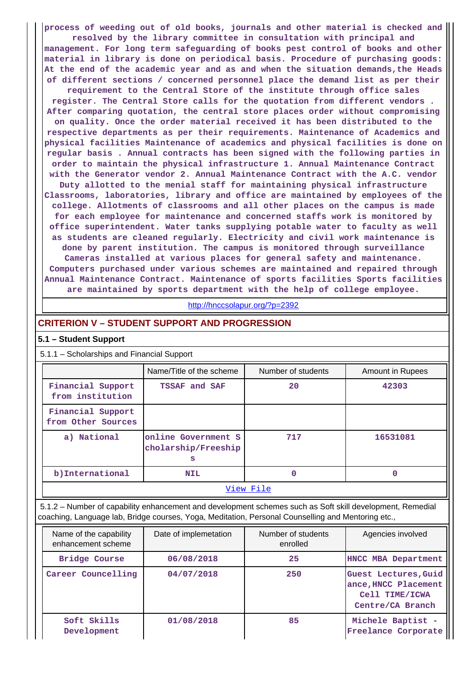**process of weeding out of old books, journals and other material is checked and resolved by the library committee in consultation with principal and management. For long term safeguarding of books pest control of books and other material in library is done on periodical basis. Procedure of purchasing goods: At the end of the academic year and as and when the situation demands,the Heads of different sections / concerned personnel place the demand list as per their requirement to the Central Store of the institute through office sales register. The Central Store calls for the quotation from different vendors . After comparing quotation, the central store places order without compromising on quality. Once the order material received it has been distributed to the respective departments as per their requirements. Maintenance of Academics and physical facilities Maintenance of academics and physical facilities is done on regular basis . Annual contracts has been signed with the following parties in order to maintain the physical infrastructure 1. Annual Maintenance Contract with the Generator vendor 2. Annual Maintenance Contract with the A.C. vendor Duty allotted to the menial staff for maintaining physical infrastructure Classrooms, laboratories, library and office are maintained by employees of the college. Allotments of classrooms and all other places on the campus is made for each employee for maintenance and concerned staffs work is monitored by office superintendent. Water tanks supplying potable water to faculty as well as students are cleaned regularly. Electricity and civil work maintenance is done by parent institution. The campus is monitored through surveillance Cameras installed at various places for general safety and maintenance. Computers purchased under various schemes are maintained and repaired through Annual Maintenance Contract. Maintenance of sports facilities Sports facilities are maintained by sports department with the help of college employee.**

<http://hnccsolapur.org/?p=2392>

### **CRITERION V – STUDENT SUPPORT AND PROGRESSION**

#### **5.1 – Student Support**

### 5.1.1 – Scholarships and Financial Support

|                                         | Name/Title of the scheme                        | Number of students | Amount in Rupees |  |
|-----------------------------------------|-------------------------------------------------|--------------------|------------------|--|
| Financial Support<br>from institution   | TSSAF and SAF                                   | 20                 | 42303            |  |
| Financial Support<br>from Other Sources |                                                 |                    |                  |  |
| a) National                             | online Government S<br>cholarship/Freeship<br>s | 717                | 16531081         |  |
| b) International                        | <b>NIL</b>                                      | 0                  | 0                |  |
| View File                               |                                                 |                    |                  |  |

 5.1.2 – Number of capability enhancement and development schemes such as Soft skill development, Remedial coaching, Language lab, Bridge courses, Yoga, Meditation, Personal Counselling and Mentoring etc.,

| Name of the capability<br>enhancement scheme | Date of implemetation | Number of students<br>enrolled | Agencies involved                                                                  |
|----------------------------------------------|-----------------------|--------------------------------|------------------------------------------------------------------------------------|
| Bridge Course                                | 06/08/2018            | 25                             | HNCC MBA Department                                                                |
| Career Councelling                           | 04/07/2018            | 250                            | Guest Lectures, Guid<br>ance, HNCC Placement<br>Cell TIME/ICWA<br>Centre/CA Branch |
| Soft Skills<br>Development                   | 01/08/2018            | 85                             | Michele Baptist -<br>Freelance Corporate                                           |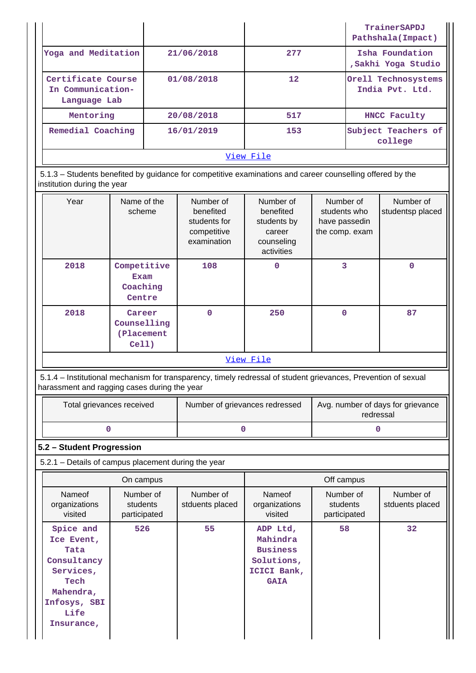| View File                                               |            |                 |                                        |  |  |  |
|---------------------------------------------------------|------------|-----------------|----------------------------------------|--|--|--|
| Remedial Coaching                                       | 16/01/2019 | 153             | Subject Teachers of<br>college         |  |  |  |
| Mentoring                                               | 20/08/2018 | 517             | HNCC Faculty                           |  |  |  |
| Certificate Course<br>In Communication-<br>Language Lab | 01/08/2018 | 12 <sup>2</sup> | Orell Technosystems<br>India Pvt. Ltd. |  |  |  |
| Yoga and Meditation                                     | 21/06/2018 | 277             | Isha Foundation<br>,Sakhi Yoga Studio  |  |  |  |
|                                                         |            |                 | TrainerSAPDJ<br>Pathshala (Impact)     |  |  |  |

 5.1.3 – Students benefited by guidance for competitive examinations and career counselling offered by the institution during the year

| Year      | Name of the<br>scheme                            | Number of<br>benefited<br>students for<br>competitive<br>examination | Number of<br>benefited<br>students by<br>career<br>counseling<br>activities | Number of<br>students who<br>have passedin<br>the comp. exam | Number of<br>studentsp placed |  |
|-----------|--------------------------------------------------|----------------------------------------------------------------------|-----------------------------------------------------------------------------|--------------------------------------------------------------|-------------------------------|--|
| 2018      | Competitive<br><b>Exam</b><br>Coaching<br>Centre | 108                                                                  | 0                                                                           | 3                                                            | 0                             |  |
| 2018      | Career<br>Counselling<br>(Placement<br>$Cell$ )  | $\Omega$                                                             | 250                                                                         | $\mathbf 0$                                                  | 87                            |  |
| View File |                                                  |                                                                      |                                                                             |                                                              |                               |  |

 5.1.4 – Institutional mechanism for transparency, timely redressal of student grievances, Prevention of sexual harassment and ragging cases during the year

| Total grievances received | Number of grievances redressed | Avg. number of days for grievance<br>redressal |
|---------------------------|--------------------------------|------------------------------------------------|
|                           |                                |                                                |

### **5.2 – Student Progression**

5.2.1 – Details of campus placement during the year

| On campus                                                                                                              |                                       |                              | Off campus                                                                          |                                       |                              |  |
|------------------------------------------------------------------------------------------------------------------------|---------------------------------------|------------------------------|-------------------------------------------------------------------------------------|---------------------------------------|------------------------------|--|
| Nameof<br>organizations<br>visited                                                                                     | Number of<br>students<br>participated | Number of<br>stduents placed | Nameof<br>organizations<br>visited                                                  | Number of<br>students<br>participated | Number of<br>stduents placed |  |
| Spice and<br>Ice Event,<br>Tata<br>Consultancy<br>Services,<br>Tech<br>Mahendra,<br>Infosys, SBI<br>Life<br>Insurance, | 526                                   | 55                           | ADP Ltd,<br>Mahindra<br><b>Business</b><br>Solutions,<br>ICICI Bank,<br><b>GAIA</b> | 58                                    | 32                           |  |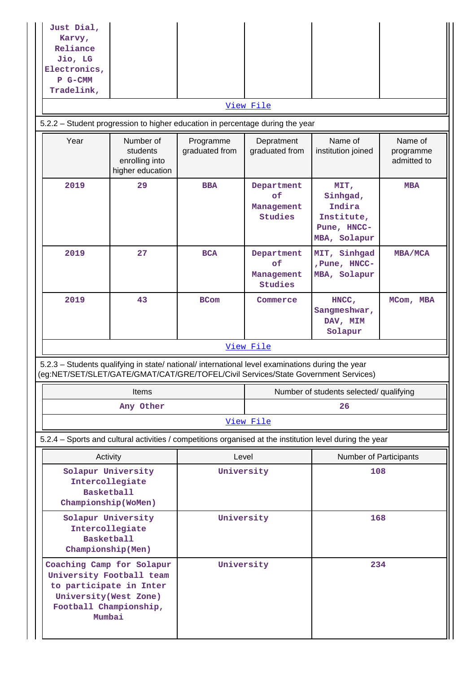| Just Dial,<br>Karvy,<br>Reliance<br>Jio, LG<br>Electronics,<br>P G-CMM<br>Tradelink,                                                                                                   |                                                             |                             |                                           |                                                                                                          |                                     |  |
|----------------------------------------------------------------------------------------------------------------------------------------------------------------------------------------|-------------------------------------------------------------|-----------------------------|-------------------------------------------|----------------------------------------------------------------------------------------------------------|-------------------------------------|--|
|                                                                                                                                                                                        |                                                             |                             | View File                                 |                                                                                                          |                                     |  |
| 5.2.2 - Student progression to higher education in percentage during the year                                                                                                          |                                                             |                             |                                           |                                                                                                          |                                     |  |
| Year                                                                                                                                                                                   | Number of<br>students<br>enrolling into<br>higher education | Programme<br>graduated from | Depratment<br>graduated from              | Name of<br>institution joined                                                                            | Name of<br>programme<br>admitted to |  |
| 2019                                                                                                                                                                                   | 29                                                          | <b>BBA</b>                  | Department<br>of<br>Management<br>Studies | MIT,<br>Sinhgad,<br>Indira<br>Institute,<br>Pune, HNCC-<br>MBA, Solapur                                  | <b>MBA</b>                          |  |
| 2019                                                                                                                                                                                   | 27                                                          | <b>BCA</b>                  | Department<br>of<br>Management<br>Studies | MIT, Sinhgad<br>, Pune, HNCC-<br>MBA, Solapur                                                            | MBA/MCA                             |  |
| 2019                                                                                                                                                                                   | 43                                                          | <b>BCom</b>                 | Commerce                                  | $HNCC$ ,<br>Sangmeshwar,<br>DAV, MIM<br>Solapur                                                          | MCom, MBA                           |  |
|                                                                                                                                                                                        |                                                             |                             | View File                                 |                                                                                                          |                                     |  |
| 5.2.3 - Students qualifying in state/ national/ international level examinations during the year<br>(eg:NET/SET/SLET/GATE/GMAT/CAT/GRE/TOFEL/Civil Services/State Government Services) |                                                             |                             |                                           |                                                                                                          |                                     |  |
|                                                                                                                                                                                        | <b>Items</b>                                                |                             |                                           | Number of students selected/ qualifying                                                                  |                                     |  |
|                                                                                                                                                                                        | Any Other                                                   |                             | 26                                        |                                                                                                          |                                     |  |
|                                                                                                                                                                                        |                                                             |                             | View File                                 |                                                                                                          |                                     |  |
|                                                                                                                                                                                        |                                                             |                             |                                           | 5.2.4 - Sports and cultural activities / competitions organised at the institution level during the year |                                     |  |
| Activity                                                                                                                                                                               |                                                             | Level                       |                                           | Number of Participants                                                                                   |                                     |  |
| Solapur University<br>Intercollegiate<br><b>Basketball</b><br>Championship(WoMen)                                                                                                      |                                                             |                             | University<br>108                         |                                                                                                          |                                     |  |
| Solapur University<br>Intercollegiate<br><b>Basketball</b><br>Championship(Men)                                                                                                        |                                                             | University                  |                                           | 168                                                                                                      |                                     |  |
| Coaching Camp for Solapur<br>University Football team<br>to participate in Inter<br>University (West Zone)<br>Football Championship,<br>Mumbai                                         |                                                             | University                  |                                           | 234                                                                                                      |                                     |  |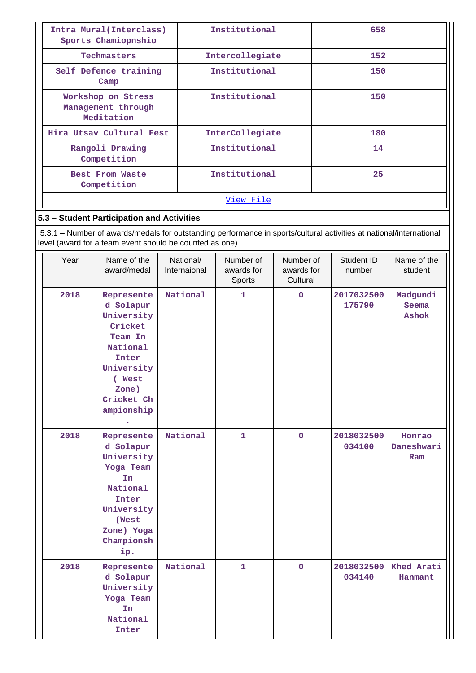| Intra Mural (Interclass)<br>Sports Chamiopnshio        | Institutional   | 658 |  |  |
|--------------------------------------------------------|-----------------|-----|--|--|
| Techmasters                                            | Intercollegiate | 152 |  |  |
| Self Defence training<br>Camp                          | Institutional   | 150 |  |  |
| Workshop on Stress<br>Management through<br>Meditation | Institutional   | 150 |  |  |
| Hira Utsav Cultural Fest                               | InterCollegiate | 180 |  |  |
| Rangoli Drawing<br>Competition                         | Institutional   | 14  |  |  |
| Best From Waste<br>Competition                         | Institutional   | 25  |  |  |
|                                                        | View File       |     |  |  |

### **5.3 – Student Participation and Activities**

 5.3.1 – Number of awards/medals for outstanding performance in sports/cultural activities at national/international level (award for a team event should be counted as one)

| Year | Name of the<br>award/medal                                                                                                                    | National/<br>Internaional | Number of<br>awards for<br>Sports | Number of<br>awards for<br>Cultural | Student ID<br>number | Name of the<br>student      |
|------|-----------------------------------------------------------------------------------------------------------------------------------------------|---------------------------|-----------------------------------|-------------------------------------|----------------------|-----------------------------|
| 2018 | Represente<br>d Solapur<br>University<br>Cricket<br>Team In<br>National<br>Inter<br>University<br>( West<br>Zone)<br>Cricket Ch<br>ampionship | National                  | $\mathbf{1}$                      | $\mathbf 0$                         | 2017032500<br>175790 | Madgundi<br>Seema<br>Ashok  |
| 2018 | Represente<br>d Solapur<br>University<br>Yoga Team<br>In<br>National<br>Inter<br>University<br>(West<br>Zone) Yoga<br>Championsh<br>ip.       | National                  | $\mathbf{1}$                      | $\mathbf 0$                         | 2018032500<br>034100 | Honrao<br>Daneshwari<br>Ram |
| 2018 | Represente<br>d Solapur<br>University<br>Yoga Team<br>In<br>National<br>Inter                                                                 | National                  | $\mathbf{1}$                      | $\mathbf 0$                         | 2018032500<br>034140 | Khed Arati<br>Hanmant       |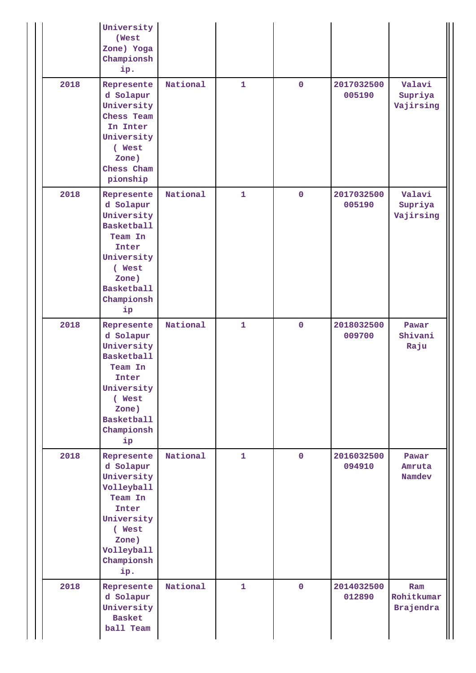|      | University<br>(West<br>Zone) Yoga<br>Championsh<br>ip.                                                                                                   |          |              |                |                      |                                       |
|------|----------------------------------------------------------------------------------------------------------------------------------------------------------|----------|--------------|----------------|----------------------|---------------------------------------|
| 2018 | Represente<br>d Solapur<br>University<br>Chess Team<br>In Inter<br>University<br>( West<br>Zone)<br>Chess Cham<br>pionship                               | National | $\mathbf{1}$ | $\mathbf{O}$   | 2017032500<br>005190 | Valavi<br>Supriya<br>Vajirsing        |
| 2018 | Represente<br>d Solapur<br>University<br><b>Basketball</b><br>Team In<br>Inter<br>University<br>( West<br>Zone)<br><b>Basketball</b><br>Championsh<br>ip | National | $\mathbf{1}$ | $\mathbf 0$    | 2017032500<br>005190 | Valavi<br>Supriya<br>Vajirsing        |
| 2018 | Represente<br>d Solapur<br>University<br><b>Basketball</b><br>Team In<br>Inter<br>University<br>( West<br>Zone)<br><b>Basketball</b><br>Championsh<br>ip | National | $\mathbf{1}$ | $\mathbf 0$    | 2018032500<br>009700 | Pawar<br>Shivani<br>Raju              |
| 2018 | Represente<br>d Solapur<br>University<br>Volleyball<br>Team In<br>Inter<br>University<br>( West<br>Zone)<br>Volleyball<br>Championsh<br>ip.              | National | $\mathbf{1}$ | $\mathbf{O}$   | 2016032500<br>094910 | Pawar<br>Amruta<br>Namdev             |
| 2018 | Represente<br>d Solapur<br>University<br><b>Basket</b><br>ball Team                                                                                      | National | $\mathbf{1}$ | $\overline{0}$ | 2014032500<br>012890 | Ram<br>Rohitkumar<br><b>Brajendra</b> |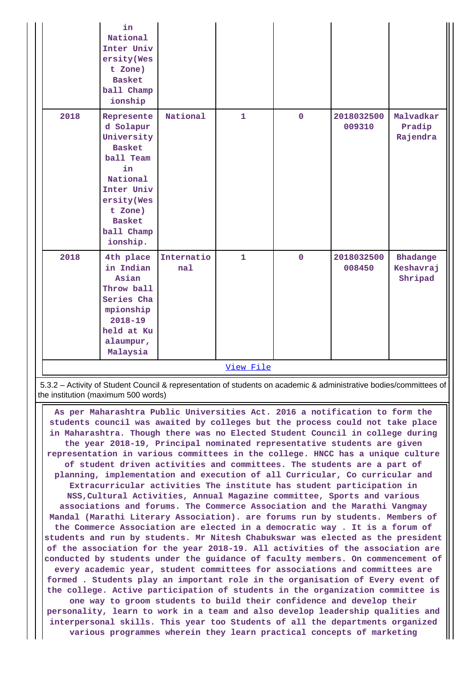|           | in<br>National<br>Inter Univ<br>ersity(Wes<br>t Zone)<br><b>Basket</b><br>ball Champ<br>ionship                                                                         |                   |              |             |                      |                                  |
|-----------|-------------------------------------------------------------------------------------------------------------------------------------------------------------------------|-------------------|--------------|-------------|----------------------|----------------------------------|
| 2018      | Represente<br>d Solapur<br>University<br><b>Basket</b><br>ball Team<br>in<br>National<br>Inter Univ<br>ersity(Wes<br>t Zone)<br><b>Basket</b><br>ball Champ<br>ionship. | National          | $\mathbf{1}$ | $\mathbf 0$ | 2018032500<br>009310 | Malvadkar<br>Pradip<br>Rajendra  |
| 2018      | 4th place<br>in Indian<br>Asian<br>Throw ball<br>Series Cha<br>mpionship<br>$2018 - 19$<br>held at Ku<br>alaumpur,<br>Malaysia                                          | Internatio<br>nal | $\mathbf{1}$ | $\mathbf 0$ | 2018032500<br>008450 | Bhadange<br>Keshavraj<br>Shripad |
| View File |                                                                                                                                                                         |                   |              |             |                      |                                  |

 5.3.2 – Activity of Student Council & representation of students on academic & administrative bodies/committees of the institution (maximum 500 words)

 **As per Maharashtra Public Universities Act. 2016 a notification to form the students council was awaited by colleges but the process could not take place in Maharashtra. Though there was no Elected Student Council in college during the year 2018-19, Principal nominated representative students are given representation in various committees in the college. HNCC has a unique culture of student driven activities and committees. The students are a part of planning, implementation and execution of all Curricular, Co curricular and Extracurricular activities The institute has student participation in NSS,Cultural Activities, Annual Magazine committee, Sports and various associations and forums. The Commerce Association and the Marathi Vangmay Mandal (Marathi Literary Association). are forums run by students. Members of the Commerce Association are elected in a democratic way . It is a forum of students and run by students. Mr Nitesh Chabukswar was elected as the president of the association for the year 2018-19. All activities of the association are conducted by students under the guidance of faculty members. On commencement of every academic year, student committees for associations and committees are formed . Students play an important role in the organisation of Every event of the college. Active participation of students in the organization committee is one way to groom students to build their confidence and develop their personality, learn to work in a team and also develop leadership qualities and interpersonal skills. This year too Students of all the departments organized various programmes wherein they learn practical concepts of marketing**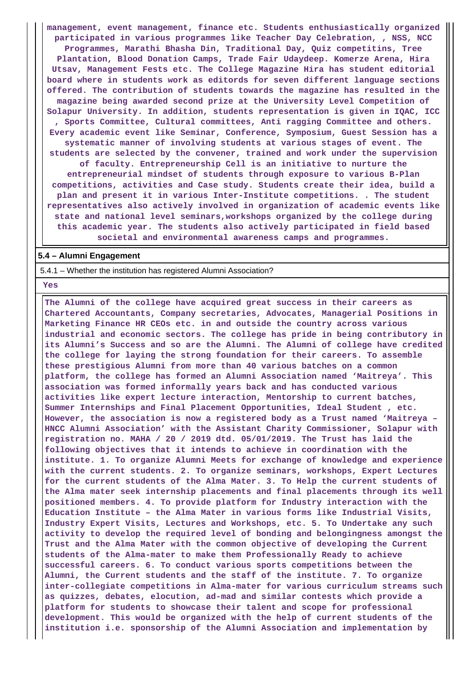**management, event management, finance etc. Students enthusiastically organized participated in various programmes like Teacher Day Celebration, , NSS, NCC Programmes, Marathi Bhasha Din, Traditional Day, Quiz competitins, Tree Plantation, Blood Donation Camps, Trade Fair Udaydeep. Komerze Arena, Hira Utsav, Management Fests etc. The College Magazine Hira has student editorial board where in students work as editords for seven different language sections offered. The contribution of students towards the magazine has resulted in the magazine being awarded second prize at the University Level Competition of Solapur University. In addition, students representation is given in IQAC, ICC , Sports Committee, Cultural committees, Anti ragging Committee and others. Every academic event like Seminar, Conference, Symposium, Guest Session has a systematic manner of involving students at various stages of event. The students are selected by the convener, trained and work under the supervision of faculty. Entrepreneurship Cell is an initiative to nurture the entrepreneurial mindset of students through exposure to various B-Plan competitions, activities and Case study. Students create their idea, build a plan and present it in various Inter-Institute competitions. . The student representatives also actively involved in organization of academic events like state and national level seminars,workshops organized by the college during this academic year. The students also actively participated in field based societal and environmental awareness camps and programmes.**

#### **5.4 – Alumni Engagement**

5.4.1 – Whether the institution has registered Alumni Association?

#### **Yes**

 **The Alumni of the college have acquired great success in their careers as Chartered Accountants, Company secretaries, Advocates, Managerial Positions in Marketing Finance HR CEOs etc. in and outside the country across various industrial and economic sectors. The college has pride in being contributory in its Alumni's Success and so are the Alumni. The Alumni of college have credited the college for laying the strong foundation for their careers. To assemble these prestigious Alumni from more than 40 various batches on a common platform, the college has formed an Alumni Association named 'Maitreya'. This association was formed informally years back and has conducted various activities like expert lecture interaction, Mentorship to current batches, Summer Internships and Final Placement Opportunities, Ideal Student , etc. However, the association is now a registered body as a Trust named 'Maitreya – HNCC Alumni Association' with the Assistant Charity Commissioner, Solapur with registration no. MAHA / 20 / 2019 dtd. 05/01/2019. The Trust has laid the following objectives that it intends to achieve in coordination with the institute. 1. To organize Alumni Meets for exchange of knowledge and experience with the current students. 2. To organize seminars, workshops, Expert Lectures for the current students of the Alma Mater. 3. To Help the current students of the Alma mater seek internship placements and final placements through its well positioned members. 4. To provide platform for Industry interaction with the Education Institute – the Alma Mater in various forms like Industrial Visits, Industry Expert Visits, Lectures and Workshops, etc. 5. To Undertake any such activity to develop the required level of bonding and belongingness amongst the Trust and the Alma Mater with the common objective of developing the Current students of the Alma-mater to make them Professionally Ready to achieve successful careers. 6. To conduct various sports competitions between the Alumni, the Current students and the staff of the institute. 7. To organize inter-collegiate competitions in Alma-mater for various curriculum streams such as quizzes, debates, elocution, ad-mad and similar contests which provide a platform for students to showcase their talent and scope for professional development. This would be organized with the help of current students of the institution i.e. sponsorship of the Alumni Association and implementation by**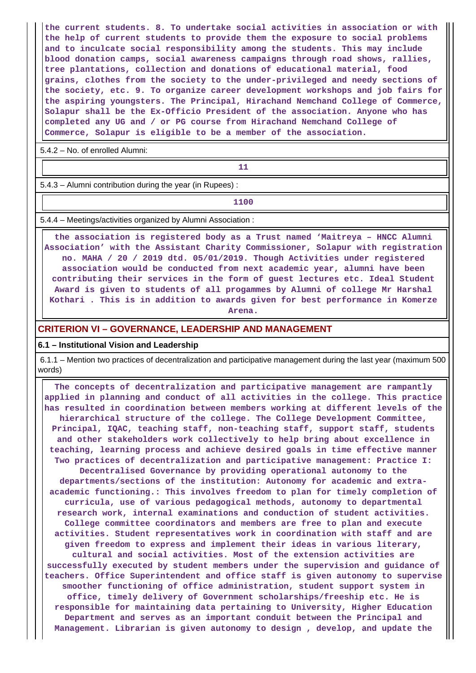**the current students. 8. To undertake social activities in association or with the help of current students to provide them the exposure to social problems and to inculcate social responsibility among the students. This may include blood donation camps, social awareness campaigns through road shows, rallies, tree plantations, collection and donations of educational material, food grains, clothes from the society to the under-privileged and needy sections of the society, etc. 9. To organize career development workshops and job fairs for the aspiring youngsters. The Principal, Hirachand Nemchand College of Commerce, Solapur shall be the Ex-Officio President of the association. Anyone who has completed any UG and / or PG course from Hirachand Nemchand College of Commerce, Solapur is eligible to be a member of the association.**

5.4.2 – No. of enrolled Alumni:

**11** 

5.4.3 – Alumni contribution during the year (in Rupees) :

**1100**

5.4.4 – Meetings/activities organized by Alumni Association :

 **the association is registered body as a Trust named 'Maitreya – HNCC Alumni Association' with the Assistant Charity Commissioner, Solapur with registration no. MAHA / 20 / 2019 dtd. 05/01/2019. Though Activities under registered association would be conducted from next academic year, alumni have been contributing their services in the form of guest lectures etc. Ideal Student Award is given to students of all progammes by Alumni of college Mr Harshal Kothari . This is in addition to awards given for best performance in Komerze**

**Arena.**

### **CRITERION VI – GOVERNANCE, LEADERSHIP AND MANAGEMENT**

#### **6.1 – Institutional Vision and Leadership**

 6.1.1 – Mention two practices of decentralization and participative management during the last year (maximum 500 words)

 **The concepts of decentralization and participative management are rampantly applied in planning and conduct of all activities in the college. This practice has resulted in coordination between members working at different levels of the hierarchical structure of the college. The College Development Committee, Principal, IQAC, teaching staff, non-teaching staff, support staff, students and other stakeholders work collectively to help bring about excellence in teaching, learning process and achieve desired goals in time effective manner Two practices of decentralization and participative management: Practice I: Decentralised Governance by providing operational autonomy to the departments/sections of the institution: Autonomy for academic and extraacademic functioning.: This involves freedom to plan for timely completion of curricula, use of various pedagogical methods, autonomy to departmental research work, internal examinations and conduction of student activities. College committee coordinators and members are free to plan and execute activities. Student representatives work in coordination with staff and are given freedom to express and implement their ideas in various literary, cultural and social activities. Most of the extension activities are successfully executed by student members under the supervision and guidance of teachers. Office Superintendent and office staff is given autonomy to supervise smoother functioning of office administration, student support system in office, timely delivery of Government scholarships/freeship etc. He is responsible for maintaining data pertaining to University, Higher Education Department and serves as an important conduit between the Principal and Management. Librarian is given autonomy to design , develop, and update the**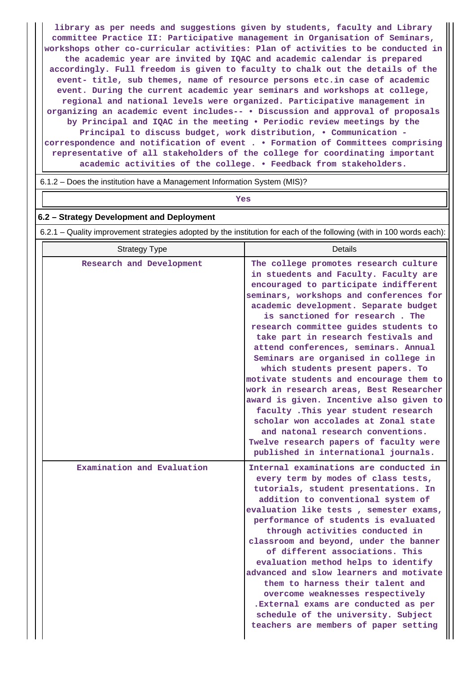**library as per needs and suggestions given by students, faculty and Library committee Practice II: Participative management in Organisation of Seminars, workshops other co-curricular activities: Plan of activities to be conducted in the academic year are invited by IQAC and academic calendar is prepared accordingly. Full freedom is given to faculty to chalk out the details of the event- title, sub themes, name of resource persons etc.in case of academic event. During the current academic year seminars and workshops at college, regional and national levels were organized. Participative management in organizing an academic event includes-- • Discussion and approval of proposals by Principal and IQAC in the meeting • Periodic review meetings by the Principal to discuss budget, work distribution, • Communication correspondence and notification of event . • Formation of Committees comprising representative of all stakeholders of the college for coordinating important academic activities of the college. • Feedback from stakeholders.**

6.1.2 – Does the institution have a Management Information System (MIS)?

### *Yes*

### **6.2 – Strategy Development and Deployment**

6.2.1 – Quality improvement strategies adopted by the institution for each of the following (with in 100 words each):

| <b>Strategy Type</b>       | Details                                                                                                                                                                                                                                                                                                                                                                                                                                                                                                                                                                                                                                                                                                                                                                                     |
|----------------------------|---------------------------------------------------------------------------------------------------------------------------------------------------------------------------------------------------------------------------------------------------------------------------------------------------------------------------------------------------------------------------------------------------------------------------------------------------------------------------------------------------------------------------------------------------------------------------------------------------------------------------------------------------------------------------------------------------------------------------------------------------------------------------------------------|
| Research and Development   | The college promotes research culture<br>in stuedents and Faculty. Faculty are<br>encouraged to participate indifferent<br>seminars, workshops and conferences for<br>academic development. Separate budget<br>is sanctioned for research. The<br>research committee guides students to<br>take part in research festivals and<br>attend conferences, seminars. Annual<br>Seminars are organised in college in<br>which students present papers. To<br>motivate students and encourage them to<br>work in research areas, Best Researcher<br>award is given. Incentive also given to<br>faculty . This year student research<br>scholar won accolades at Zonal state<br>and natonal research conventions.<br>Twelve research papers of faculty were<br>published in international journals. |
| Examination and Evaluation | Internal examinations are conducted in<br>every term by modes of class tests,<br>tutorials, student presentations. In<br>addition to conventional system of<br>evaluation like tests, semester exams,<br>performance of students is evaluated<br>through activities conducted in<br>classroom and beyond, under the banner<br>of different associations. This<br>evaluation method helps to identify<br>advanced and slow learners and motivate<br>them to harness their talent and<br>overcome weaknesses respectively<br>.External exams are conducted as per<br>schedule of the university. Subject<br>teachers are members of paper setting                                                                                                                                             |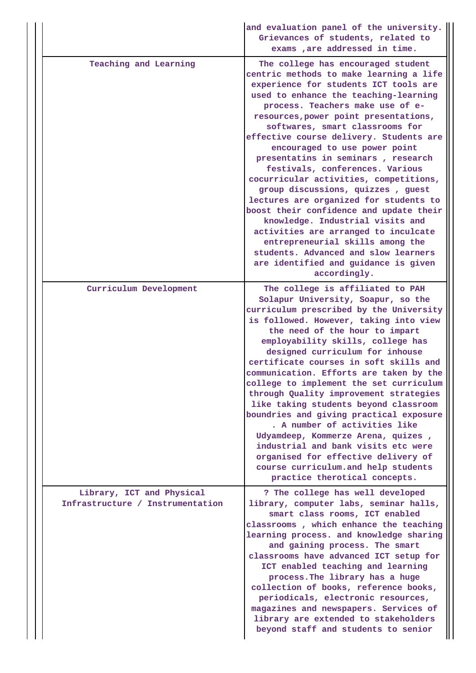|                                                               | and evaluation panel of the university.<br>Grievances of students, related to<br>exams , are addressed in time.                                                                                                                                                                                                                                                                                                                                                                                                                                                                                                                                                                                                                                                                                                          |
|---------------------------------------------------------------|--------------------------------------------------------------------------------------------------------------------------------------------------------------------------------------------------------------------------------------------------------------------------------------------------------------------------------------------------------------------------------------------------------------------------------------------------------------------------------------------------------------------------------------------------------------------------------------------------------------------------------------------------------------------------------------------------------------------------------------------------------------------------------------------------------------------------|
| Teaching and Learning                                         | The college has encouraged student<br>centric methods to make learning a life<br>experience for students ICT tools are<br>used to enhance the teaching-learning<br>process. Teachers make use of e-<br>resources, power point presentations,<br>softwares, smart classrooms for<br>effective course delivery. Students are<br>encouraged to use power point<br>presentatins in seminars, research<br>festivals, conferences. Various<br>cocurricular activities, competitions,<br>group discussions, quizzes, guest<br>lectures are organized for students to<br>boost their confidence and update their<br>knowledge. Industrial visits and<br>activities are arranged to inculcate<br>entrepreneurial skills among the<br>students. Advanced and slow learners<br>are identified and guidance is given<br>accordingly. |
| Curriculum Development                                        | The college is affiliated to PAH<br>Solapur University, Soapur, so the<br>curriculum prescribed by the University<br>is followed. However, taking into view<br>the need of the hour to impart<br>employability skills, college has<br>designed curriculum for inhouse<br>certificate courses in soft skills and<br>communication. Efforts are taken by the<br>college to implement the set curriculum<br>through Quality improvement strategies<br>like taking students beyond classroom<br>boundries and giving practical exposure<br>. A number of activities like<br>Udyamdeep, Kommerze Arena, quizes,<br>industrial and bank visits etc were<br>organised for effective delivery of<br>course curriculum.and help students<br>practice therotical concepts.                                                         |
| Library, ICT and Physical<br>Infrastructure / Instrumentation | ? The college has well developed<br>library, computer labs, seminar halls,<br>smart class rooms, ICT enabled<br>classrooms, which enhance the teaching<br>learning process. and knowledge sharing<br>and gaining process. The smart<br>classrooms have advanced ICT setup for<br>ICT enabled teaching and learning<br>process. The library has a huge<br>collection of books, reference books,<br>periodicals, electronic resources,<br>magazines and newspapers. Services of<br>library are extended to stakeholders<br>beyond staff and students to senior                                                                                                                                                                                                                                                             |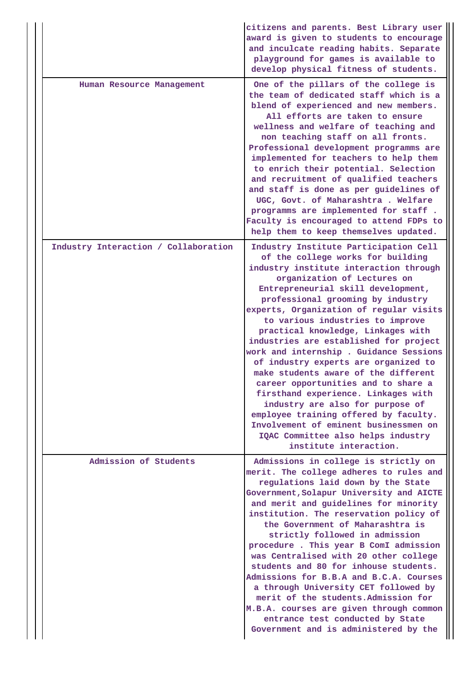|                                      | citizens and parents. Best Library user<br>award is given to students to encourage<br>and inculcate reading habits. Separate<br>playground for games is available to<br>develop physical fitness of students.                                                                                                                                                                                                                                                                                                                                                                                                                                                                                                                                                                               |
|--------------------------------------|---------------------------------------------------------------------------------------------------------------------------------------------------------------------------------------------------------------------------------------------------------------------------------------------------------------------------------------------------------------------------------------------------------------------------------------------------------------------------------------------------------------------------------------------------------------------------------------------------------------------------------------------------------------------------------------------------------------------------------------------------------------------------------------------|
| Human Resource Management            | One of the pillars of the college is<br>the team of dedicated staff which is a<br>blend of experienced and new members.<br>All efforts are taken to ensure<br>wellness and welfare of teaching and<br>non teaching staff on all fronts.<br>Professional development programms are<br>implemented for teachers to help them<br>to enrich their potential. Selection<br>and recruitment of qualified teachers<br>and staff is done as per guidelines of<br>UGC, Govt. of Maharashtra . Welfare<br>programms are implemented for staff.<br>Faculty is encouraged to attend FDPs to<br>help them to keep themselves updated.                                                                                                                                                                    |
| Industry Interaction / Collaboration | Industry Institute Participation Cell<br>of the college works for building<br>industry institute interaction through<br>organization of Lectures on<br>Entrepreneurial skill development,<br>professional grooming by industry<br>experts, Organization of regular visits<br>to various industries to improve<br>practical knowledge, Linkages with<br>industries are established for project<br>work and internship. Guidance Sessions<br>of industry experts are organized to<br>make students aware of the different<br>career opportunities and to share a<br>firsthand experience. Linkages with<br>industry are also for purpose of<br>employee training offered by faculty.<br>Involvement of eminent businessmen on<br>IQAC Committee also helps industry<br>institute interaction. |
| Admission of Students                | Admissions in college is strictly on<br>merit. The college adheres to rules and<br>regulations laid down by the State<br>Government, Solapur University and AICTE<br>and merit and guidelines for minority<br>institution. The reservation policy of<br>the Government of Maharashtra is<br>strictly followed in admission<br>procedure. This year B ComI admission<br>was Centralised with 20 other college<br>students and 80 for inhouse students.<br>Admissions for B.B.A and B.C.A. Courses<br>a through University CET followed by<br>merit of the students. Admission for<br>M.B.A. courses are given through common<br>entrance test conducted by State<br>Government and is administered by the                                                                                    |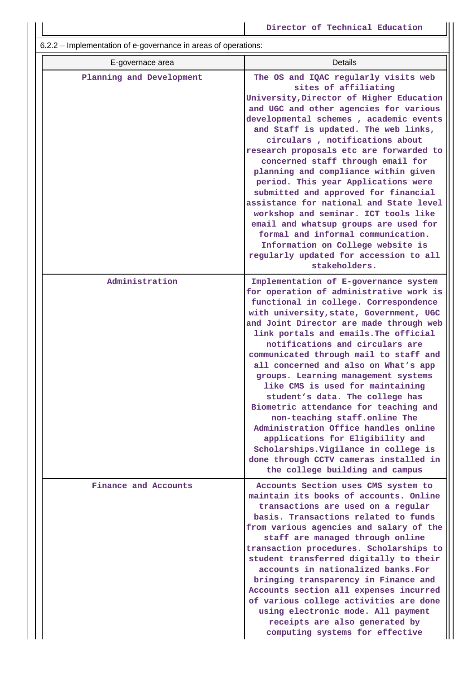6.2.2 – Implementation of e-governance in areas of operations:

| E-governace area         | Details                                                                                                                                                                                                                                                                                                                                                                                                                                                                                                                                                                                                                                                                                                                                                                 |
|--------------------------|-------------------------------------------------------------------------------------------------------------------------------------------------------------------------------------------------------------------------------------------------------------------------------------------------------------------------------------------------------------------------------------------------------------------------------------------------------------------------------------------------------------------------------------------------------------------------------------------------------------------------------------------------------------------------------------------------------------------------------------------------------------------------|
| Planning and Development | The OS and IQAC regularly visits web<br>sites of affiliating<br>University, Director of Higher Education<br>and UGC and other agencies for various<br>developmental schemes, academic events<br>and Staff is updated. The web links,<br>circulars, notifications about<br>research proposals etc are forwarded to<br>concerned staff through email for<br>planning and compliance within given<br>period. This year Applications were<br>submitted and approved for financial<br>assistance for national and State level<br>workshop and seminar. ICT tools like<br>email and whatsup groups are used for<br>formal and informal communication.<br>Information on College website is<br>regularly updated for accession to all<br>stakeholders.                         |
| Administration           | Implementation of E-governance system<br>for operation of administrative work is<br>functional in college. Correspondence<br>with university, state, Government, UGC<br>and Joint Director are made through web<br>link portals and emails. The official<br>notifications and circulars are<br>communicated through mail to staff and<br>all concerned and also on What's app<br>groups. Learning management systems<br>like CMS is used for maintaining<br>student's data. The college has<br>Biometric attendance for teaching and<br>non-teaching staff.online The<br>Administration Office handles online<br>applications for Eligibility and<br>Scholarships. Vigilance in college is<br>done through CCTV cameras installed in<br>the college building and campus |
| Finance and Accounts     | Accounts Section uses CMS system to<br>maintain its books of accounts. Online<br>transactions are used on a regular<br>basis. Transactions related to funds<br>from various agencies and salary of the<br>staff are managed through online<br>transaction procedures. Scholarships to<br>student transferred digitally to their<br>accounts in nationalized banks. For<br>bringing transparency in Finance and<br>Accounts section all expenses incurred<br>of various college activities are done<br>using electronic mode. All payment<br>receipts are also generated by<br>computing systems for effective                                                                                                                                                           |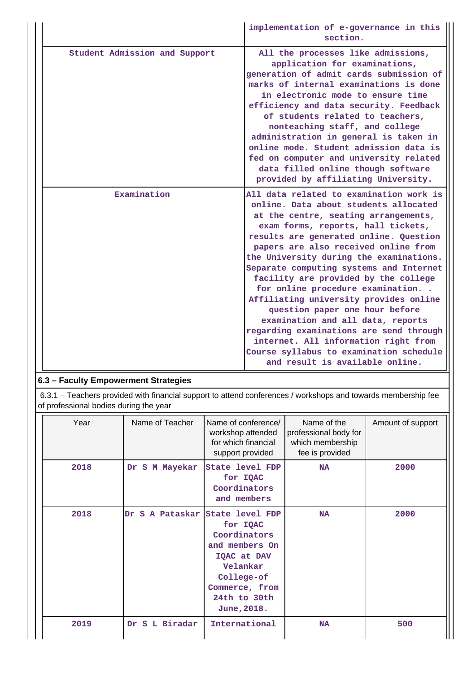|                               | implementation of e-governance in this<br>section.                                                                                                                                                                                                                                                                                                                                                                                                                                                                                                                                                                                                                                                   |
|-------------------------------|------------------------------------------------------------------------------------------------------------------------------------------------------------------------------------------------------------------------------------------------------------------------------------------------------------------------------------------------------------------------------------------------------------------------------------------------------------------------------------------------------------------------------------------------------------------------------------------------------------------------------------------------------------------------------------------------------|
| Student Admission and Support | All the processes like admissions,<br>application for examinations,<br>generation of admit cards submission of<br>marks of internal examinations is done<br>in electronic mode to ensure time<br>efficiency and data security. Feedback<br>of students related to teachers,<br>nonteaching staff, and college<br>administration in general is taken in<br>online mode. Student admission data is<br>fed on computer and university related<br>data filled online though software<br>provided by affiliating University.                                                                                                                                                                              |
| Examination                   | All data related to examination work is<br>online. Data about students allocated<br>at the centre, seating arrangements,<br>exam forms, reports, hall tickets,<br>results are generated online. Question<br>papers are also received online from<br>the University during the examinations.<br>Separate computing systems and Internet<br>facility are provided by the college<br>for online procedure examination<br>Affiliating university provides online<br>question paper one hour before<br>examination and all data, reports<br>regarding examinations are send through<br>internet. All information right from<br>Course syllabus to examination schedule<br>and result is available online. |

### **6.3 – Faculty Empowerment Strategies**

 6.3.1 – Teachers provided with financial support to attend conferences / workshops and towards membership fee of professional bodies during the year

| Year | Name of Teacher   | Name of conference/<br>workshop attended<br>for which financial<br>support provided                                                                                  | Name of the<br>professional body for<br>which membership<br>fee is provided | Amount of support |
|------|-------------------|----------------------------------------------------------------------------------------------------------------------------------------------------------------------|-----------------------------------------------------------------------------|-------------------|
| 2018 | S M Mayekar<br>Dr | <b>State level FDP</b><br>for IQAC<br>Coordinators<br>and members                                                                                                    | <b>NA</b>                                                                   | 2000              |
| 2018 | Dr.               | S A Pataskar State level FDP<br>for IQAC<br>Coordinators<br>and members On<br>IQAC at DAV<br>Velankar<br>College-of<br>Commerce, from<br>24th to 30th<br>June, 2018. | <b>NA</b>                                                                   | 2000              |
| 2019 | S L Biradar<br>Dr | International                                                                                                                                                        | <b>NA</b>                                                                   | 500               |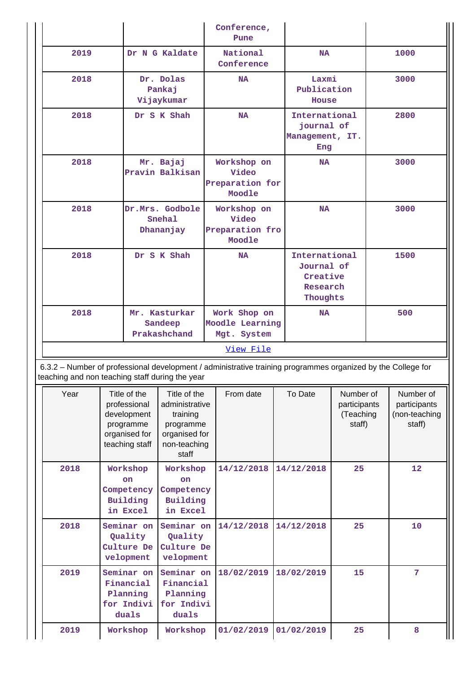|  |                                                                                                                                                                                                                                      |                                                                                             | Conference,<br>Pune                                                                               |                                                                                                              |                                                       |                                                                 |                                                  |                   |                                                      |
|--|--------------------------------------------------------------------------------------------------------------------------------------------------------------------------------------------------------------------------------------|---------------------------------------------------------------------------------------------|---------------------------------------------------------------------------------------------------|--------------------------------------------------------------------------------------------------------------|-------------------------------------------------------|-----------------------------------------------------------------|--------------------------------------------------|-------------------|------------------------------------------------------|
|  | 2019                                                                                                                                                                                                                                 |                                                                                             | Dr N G Kaldate                                                                                    | National<br>Conference                                                                                       |                                                       | <b>NA</b>                                                       |                                                  | 1000              |                                                      |
|  | 2018                                                                                                                                                                                                                                 | Dr. Dolas<br>Pankaj<br>Vijaykumar                                                           |                                                                                                   | <b>NA</b>                                                                                                    |                                                       | Laxmi<br>Publication<br>House                                   |                                                  |                   | 3000                                                 |
|  | 2018<br>Dr S K Shah                                                                                                                                                                                                                  |                                                                                             | <b>NA</b>                                                                                         |                                                                                                              | International<br>journal of<br>Management, IT.<br>Eng |                                                                 |                                                  | 2800              |                                                      |
|  | 2018<br>Mr. Bajaj<br>Pravin Balkisan                                                                                                                                                                                                 |                                                                                             | Workshop on<br>Video<br>Preparation for<br>Moodle                                                 |                                                                                                              | <b>NA</b>                                             |                                                                 |                                                  | 3000              |                                                      |
|  | 2018<br>Dr.Mrs. Godbole<br>Snehal<br>Dhananjay                                                                                                                                                                                       |                                                                                             | Workshop on<br>Video<br>Preparation fro<br>Moodle                                                 |                                                                                                              | <b>NA</b>                                             |                                                                 | 3000                                             |                   |                                                      |
|  | 2018                                                                                                                                                                                                                                 | Dr S K Shah                                                                                 |                                                                                                   | <b>NA</b>                                                                                                    |                                                       | International<br>Journal of<br>Creative<br>Research<br>Thoughts |                                                  | 1500              |                                                      |
|  | 2018                                                                                                                                                                                                                                 |                                                                                             | Mr. Kasturkar<br>Sandeep<br>Prakashchand                                                          | Work Shop on<br>Moodle Learning<br>Mgt. System                                                               |                                                       | <b>NA</b>                                                       |                                                  | 500               |                                                      |
|  |                                                                                                                                                                                                                                      |                                                                                             |                                                                                                   | View File                                                                                                    |                                                       |                                                                 |                                                  |                   |                                                      |
|  | teaching and non teaching staff during the year                                                                                                                                                                                      |                                                                                             |                                                                                                   | 6.3.2 - Number of professional development / administrative training programmes organized by the College for |                                                       |                                                                 |                                                  |                   |                                                      |
|  | Year                                                                                                                                                                                                                                 | Title of the<br>professional<br>development<br>programme<br>organised for<br>teaching staff | Title of the<br>administrative<br>training<br>programme<br>organised for<br>non-teaching<br>staff | From date                                                                                                    |                                                       | To Date                                                         | Number of<br>participants<br>(Teaching<br>staff) |                   | Number of<br>participants<br>(non-teaching<br>staff) |
|  | 2018<br>Workshop<br>Workshop<br>on<br>on<br>Competency<br>Competency<br>Building<br>Building<br>in Excel<br>in Excel<br>2018<br>Seminar on<br>Seminar on<br>Quality<br>Quality<br>Culture De<br>Culture De<br>velopment<br>velopment |                                                                                             | 14/12/2018                                                                                        |                                                                                                              | 14/12/2018                                            | 25                                                              |                                                  | $12 \overline{ }$ |                                                      |
|  |                                                                                                                                                                                                                                      |                                                                                             | 14/12/2018                                                                                        |                                                                                                              | 14/12/2018                                            | 25                                                              |                                                  | 10                |                                                      |
|  | 2019<br>Seminar on<br>Financial<br>Planning<br>for Indivi<br>duals                                                                                                                                                                   |                                                                                             | Seminar on<br>Financial<br>Planning<br>for Indivi<br>duals                                        | 18/02/2019                                                                                                   |                                                       | 18/02/2019<br>15                                                |                                                  |                   | 7                                                    |
|  | 2019                                                                                                                                                                                                                                 | Workshop                                                                                    | Workshop                                                                                          | 01/02/2019                                                                                                   |                                                       | 01/02/2019                                                      | 25                                               |                   | 8                                                    |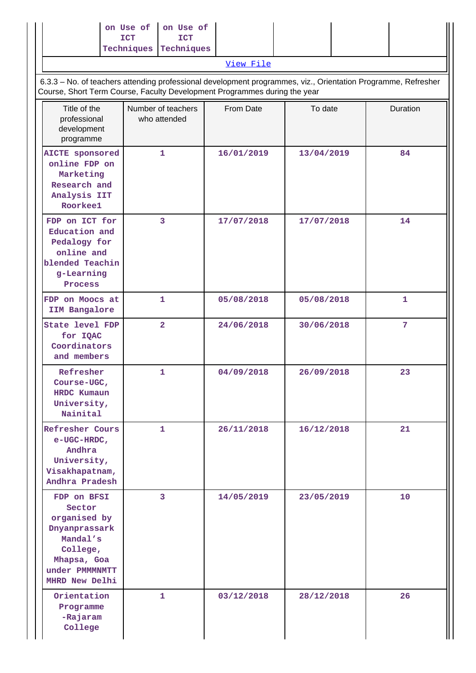|                                                                                                                                                                                            | on Use of<br><b>ICT</b><br>Techniques | on Use of<br><b>ICT</b><br>Techniques |  |            |         |            |  |  |              |  |
|--------------------------------------------------------------------------------------------------------------------------------------------------------------------------------------------|---------------------------------------|---------------------------------------|--|------------|---------|------------|--|--|--------------|--|
|                                                                                                                                                                                            |                                       |                                       |  | View File  |         |            |  |  |              |  |
| 6.3.3 - No. of teachers attending professional development programmes, viz., Orientation Programme, Refresher<br>Course, Short Term Course, Faculty Development Programmes during the year |                                       |                                       |  |            |         |            |  |  |              |  |
| Title of the<br>professional<br>development<br>programme                                                                                                                                   | Number of teachers<br>who attended    |                                       |  | From Date  | To date |            |  |  | Duration     |  |
| <b>AICTE</b> sponsored<br>online FDP on<br>Marketing<br>Research and<br>Analysis IIT<br>Roorkee1                                                                                           |                                       | $\mathbf{1}$                          |  | 16/01/2019 |         | 13/04/2019 |  |  | 84           |  |
| FDP on ICT for<br>Education and<br>Pedalogy for<br>online and<br>blended Teachin<br>g-Learning<br>Process                                                                                  |                                       | $\overline{3}$                        |  | 17/07/2018 |         | 17/07/2018 |  |  | 14           |  |
| FDP on Moocs at<br>IIM Bangalore                                                                                                                                                           |                                       | 1                                     |  | 05/08/2018 |         | 05/08/2018 |  |  | $\mathbf{1}$ |  |
| State level FDP<br>for IQAC<br>Coordinators<br>and members                                                                                                                                 |                                       | $\overline{a}$                        |  | 24/06/2018 |         | 30/06/2018 |  |  | 7            |  |
| Refresher<br>Course-UGC,<br>HRDC Kumaun<br>University,<br>Nainital                                                                                                                         |                                       | 1                                     |  | 04/09/2018 |         | 26/09/2018 |  |  | 23           |  |
| <b>Refresher Cours</b><br>e-UGC-HRDC,<br>Andhra<br>University,<br>Visakhapatnam,<br>Andhra Pradesh                                                                                         |                                       | $\mathbf{1}$                          |  | 26/11/2018 |         | 16/12/2018 |  |  | 21           |  |
| FDP on BFSI<br>Sector<br>organised by<br>Dnyanprassark<br>Mandal's<br>College,<br>Mhapsa, Goa<br>under PMMMMTT<br>MHRD New Delhi                                                           |                                       | 3                                     |  | 14/05/2019 |         | 23/05/2019 |  |  | 10           |  |
| Orientation<br>Programme<br>-Rajaram<br>College                                                                                                                                            |                                       | 1.                                    |  | 03/12/2018 |         | 28/12/2018 |  |  | 26           |  |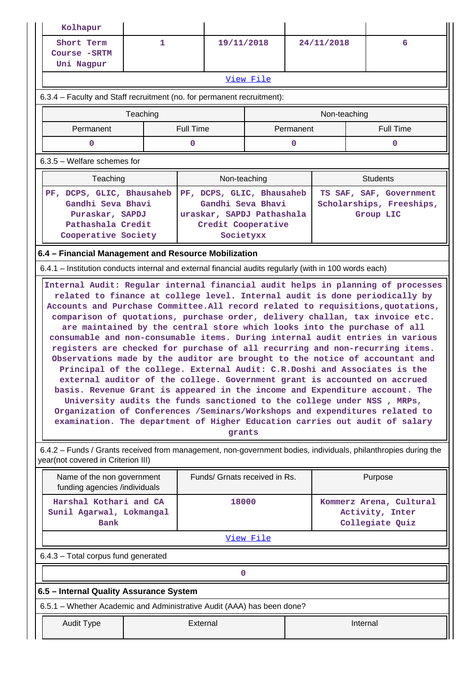| Kolhapur                                                                                               |                                                                                                                                                                                                                                                                                                                                                                                                                                                                                                                                                                                                                                                                                                                                                                                                                                                                                                                                                                                                                                                                          |                           |                               |            |  |                                                                                                                |  |  |  |  |  |
|--------------------------------------------------------------------------------------------------------|--------------------------------------------------------------------------------------------------------------------------------------------------------------------------------------------------------------------------------------------------------------------------------------------------------------------------------------------------------------------------------------------------------------------------------------------------------------------------------------------------------------------------------------------------------------------------------------------------------------------------------------------------------------------------------------------------------------------------------------------------------------------------------------------------------------------------------------------------------------------------------------------------------------------------------------------------------------------------------------------------------------------------------------------------------------------------|---------------------------|-------------------------------|------------|--|----------------------------------------------------------------------------------------------------------------|--|--|--|--|--|
| Short Term                                                                                             | 1                                                                                                                                                                                                                                                                                                                                                                                                                                                                                                                                                                                                                                                                                                                                                                                                                                                                                                                                                                                                                                                                        |                           | 19/11/2018                    | 24/11/2018 |  | 6                                                                                                              |  |  |  |  |  |
| Course - SRTM<br>Uni Nagpur                                                                            |                                                                                                                                                                                                                                                                                                                                                                                                                                                                                                                                                                                                                                                                                                                                                                                                                                                                                                                                                                                                                                                                          |                           |                               |            |  |                                                                                                                |  |  |  |  |  |
|                                                                                                        |                                                                                                                                                                                                                                                                                                                                                                                                                                                                                                                                                                                                                                                                                                                                                                                                                                                                                                                                                                                                                                                                          |                           | <u>View File</u>              |            |  |                                                                                                                |  |  |  |  |  |
| 6.3.4 - Faculty and Staff recruitment (no. for permanent recruitment):                                 |                                                                                                                                                                                                                                                                                                                                                                                                                                                                                                                                                                                                                                                                                                                                                                                                                                                                                                                                                                                                                                                                          |                           |                               |            |  |                                                                                                                |  |  |  |  |  |
| Non-teaching<br>Teaching                                                                               |                                                                                                                                                                                                                                                                                                                                                                                                                                                                                                                                                                                                                                                                                                                                                                                                                                                                                                                                                                                                                                                                          |                           |                               |            |  |                                                                                                                |  |  |  |  |  |
| Permanent                                                                                              | <b>Full Time</b><br><b>Full Time</b><br>Permanent                                                                                                                                                                                                                                                                                                                                                                                                                                                                                                                                                                                                                                                                                                                                                                                                                                                                                                                                                                                                                        |                           |                               |            |  |                                                                                                                |  |  |  |  |  |
| 0                                                                                                      | 0<br>$\mathbf 0$<br>$\mathbf 0$                                                                                                                                                                                                                                                                                                                                                                                                                                                                                                                                                                                                                                                                                                                                                                                                                                                                                                                                                                                                                                          |                           |                               |            |  |                                                                                                                |  |  |  |  |  |
| $6.3.5$ – Welfare schemes for                                                                          |                                                                                                                                                                                                                                                                                                                                                                                                                                                                                                                                                                                                                                                                                                                                                                                                                                                                                                                                                                                                                                                                          |                           |                               |            |  |                                                                                                                |  |  |  |  |  |
| Teaching                                                                                               |                                                                                                                                                                                                                                                                                                                                                                                                                                                                                                                                                                                                                                                                                                                                                                                                                                                                                                                                                                                                                                                                          |                           | Non-teaching                  |            |  | <b>Students</b>                                                                                                |  |  |  |  |  |
| PF, DCPS, GLIC, Bhausaheb                                                                              |                                                                                                                                                                                                                                                                                                                                                                                                                                                                                                                                                                                                                                                                                                                                                                                                                                                                                                                                                                                                                                                                          | PF, DCPS, GLIC, Bhausaheb |                               |            |  | TS SAF, SAF, Government                                                                                        |  |  |  |  |  |
| Gandhi Seva Bhavi<br>Puraskar, SAPDJ                                                                   |                                                                                                                                                                                                                                                                                                                                                                                                                                                                                                                                                                                                                                                                                                                                                                                                                                                                                                                                                                                                                                                                          | uraskar, SAPDJ Pathashala | Gandhi Seva Bhavi             |            |  | Scholarships, Freeships,<br>Group LIC                                                                          |  |  |  |  |  |
| Pathashala Credit                                                                                      |                                                                                                                                                                                                                                                                                                                                                                                                                                                                                                                                                                                                                                                                                                                                                                                                                                                                                                                                                                                                                                                                          |                           | Credit Cooperative            |            |  |                                                                                                                |  |  |  |  |  |
| Cooperative Society                                                                                    |                                                                                                                                                                                                                                                                                                                                                                                                                                                                                                                                                                                                                                                                                                                                                                                                                                                                                                                                                                                                                                                                          |                           | Societyxx                     |            |  |                                                                                                                |  |  |  |  |  |
| 6.4 - Financial Management and Resource Mobilization                                                   |                                                                                                                                                                                                                                                                                                                                                                                                                                                                                                                                                                                                                                                                                                                                                                                                                                                                                                                                                                                                                                                                          |                           |                               |            |  |                                                                                                                |  |  |  |  |  |
| 6.4.1 – Institution conducts internal and external financial audits regularly (with in 100 words each) |                                                                                                                                                                                                                                                                                                                                                                                                                                                                                                                                                                                                                                                                                                                                                                                                                                                                                                                                                                                                                                                                          |                           |                               |            |  |                                                                                                                |  |  |  |  |  |
|                                                                                                        | related to finance at college level. Internal audit is done periodically by<br>Accounts and Purchase Committee. All record related to requisitions, quotations,<br>comparison of quotations, purchase order, delivery challan, tax invoice etc.<br>are maintained by the central store which looks into the purchase of all<br>consumable and non-consumable items. During internal audit entries in various<br>registers are checked for purchase of all recurring and non-recurring items.<br>Observations made by the auditor are brought to the notice of accountant and<br>Principal of the college. External Audit: C.R.Doshi and Associates is the<br>external auditor of the college. Government grant is accounted on accrued<br>basis. Revenue Grant is appeared in the income and Expenditure account. The<br>University audits the funds sanctioned to the college under NSS, MRPs,<br>Organization of Conferences / Seminars/Workshops and expenditures related to<br>examination. The department of Higher Education carries out audit of salary<br>grants |                           |                               |            |  |                                                                                                                |  |  |  |  |  |
| year(not covered in Criterion III)                                                                     |                                                                                                                                                                                                                                                                                                                                                                                                                                                                                                                                                                                                                                                                                                                                                                                                                                                                                                                                                                                                                                                                          |                           |                               |            |  | 6.4.2 – Funds / Grants received from management, non-government bodies, individuals, philanthropies during the |  |  |  |  |  |
| Name of the non government<br>funding agencies /individuals                                            |                                                                                                                                                                                                                                                                                                                                                                                                                                                                                                                                                                                                                                                                                                                                                                                                                                                                                                                                                                                                                                                                          |                           | Funds/ Grnats received in Rs. |            |  | Purpose                                                                                                        |  |  |  |  |  |
| Harshal Kothari and CA                                                                                 |                                                                                                                                                                                                                                                                                                                                                                                                                                                                                                                                                                                                                                                                                                                                                                                                                                                                                                                                                                                                                                                                          |                           | 18000                         |            |  | Kommerz Arena, Cultural                                                                                        |  |  |  |  |  |
| Bank                                                                                                   | Sunil Agarwal, Lokmangal                                                                                                                                                                                                                                                                                                                                                                                                                                                                                                                                                                                                                                                                                                                                                                                                                                                                                                                                                                                                                                                 |                           |                               |            |  | Activity, Inter<br>Collegiate Quiz                                                                             |  |  |  |  |  |
|                                                                                                        | View File                                                                                                                                                                                                                                                                                                                                                                                                                                                                                                                                                                                                                                                                                                                                                                                                                                                                                                                                                                                                                                                                |                           |                               |            |  |                                                                                                                |  |  |  |  |  |
| 6.4.3 - Total corpus fund generated                                                                    |                                                                                                                                                                                                                                                                                                                                                                                                                                                                                                                                                                                                                                                                                                                                                                                                                                                                                                                                                                                                                                                                          |                           |                               |            |  |                                                                                                                |  |  |  |  |  |
| 0                                                                                                      |                                                                                                                                                                                                                                                                                                                                                                                                                                                                                                                                                                                                                                                                                                                                                                                                                                                                                                                                                                                                                                                                          |                           |                               |            |  |                                                                                                                |  |  |  |  |  |
| 6.5 - Internal Quality Assurance System                                                                |                                                                                                                                                                                                                                                                                                                                                                                                                                                                                                                                                                                                                                                                                                                                                                                                                                                                                                                                                                                                                                                                          |                           |                               |            |  |                                                                                                                |  |  |  |  |  |
| 6.5.1 – Whether Academic and Administrative Audit (AAA) has been done?                                 |                                                                                                                                                                                                                                                                                                                                                                                                                                                                                                                                                                                                                                                                                                                                                                                                                                                                                                                                                                                                                                                                          |                           |                               |            |  |                                                                                                                |  |  |  |  |  |
| <b>Audit Type</b>                                                                                      |                                                                                                                                                                                                                                                                                                                                                                                                                                                                                                                                                                                                                                                                                                                                                                                                                                                                                                                                                                                                                                                                          | External                  |                               |            |  | Internal                                                                                                       |  |  |  |  |  |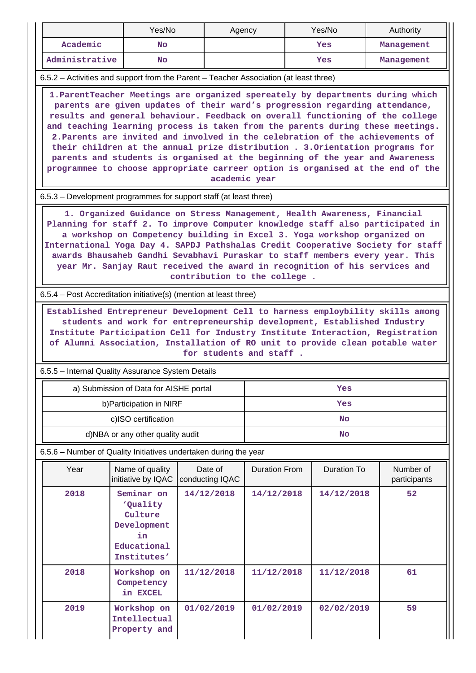|                                                                                                                                                                                                                                                                                                                                                                                                                                                                                                                                                                                                                                                                                       | Yes/No                                                                                |                            | Agency               |  | Yes/No      |  | Authority                 |  |  |  |
|---------------------------------------------------------------------------------------------------------------------------------------------------------------------------------------------------------------------------------------------------------------------------------------------------------------------------------------------------------------------------------------------------------------------------------------------------------------------------------------------------------------------------------------------------------------------------------------------------------------------------------------------------------------------------------------|---------------------------------------------------------------------------------------|----------------------------|----------------------|--|-------------|--|---------------------------|--|--|--|
| Academic                                                                                                                                                                                                                                                                                                                                                                                                                                                                                                                                                                                                                                                                              | <b>No</b>                                                                             |                            |                      |  | Yes         |  | Management                |  |  |  |
| Administrative                                                                                                                                                                                                                                                                                                                                                                                                                                                                                                                                                                                                                                                                        | <b>No</b>                                                                             |                            |                      |  | <b>Yes</b>  |  | Management                |  |  |  |
|                                                                                                                                                                                                                                                                                                                                                                                                                                                                                                                                                                                                                                                                                       | 6.5.2 – Activities and support from the Parent – Teacher Association (at least three) |                            |                      |  |             |  |                           |  |  |  |
| 1. ParentTeacher Meetings are organized spereately by departments during which<br>parents are given updates of their ward's progression regarding attendance,<br>results and general behaviour. Feedback on overall functioning of the college<br>and teaching learning process is taken from the parents during these meetings.<br>2. Parents are invited and involved in the celebration of the achievements of<br>their children at the annual prize distribution . 3. Orientation programs for<br>parents and students is organised at the beginning of the year and Awareness<br>programmee to choose appropriate carreer option is organised at the end of the<br>academic year |                                                                                       |                            |                      |  |             |  |                           |  |  |  |
| 6.5.3 – Development programmes for support staff (at least three)                                                                                                                                                                                                                                                                                                                                                                                                                                                                                                                                                                                                                     |                                                                                       |                            |                      |  |             |  |                           |  |  |  |
| 1. Organized Guidance on Stress Management, Health Awareness, Financial<br>Planning for staff 2. To improve Computer knowledge staff also participated in<br>a workshop on Competency building in Excel 3. Yoga workshop organized on<br>International Yoga Day 4. SAPDJ Pathshalas Credit Cooperative Society for staff<br>awards Bhausaheb Gandhi Sevabhavi Puraskar to staff members every year. This<br>year Mr. Sanjay Raut received the award in recognition of his services and<br>contribution to the college.                                                                                                                                                                |                                                                                       |                            |                      |  |             |  |                           |  |  |  |
|                                                                                                                                                                                                                                                                                                                                                                                                                                                                                                                                                                                                                                                                                       | 6.5.4 – Post Accreditation initiative(s) (mention at least three)                     |                            |                      |  |             |  |                           |  |  |  |
| Established Entrepreneur Development Cell to harness employbility skills among<br>students and work for entrepreneurship development, Established Industry<br>Institute Participation Cell for Industry Institute Interaction, Registration<br>of Alumni Association, Installation of RO unit to provide clean potable water<br>for students and staff.                                                                                                                                                                                                                                                                                                                               |                                                                                       |                            |                      |  |             |  |                           |  |  |  |
|                                                                                                                                                                                                                                                                                                                                                                                                                                                                                                                                                                                                                                                                                       | 6.5.5 - Internal Quality Assurance System Details                                     |                            |                      |  |             |  |                           |  |  |  |
|                                                                                                                                                                                                                                                                                                                                                                                                                                                                                                                                                                                                                                                                                       | a) Submission of Data for AISHE portal                                                |                            |                      |  | Yes         |  |                           |  |  |  |
|                                                                                                                                                                                                                                                                                                                                                                                                                                                                                                                                                                                                                                                                                       | b) Participation in NIRF                                                              |                            |                      |  | Yes         |  |                           |  |  |  |
|                                                                                                                                                                                                                                                                                                                                                                                                                                                                                                                                                                                                                                                                                       | c)ISO certification                                                                   |                            |                      |  | No          |  |                           |  |  |  |
|                                                                                                                                                                                                                                                                                                                                                                                                                                                                                                                                                                                                                                                                                       | d)NBA or any other quality audit                                                      |                            |                      |  | <b>No</b>   |  |                           |  |  |  |
|                                                                                                                                                                                                                                                                                                                                                                                                                                                                                                                                                                                                                                                                                       | 6.5.6 - Number of Quality Initiatives undertaken during the year                      |                            |                      |  |             |  |                           |  |  |  |
| Year                                                                                                                                                                                                                                                                                                                                                                                                                                                                                                                                                                                                                                                                                  | Name of quality<br>initiative by IQAC                                                 | Date of<br>conducting IQAC | <b>Duration From</b> |  | Duration To |  | Number of<br>participants |  |  |  |
| 2018                                                                                                                                                                                                                                                                                                                                                                                                                                                                                                                                                                                                                                                                                  | Seminar on<br>'Quality<br>Culture<br>Development<br>in<br>Educational<br>Institutes'  | 14/12/2018                 | 14/12/2018           |  | 14/12/2018  |  | 52                        |  |  |  |
| 2018                                                                                                                                                                                                                                                                                                                                                                                                                                                                                                                                                                                                                                                                                  | Workshop on<br>Competency<br>in EXCEL                                                 | 11/12/2018                 | 11/12/2018           |  | 11/12/2018  |  | 61                        |  |  |  |
| 2019                                                                                                                                                                                                                                                                                                                                                                                                                                                                                                                                                                                                                                                                                  | Workshop on<br>Intellectual<br>Property and                                           | 01/02/2019                 | 01/02/2019           |  | 02/02/2019  |  | 59                        |  |  |  |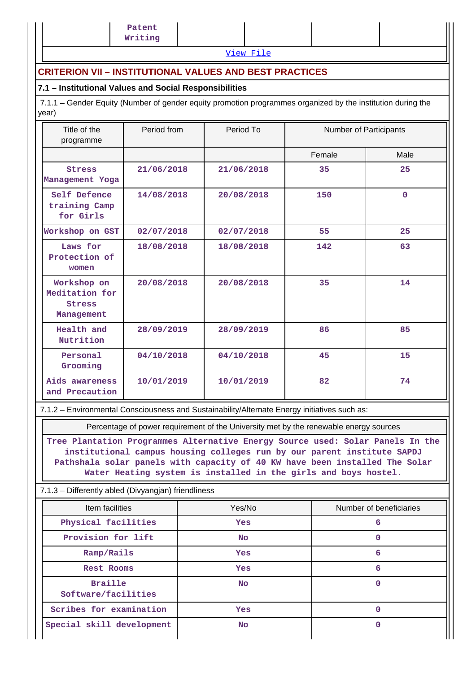[View File](https://assessmentonline.naac.gov.in/public/Postacc/Quality_Initiatives_B/3478_Quality_Initiatives_B_1583481360.xlsx)

### **CRITERION VII – INSTITUTIONAL VALUES AND BEST PRACTICES**

### **7.1 – Institutional Values and Social Responsibilities**

 7.1.1 – Gender Equity (Number of gender equity promotion programmes organized by the institution during the year)

| Title of the<br>programme                                    | Period from | Period To  | Number of Participants |              |  |
|--------------------------------------------------------------|-------------|------------|------------------------|--------------|--|
|                                                              |             |            | Female                 | Male         |  |
| <b>Stress</b><br>Management Yoga                             | 21/06/2018  | 21/06/2018 | 35                     | 25           |  |
| Self Defence<br>training Camp<br>for Girls                   | 14/08/2018  | 20/08/2018 | 150                    | $\mathbf{0}$ |  |
| Workshop on GST                                              | 02/07/2018  | 02/07/2018 | 55                     | 25           |  |
| Laws for<br>Protection of<br>women                           | 18/08/2018  | 18/08/2018 | 142                    | 63           |  |
| Workshop on<br>Meditation for<br><b>Stress</b><br>Management | 20/08/2018  | 20/08/2018 | 35                     | 14           |  |
| Health and<br>Nutrition                                      | 28/09/2019  | 28/09/2019 | 86                     | 85           |  |
| Personal<br>Grooming                                         | 04/10/2018  | 04/10/2018 | 45                     | 15           |  |
| Aids awareness<br>and Precaution                             | 10/01/2019  | 10/01/2019 | 82                     | 74           |  |

7.1.2 – Environmental Consciousness and Sustainability/Alternate Energy initiatives such as:

Percentage of power requirement of the University met by the renewable energy sources

**Tree Plantation Programmes Alternative Energy Source used: Solar Panels In the institutional campus housing colleges run by our parent institute SAPDJ Pathshala solar panels with capacity of 40 KW have been installed The Solar Water Heating system is installed in the girls and boys hostel.**

### 7.1.3 – Differently abled (Divyangjan) friendliness

| Item facilities                       | Yes/No     | Number of beneficiaries |
|---------------------------------------|------------|-------------------------|
| Physical facilities                   | <b>Yes</b> | 6                       |
| Provision for lift                    | <b>No</b>  | O                       |
| Ramp/Rails                            | <b>Yes</b> | 6                       |
| Rest Rooms                            | <b>Yes</b> | 6                       |
| <b>Braille</b><br>Software/facilities | <b>No</b>  | 0                       |
| Scribes for examination               | <b>Yes</b> |                         |
| Special skill development             | <b>No</b>  |                         |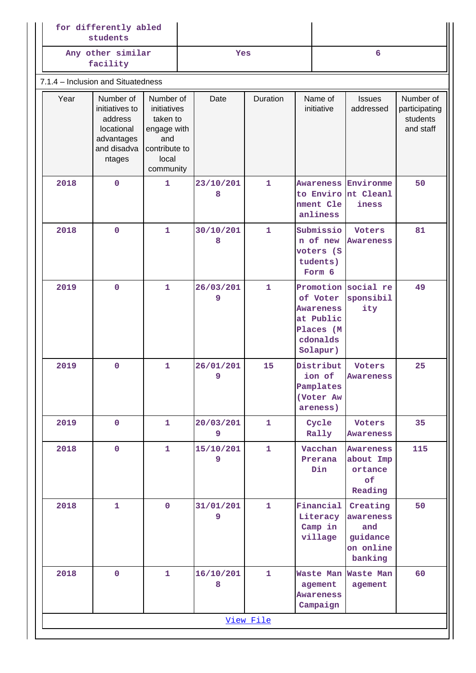|                                    | for differently abled<br>students                                                           |                                                                                                   |  |                |              |                       |                                                                                |                                                                  |                                                     |
|------------------------------------|---------------------------------------------------------------------------------------------|---------------------------------------------------------------------------------------------------|--|----------------|--------------|-----------------------|--------------------------------------------------------------------------------|------------------------------------------------------------------|-----------------------------------------------------|
|                                    | Any other similar<br>facility                                                               |                                                                                                   |  | Yes            |              |                       | 6                                                                              |                                                                  |                                                     |
| 7.1.4 - Inclusion and Situatedness |                                                                                             |                                                                                                   |  |                |              |                       |                                                                                |                                                                  |                                                     |
| Year                               | Number of<br>initiatives to<br>address<br>locational<br>advantages<br>and disadva<br>ntages | Number of<br>initiatives<br>taken to<br>engage with<br>and<br>contribute to<br>local<br>community |  | Date           | Duration     | Name of<br>initiative |                                                                                | <b>Issues</b><br>addressed                                       | Number of<br>participating<br>students<br>and staff |
| 2018                               | $\mathbf 0$                                                                                 | 1                                                                                                 |  | 23/10/201<br>8 | 1            |                       | nment Cle<br>anliness                                                          | <b>Awareness Environme</b><br>to Enviro nt Cleanl<br>iness       | 50                                                  |
| 2018                               | $\mathbf 0$                                                                                 | $\mathbf{1}$                                                                                      |  | 30/10/201<br>8 | $\mathbf{1}$ |                       | Submissio<br>n of new<br>voters (S<br>tudents)<br>Form 6                       | <b>Voters</b><br><b>Awareness</b>                                | 81                                                  |
| 2019                               | $\mathbf 0$                                                                                 | $\mathbf{1}$                                                                                      |  | 26/03/201<br>9 | $\mathbf{1}$ |                       | of Voter<br><b>Awareness</b><br>at Public<br>Places (M<br>cdonalds<br>Solapur) | Promotion social re<br>sponsibil<br>ity                          | 49                                                  |
| 2019                               | $\mathbf 0$                                                                                 | $\mathbf{1}$                                                                                      |  | 26/01/201<br>9 | 15           |                       | Distribut<br>ion of<br>Pamplates<br>(Voter Aw<br>areness)                      | Voters<br><b>Awareness</b>                                       | 25                                                  |
| 2019                               | $\mathbf{O}$                                                                                | 1                                                                                                 |  | 20/03/201<br>9 | 1            |                       | Cycle<br>Rally                                                                 | Voters<br><b>Awareness</b>                                       | 35                                                  |
| 2018                               | $\mathbf 0$                                                                                 | 1                                                                                                 |  | 15/10/201<br>9 | 1            |                       | Vacchan<br>Prerana<br>Din                                                      | Awareness<br>about Imp<br>ortance<br>of<br>Reading               | 115                                                 |
| 2018                               | $\mathbf{1}$                                                                                | $\mathbf 0$                                                                                       |  | 31/01/201<br>9 | 1            |                       | Financial<br>Literacy<br>Camp in<br>village                                    | Creating<br>awareness<br>and<br>guidance<br>on online<br>banking | 50                                                  |
| 2018                               | $\mathbf 0$                                                                                 | $\mathbf{1}$                                                                                      |  | 16/10/201<br>8 | 1            |                       | agement<br><b>Awareness</b><br>Campaign                                        | Waste Man Waste Man<br>agement                                   | 60                                                  |
|                                    |                                                                                             |                                                                                                   |  |                | View File    |                       |                                                                                |                                                                  |                                                     |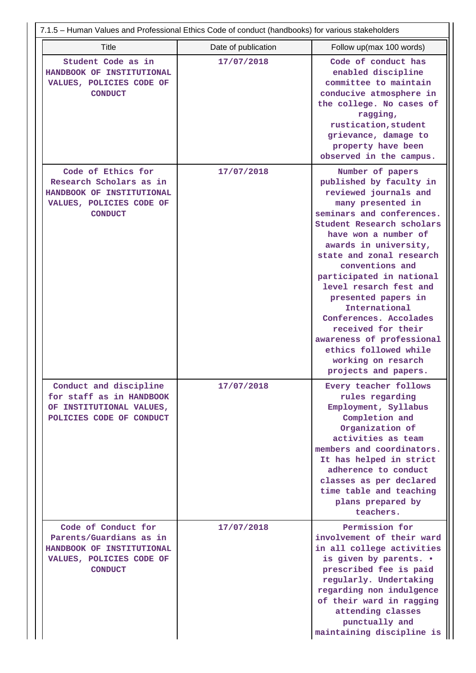| 7.1.5 - Human Values and Professional Ethics Code of conduct (handbooks) for various stakeholders                         |                     |                                                                                                                                                                                                                                                                                                                                                                                                                                                                                                       |  |  |  |  |  |  |  |
|---------------------------------------------------------------------------------------------------------------------------|---------------------|-------------------------------------------------------------------------------------------------------------------------------------------------------------------------------------------------------------------------------------------------------------------------------------------------------------------------------------------------------------------------------------------------------------------------------------------------------------------------------------------------------|--|--|--|--|--|--|--|
| Title                                                                                                                     | Date of publication | Follow up(max 100 words)                                                                                                                                                                                                                                                                                                                                                                                                                                                                              |  |  |  |  |  |  |  |
| Student Code as in<br>HANDBOOK OF INSTITUTIONAL<br>VALUES, POLICIES CODE OF<br><b>CONDUCT</b>                             | 17/07/2018          | Code of conduct has<br>enabled discipline<br>committee to maintain<br>conducive atmosphere in<br>the college. No cases of<br>ragging,<br>rustication, student<br>grievance, damage to<br>property have been<br>observed in the campus.                                                                                                                                                                                                                                                                |  |  |  |  |  |  |  |
| Code of Ethics for<br>Research Scholars as in<br>HANDBOOK OF INSTITUTIONAL<br>VALUES, POLICIES CODE OF<br><b>CONDUCT</b>  | 17/07/2018          | Number of papers<br>published by faculty in<br>reviewed journals and<br>many presented in<br>seminars and conferences.<br>Student Research scholars<br>have won a number of<br>awards in university,<br>state and zonal research<br>conventions and<br>participated in national<br>level resarch fest and<br>presented papers in<br>International<br>Conferences. Accolades<br>received for their<br>awareness of professional<br>ethics followed while<br>working on resarch<br>projects and papers. |  |  |  |  |  |  |  |
| Conduct and discipline<br>for staff as in HANDBOOK<br>OF INSTITUTIONAL VALUES,<br>POLICIES CODE OF CONDUCT                | 17/07/2018          | Every teacher follows<br>rules regarding<br>Employment, Syllabus<br>Completion and<br>Organization of<br>activities as team<br>members and coordinators.<br>It has helped in strict<br>adherence to conduct<br>classes as per declared<br>time table and teaching<br>plans prepared by<br>teachers.                                                                                                                                                                                                   |  |  |  |  |  |  |  |
| Code of Conduct for<br>Parents/Guardians as in<br>HANDBOOK OF INSTITUTIONAL<br>VALUES, POLICIES CODE OF<br><b>CONDUCT</b> | 17/07/2018          | Permission for<br>involvement of their ward<br>in all college activities<br>is given by parents. .<br>prescribed fee is paid<br>regularly. Undertaking<br>regarding non indulgence<br>of their ward in ragging<br>attending classes<br>punctually and<br>maintaining discipline is                                                                                                                                                                                                                    |  |  |  |  |  |  |  |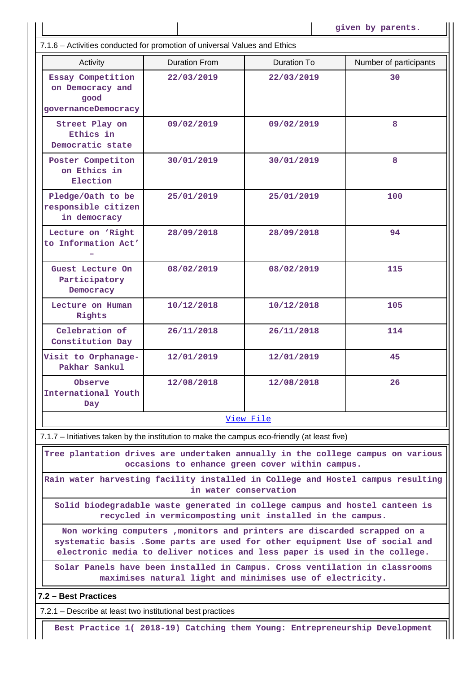7.1.6 – Activities conducted for promotion of universal Values and Ethics

| 7.1.6 – Activities conducted for promotion of universal values and Ethics                                                                                                                                                               |                                                                                                                                    |             |                        |  |  |  |  |  |  |  |
|-----------------------------------------------------------------------------------------------------------------------------------------------------------------------------------------------------------------------------------------|------------------------------------------------------------------------------------------------------------------------------------|-------------|------------------------|--|--|--|--|--|--|--|
| Activity                                                                                                                                                                                                                                | <b>Duration From</b>                                                                                                               | Duration To | Number of participants |  |  |  |  |  |  |  |
| Essay Competition<br>on Democracy and<br>good<br>governanceDemocracy                                                                                                                                                                    | 22/03/2019                                                                                                                         | 22/03/2019  | 30                     |  |  |  |  |  |  |  |
| Street Play on<br>Ethics in<br>Democratic state                                                                                                                                                                                         | 09/02/2019                                                                                                                         | 09/02/2019  | 8                      |  |  |  |  |  |  |  |
| Poster Competiton<br>on Ethics in<br>Election                                                                                                                                                                                           | 30/01/2019                                                                                                                         | 30/01/2019  | 8                      |  |  |  |  |  |  |  |
| Pledge/Oath to be<br>responsible citizen<br>in democracy                                                                                                                                                                                | 25/01/2019                                                                                                                         | 25/01/2019  | 100                    |  |  |  |  |  |  |  |
| Lecture on 'Right<br>to Information Act'                                                                                                                                                                                                | 28/09/2018                                                                                                                         | 28/09/2018  | 94                     |  |  |  |  |  |  |  |
| Guest Lecture On<br>Participatory<br>Democracy                                                                                                                                                                                          | 08/02/2019                                                                                                                         | 08/02/2019  | 115                    |  |  |  |  |  |  |  |
| Lecture on Human<br>Rights                                                                                                                                                                                                              | 10/12/2018                                                                                                                         | 10/12/2018  | 105                    |  |  |  |  |  |  |  |
| Celebration of<br>Constitution Day                                                                                                                                                                                                      | 26/11/2018                                                                                                                         | 26/11/2018  | 114                    |  |  |  |  |  |  |  |
| Visit to Orphanage-<br>Pakhar Sankul                                                                                                                                                                                                    | 12/01/2019                                                                                                                         | 12/01/2019  | 45                     |  |  |  |  |  |  |  |
| Observe<br>International Youth<br>Day                                                                                                                                                                                                   | 12/08/2018                                                                                                                         | 12/08/2018  | 26                     |  |  |  |  |  |  |  |
|                                                                                                                                                                                                                                         |                                                                                                                                    | View File   |                        |  |  |  |  |  |  |  |
| 7.1.7 – Initiatives taken by the institution to make the campus eco-friendly (at least five)                                                                                                                                            |                                                                                                                                    |             |                        |  |  |  |  |  |  |  |
|                                                                                                                                                                                                                                         | Tree plantation drives are undertaken annually in the college campus on various<br>occasions to enhance green cover within campus. |             |                        |  |  |  |  |  |  |  |
| Rain water harvesting facility installed in College and Hostel campus resulting<br>in water conservation                                                                                                                                |                                                                                                                                    |             |                        |  |  |  |  |  |  |  |
| Solid biodegradable waste generated in college campus and hostel canteen is<br>recycled in vermicomposting unit installed in the campus.                                                                                                |                                                                                                                                    |             |                        |  |  |  |  |  |  |  |
| Non working computers , monitors and printers are discarded scrapped on a<br>systematic basis . Some parts are used for other equipment Use of social and<br>electronic media to deliver notices and less paper is used in the college. |                                                                                                                                    |             |                        |  |  |  |  |  |  |  |
| Solar Panels have been installed in Campus. Cross ventilation in classrooms<br>maximises natural light and minimises use of electricity.                                                                                                |                                                                                                                                    |             |                        |  |  |  |  |  |  |  |
| 7.2 - Best Practices                                                                                                                                                                                                                    |                                                                                                                                    |             |                        |  |  |  |  |  |  |  |

7.2.1 – Describe at least two institutional best practices

**Best Practice 1( 2018-19) Catching them Young: Entrepreneurship Development**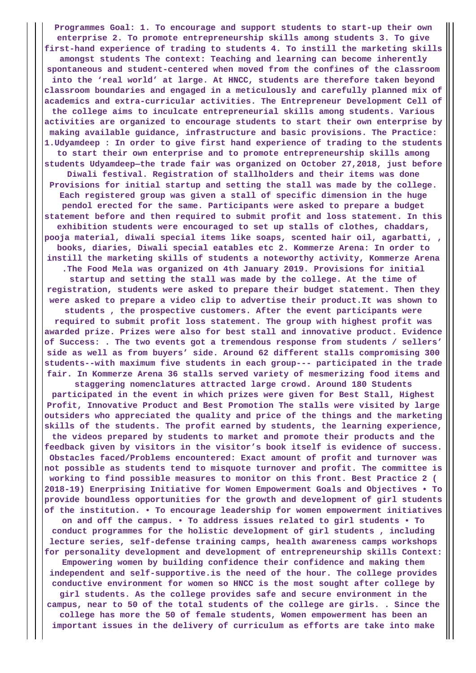**Programmes Goal: 1. To encourage and support students to start-up their own enterprise 2. To promote entrepreneurship skills among students 3. To give first-hand experience of trading to students 4. To instill the marketing skills amongst students The context: Teaching and learning can become inherently spontaneous and student-centered when moved from the confines of the classroom into the 'real world' at large. At HNCC, students are therefore taken beyond classroom boundaries and engaged in a meticulously and carefully planned mix of academics and extra-curricular activities. The Entrepreneur Development Cell of the college aims to inculcate entrepreneurial skills among students. Various activities are organized to encourage students to start their own enterprise by making available guidance, infrastructure and basic provisions. The Practice: 1.Udyamdeep : In order to give first hand experience of trading to the students to start their own enterprise and to promote entrepreneurship skills among students Udyamdeep—the trade fair was organized on October 27,2018, just before Diwali festival. Registration of stallholders and their items was done Provisions for initial startup and setting the stall was made by the college. Each registered group was given a stall of specific dimension in the huge pendol erected for the same. Participants were asked to prepare a budget statement before and then required to submit profit and loss statement. In this exhibition students were encouraged to set up stalls of clothes, chaddars, pooja material, diwali special items like soaps, scented hair oil, agarbatti, , books, diaries, Diwali special eatables etc 2. Kommerze Arena: In order to instill the marketing skills of students a noteworthy activity, Kommerze Arena .The Food Mela was organized on 4th January 2019. Provisions for initial startup and setting the stall was made by the college. At the time of registration, students were asked to prepare their budget statement. Then they were asked to prepare a video clip to advertise their product.It was shown to students , the prospective customers. After the event participants were required to submit profit loss statement. The group with highest profit was awarded prize. Prizes were also for best stall and innovative product. Evidence of Success: . The two events got a tremendous response from students / sellers' side as well as from buyers' side. Around 62 different stalls compromising 300 students--with maximum five students in each group--- participated in the trade fair. In Kommerze Arena 36 stalls served variety of mesmerizing food items and staggering nomenclatures attracted large crowd. Around 180 Students participated in the event in which prizes were given for Best Stall, Highest Profit, Innovative Product and Best Promotion The stalls were visited by large outsiders who appreciated the quality and price of the things and the marketing skills of the students. The profit earned by students, the learning experience, the videos prepared by students to market and promote their products and the feedback given by visitors in the visitor's book itself is evidence of success. Obstacles faced/Problems encountered: Exact amount of profit and turnover was not possible as students tend to misquote turnover and profit. The committee is working to find possible measures to monitor on this front. Best Practice 2 ( 2018-19) Enerprising Initiative for Women Empowerment Goals and Objectives • To provide boundless opportunities for the growth and development of girl students of the institution. • To encourage leadership for women empowerment initiatives on and off the campus. • To address issues related to girl students • To conduct programmes for the holistic development of girl students , including lecture series, self-defense training camps, health awareness camps workshops for personality development and development of entrepreneurship skills Context: Empowering women by building confidence their confidence and making them independent and self-supportive.is the need of the hour. The college provides conductive environment for women so HNCC is the most sought after college by girl students. As the college provides safe and secure environment in the campus, near to 50 of the total students of the college are girls. . Since the college has more the 50 of female students, Women empowerment has been an important issues in the delivery of curriculum as efforts are take into make**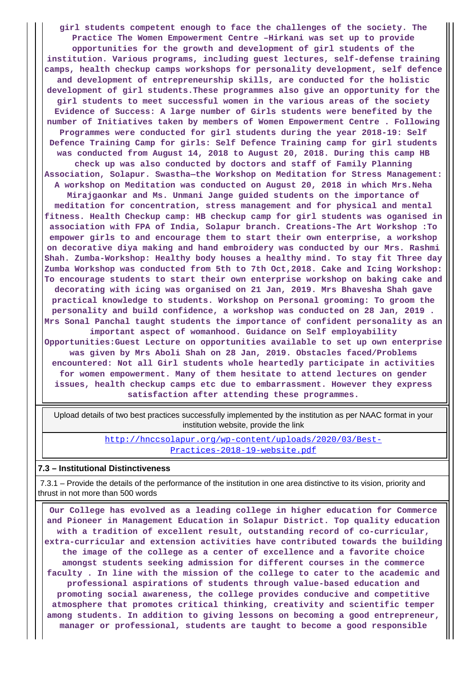**girl students competent enough to face the challenges of the society. The Practice The Women Empowerment Centre –Hirkani was set up to provide opportunities for the growth and development of girl students of the institution. Various programs, including guest lectures, self-defense training camps, health checkup camps workshops for personality development, self defence and development of entrepreneurship skills, are conducted for the holistic development of girl students.These programmes also give an opportunity for the girl students to meet successful women in the various areas of the society Evidence of Success: A large number of Girls students were benefited by the number of Initiatives taken by members of Women Empowerment Centre . Following Programmes were conducted for girl students during the year 2018-19: Self Defence Training Camp for girls: Self Defence Training camp for girl students was conducted from August 14, 2018 to August 20, 2018. During this camp HB check up was also conducted by doctors and staff of Family Planning Association, Solapur. Swastha—the Workshop on Meditation for Stress Management: A workshop on Meditation was conducted on August 20, 2018 in which Mrs.Neha Mirajgaonkar and Ms. Unmani Jange guided students on the importance of meditation for concentration, stress management and for physical and mental fitness. Health Checkup camp: HB checkup camp for girl students was oganised in association with FPA of India, Solapur branch. Creations-The Art Workshop :To empower girls to and encourage them to start their own enterprise, a workshop on decorative diya making and hand embroidery was conducted by our Mrs. Rashmi Shah. Zumba-Workshop: Healthy body houses a healthy mind. To stay fit Three day Zumba Workshop was conducted from 5th to 7th Oct,2018. Cake and Icing Workshop: To encourage students to start their own enterprise workshop on baking cake and decorating with icing was organised on 21 Jan, 2019. Mrs Bhavesha Shah gave practical knowledge to students. Workshop on Personal grooming: To groom the personality and build confidence, a workshop was conducted on 28 Jan, 2019 . Mrs Sonal Panchal taught students the importance of confident personality as an important aspect of womanhood. Guidance on Self employability Opportunities:Guest Lecture on opportunities available to set up own enterprise was given by Mrs Aboli Shah on 28 Jan, 2019. Obstacles faced/Problems encountered: Not all Girl students whole heartedly participate in activities for women empowerment. Many of them hesitate to attend lectures on gender issues, health checkup camps etc due to embarrassment. However they express**

**satisfaction after attending these programmes.**

 Upload details of two best practices successfully implemented by the institution as per NAAC format in your institution website, provide the link

> [http://hnccsolapur.org/wp-content/uploads/2020/03/Best-](http://hnccsolapur.org/wp-content/uploads/2020/03/Best-Practices-2018-19-website.pdf)[Practices-2018-19-website.pdf](http://hnccsolapur.org/wp-content/uploads/2020/03/Best-Practices-2018-19-website.pdf)

### **7.3 – Institutional Distinctiveness**

 7.3.1 – Provide the details of the performance of the institution in one area distinctive to its vision, priority and thrust in not more than 500 words

 **Our College has evolved as a leading college in higher education for Commerce and Pioneer in Management Education in Solapur District. Top quality education with a tradition of excellent result, outstanding record of co-curricular, extra-curricular and extension activities have contributed towards the building the image of the college as a center of excellence and a favorite choice amongst students seeking admission for different courses in the commerce faculty . In line with the mission of the college to cater to the academic and professional aspirations of students through value-based education and promoting social awareness, the college provides conducive and competitive atmosphere that promotes critical thinking, creativity and scientific temper among students. In addition to giving lessons on becoming a good entrepreneur, manager or professional, students are taught to become a good responsible**